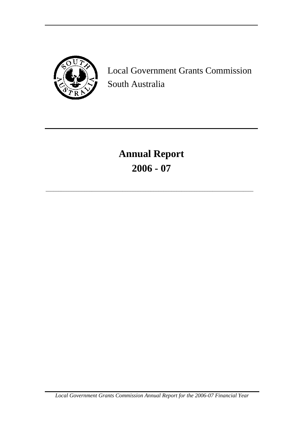

Local Government Grants Commission South Australia

# **Annual Report 2006 - 07**

\_\_\_\_\_\_\_\_\_\_\_\_\_\_\_\_\_\_\_\_\_\_\_\_\_\_\_\_\_\_\_\_\_\_\_\_\_\_\_\_\_\_\_\_\_\_\_\_\_\_\_\_\_\_\_\_\_\_\_\_\_\_\_\_\_\_\_\_\_\_\_\_\_\_\_\_\_\_\_\_\_

*Local Government Grants Commission Annual Report for the 2006-07 Financial Year*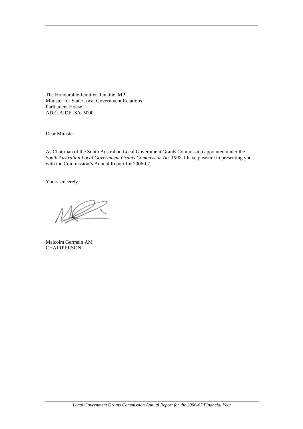The Honourable Jennifer Rankine, MP Minister for State/Local Government Relations Parliament House ADELAIDE SA 5000

Dear Minister

As Chairman of the South Australian Local Government Grants Commission appointed under the *South Australian Local Government Grants Commission Act 1992*, I have pleasure in presenting you with the Commission's Annual Report for 2006-07.

Yours sincerely

Malcolm Germein AM **CHAIRPERSON**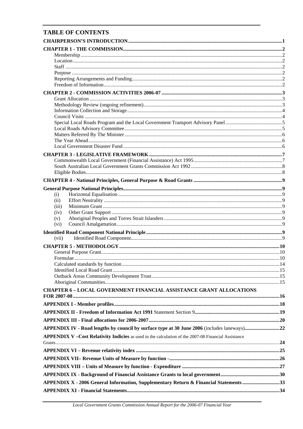# **TABLE OF CONTENTS**

| (i)                                                                                                  |  |
|------------------------------------------------------------------------------------------------------|--|
| (ii)                                                                                                 |  |
| (iii)<br>(iv)                                                                                        |  |
| (v)                                                                                                  |  |
| (vi)                                                                                                 |  |
|                                                                                                      |  |
| (vii)                                                                                                |  |
|                                                                                                      |  |
|                                                                                                      |  |
|                                                                                                      |  |
|                                                                                                      |  |
|                                                                                                      |  |
|                                                                                                      |  |
|                                                                                                      |  |
| <b>CHAPTER 6-LOCAL GOVERNMENT FINANCIAL ASSISTANCE GRANT ALLOCATIONS</b>                             |  |
|                                                                                                      |  |
|                                                                                                      |  |
|                                                                                                      |  |
|                                                                                                      |  |
|                                                                                                      |  |
|                                                                                                      |  |
| APPENDIX V - Cost Relativity Indicies as used in the calculation of the 2007-08 Financial Assistance |  |
|                                                                                                      |  |
|                                                                                                      |  |
|                                                                                                      |  |
|                                                                                                      |  |
|                                                                                                      |  |
|                                                                                                      |  |
|                                                                                                      |  |
| APPENDIX X - 2006 General Information, Supplementary Return & Financial Statements 33                |  |
|                                                                                                      |  |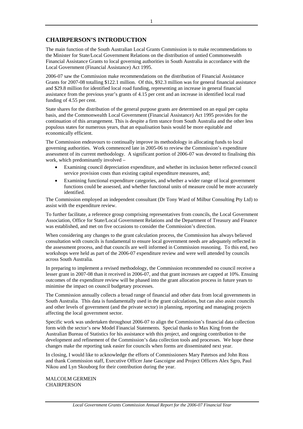# <span id="page-3-0"></span>**CHAIRPERSON'S INTRODUCTION**

The main function of the South Australian Local Grants Commission is to make recommendations to the Minister for State/Local Government Relations on the distribution of untied Commonwealth Financial Assistance Grants to local governing authorities in South Australia in accordance with the Local Government (Financial Assistance) Act 1995.

2006-07 saw the Commission make recommendations on the distribution of Financial Assistance Grants for 2007-08 totalling \$122.1 million. Of this, \$92.3 million was for general financial assistance and \$29.8 million for identified local road funding, representing an increase in general financial assistance from the previous year's grants of 4.15 per cent and an increase in identified local road funding of 4.55 per cent.

State shares for the distribution of the general purpose grants are determined on an equal per capita basis, and the Commonwealth Local Government (Financial Assistance) Act 1995 provides for the continuation of this arrangement. This is despite a firm stance from South Australia and the other less populous states for numerous years, that an equalisation basis would be more equitable and economically efficient.

The Commission endeavours to continually improve its methodology in allocating funds to local governing authorities. Work commenced late in 2005-06 to review the Commission's expenditure assessment of its current methodology. A significant portion of 2006-07 was devoted to finalising this work, which predominantly involved –

- Examining council depreciation expenditure, and whether its inclusion better reflected council service provision costs than existing capital expenditure measures, and;
- Examining functional expenditure categories, and whether a wider range of local government functions could be assessed, and whether functional units of measure could be more accurately identified.

The Commission employed an independent consultant (Dr Tony Ward of Milbur Consulting Pty Ltd) to assist with the expenditure review.

To further facilitate, a reference group comprising representatives from councils, the Local Government Association, Office for State/Local Government Relations and the Department of Treasury and Finance was established, and met on five occasions to consider the Commission's direction.

When considering any changes to the grant calculation process, the Commission has always believed consultation with councils is fundamental to ensure local government needs are adequately reflected in the assessment process, and that councils are well informed in Commission reasoning. To this end, two workshops were held as part of the 2006-07 expenditure review and were well attended by councils across South Australia.

In preparing to implement a revised methodology, the Commission recommended no council receive a lesser grant in 2007-08 than it received in 2006-07, and that grant increases are capped at 10%. Ensuing outcomes of the expenditure review will be phased into the grant allocation process in future years to minimise the impact on council budgetary processes.

The Commission annually collects a broad range of financial and other data from local governments in South Australia. This data is fundamentally used in the grant calculations, but can also assist councils and other levels of government (and the private sector) in planning, reporting and managing projects affecting the local government sector.

Specific work was undertaken throughout 2006-07 to align the Commission's financial data collection form with the sector's new Model Financial Statements. Special thanks to Max King from the Australian Bureau of Statistics for his assistance with this project, and ongoing contribution to the development and refinement of the Commission's data collection tools and processes. We hope these changes make the reporting task easier for councils when forms are disseminated next year.

In closing, I would like to acknowledge the efforts of Commissioners Mary Patetsos and John Ross and thank Commission staff, Executive Officer Jane Gascoigne and Project Officers Alex Sgro, Paul Nikou and Lyn Skouborg for their contribution during the year.

MALCOLM GERMEIN **CHAIRPERSON**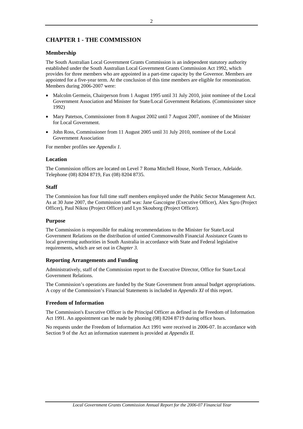# <span id="page-4-0"></span>**CHAPTER 1 - THE COMMISSION**

# **Membership**

The South Australian Local Government Grants Commission is an independent statutory authority established under the South Australian Local Government Grants Commission Act 1992, which provides for three members who are appointed in a part-time capacity by the Governor. Members are appointed for a five-year term. At the conclusion of this time members are eligible for renomination. Members during 2006-2007 were:

- Malcolm Germein, Chairperson from 1 August 1995 until 31 July 2010, joint nominee of the Local Government Association and Minister for State/Local Government Relations. (Commissioner since 1992)
- Mary Patetsos, Commissioner from 8 August 2002 until 7 August 2007, nominee of the Minister for Local Government.
- John Ross, Commissioner from 11 August 2005 until 31 July 2010, nominee of the Local Government Association

For member profiles see *Appendix 1.*

# **Location**

The Commission offices are located on Level 7 Roma Mitchell House, North Terrace, Adelaide. Telephone (08) 8204 8719, Fax (08) 8204 8735.

# **Staff**

The Commission has four full time staff members employed under the Public Sector Management Act. As at 30 June 2007, the Commission staff was: Jane Gascoigne (Executive Officer), Alex Sgro (Project Officer), Paul Nikou (Project Officer) and Lyn Skouborg (Project Officer).

# **Purpose**

The Commission is responsible for making recommendations to the Minister for State/Local Government Relations on the distribution of untied Commonwealth Financial Assistance Grants to local governing authorities in South Australia in accordance with State and Federal legislative requirements, which are set out in *Chapter 3*.

# **Reporting Arrangements and Funding**

Administratively, staff of the Commission report to the Executive Director, Office for State/Local Government Relations.

The Commission's operations are funded by the State Government from annual budget appropriations. A copy of the Commission's Financial Statements is included in *Appendix XI* of this report.

# **Freedom of Information**

The Commission's Executive Officer is the Principal Officer as defined in the Freedom of Information Act 1991. An appointment can be made by phoning (08) 8204 8719 during office hours.

No requests under the Freedom of Information Act 1991 were received in 2006-07. In accordance with Section 9 of the Act an information statement is provided at *Appendix II.*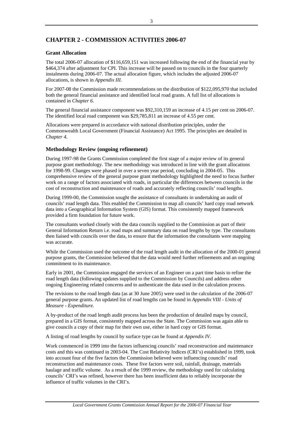# <span id="page-5-0"></span>**CHAPTER 2 - COMMISSION ACTIVITIES 2006-07**

# **Grant Allocation**

The total 2006-07 allocation of \$116,659,151 was increased following the end of the financial year by \$464,374 after adjustment for CPI. This increase will be passed on to councils in the four quarterly instalments during 2006-07. The actual allocation figure, which includes the adjusted 2006-07 allocations, is shown in *Appendix III.*

For 2007-08 the Commission made recommendations on the distribution of \$122,095,970 that included both the general financial assistance and identified local road grants. A full list of allocations is contained in *Chapter 6*.

The general financial assistance component was \$92,310,159 an increase of 4.15 per cent on 2006-07. The identified local road component was \$29,785,811 an increase of 4.55 per cent.

Allocations were prepared in accordance with national distribution principles, under the Commonwealth Local Government (Financial Assistance) Act 1995. The principles are detailed in *Chapter 4.*

# **Methodology Review (ongoing refinement)**

During 1997-98 the Grants Commission completed the first stage of a major review of its general purpose grant methodology. The new methodology was introduced in line with the grant allocations for 1998-99. Changes were phased in over a seven year period, concluding in 2004-05. This comprehensive review of the general purpose grant methodology highlighted the need to focus further work on a range of factors associated with roads, in particular the differences between councils in the cost of reconstruction and maintenance of roads and accurately reflecting councils' road lengths.

During 1999-00, the Commission sought the assistance of consultants in undertaking an audit of councils' road length data. This enabled the Commission to map all councils' hard copy road network data into a Geographical Information System (GIS) format. This consistently mapped framework provided a firm foundation for future work.

The consultants worked closely with the data councils supplied to the Commission as part of their General Information Return i.e. road maps and summary data on road lengths by type. The consultants then liaised with councils over the data, to ensure that the information the consultants were mapping was accurate.

While the Commission used the outcome of the road length audit in the allocation of the 2000-01 general purpose grants, the Commission believed that the data would need further refinements and an ongoing commitment to its maintenance.

Early in 2001, the Commission engaged the services of an Engineer on a part time basis to refine the road length data (following updates supplied to the Commission by Councils) and address other ongoing Engineering related concerns and to authenticate the data used in the calculation process.

The revisions to the road length data (as at 30 June 2005) were used in the calculation of the 2006-07 general purpose grants. An updated list of road lengths can be found in *Appendix VIII - Units of Measure - Expenditure.* 

A by-product of the road length audit process has been the production of detailed maps by council, prepared in a GIS format, consistently mapped across the State. The Commission was again able to give councils a copy of their map for their own use, either in hard copy or GIS format.

A listing of road lengths by council by surface type can be found at *Appendix IV.*

Work commenced in 1999 into the factors influencing councils' road reconstruction and maintenance costs and this was continued in 2003-04. The Cost Relativity Indices (CRI's) established in 1999, took into account four of the five factors the Commission believed were influencing councils' road reconstruction and maintenance costs. These five factors were soil, rainfall, drainage, materials haulage and traffic volume. As a result of the 1999 review, the methodology used for calculating councils' CRI's was refined, however there has been insufficient data to reliably incorporate the influence of traffic volumes in the CRI's.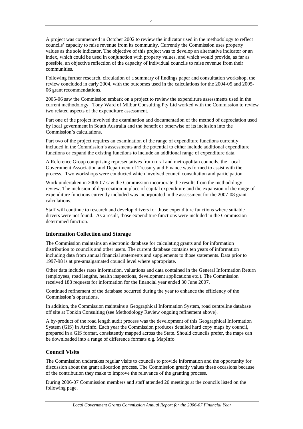<span id="page-6-0"></span>A project was commenced in October 2002 to review the indicator used in the methodology to reflect councils' capacity to raise revenue from its community. Currently the Commission uses property values as the sole indicator. The objective of this project was to develop an alternative indicator or an index, which could be used in conjunction with property values, and which would provide, as far as possible, an objective reflection of the capacity of individual councils to raise revenue from their communities.

Following further research, circulation of a summary of findings paper and consultation workshop, the review concluded in early 2004, with the outcomes used in the calculations for the 2004-05 and 2005- 06 grant recommendations.

2005-06 saw the Commission embark on a project to review the expenditure assessments used in the current methodology. Tony Ward of Milbur Consulting Pty Ltd worked with the Commission to review two related aspects of the expenditure assessment.

Part one of the project involved the examination and documentation of the method of depreciation used by local government in South Australia and the benefit or otherwise of its inclusion into the Commission's calculations.

Part two of the project requires an examination of the range of expenditure functions currently included in the Commission's assessments and the potential to either include additional expenditure functions or expand the existing functions to include an additional range of expenditure data.

A Reference Group comprising representatives from rural and metropolitan councils, the Local Government Association and Department of Treasury and Finance was formed to assist with the process. Two workshops were conducted which involved council consultation and participation.

Work undertaken in 2006-07 saw the Commission incorporate the results from the methodology review. The inclusion of depreciation in place of capital expenditure and the expansion of the range of expenditure functions currently included was incorporated in the assessment for the 2007-08 grant calculations.

Staff will continue to research and develop drivers for those expenditure functions where suitable drivers were not found. As a result, those expenditure functions were included in the Commission determined function.

# **Information Collection and Storage**

The Commission maintains an electronic database for calculating grants and for information distribution to councils and other users. The current database contains ten years of information including data from annual financial statements and supplements to those statements. Data prior to 1997-98 is at pre-amalgamated council level where appropriate.

Other data includes rates information, valuations and data contained in the General Information Return (employees, road lengths, health inspections, development applications etc.). The Commission received 188 requests for information for the financial year ended 30 June 2007.

Continued refinement of the database occurred during the year to enhance the efficiency of the Commission's operations.

In addition, the Commission maintains a Geographical Information System, road centreline database off site at Tonkin Consulting (see Methodology Review ongoing refinement above).

A by-product of the road length audit process was the development of this Geographical Information System (GIS) in ArcInfo. Each year the Commission produces detailed hard copy maps by council, prepared in a GIS format, consistently mapped across the State. Should councils prefer, the maps can be downloaded into a range of difference formats e.g. MapInfo.

# **Council Visits**

The Commission undertakes regular visits to councils to provide information and the opportunity for discussion about the grant allocation process. The Commission greatly values these occasions because of the contribution they make to improve the relevance of the granting process.

During 2006-07 Commission members and staff attended 20 meetings at the councils listed on the following page.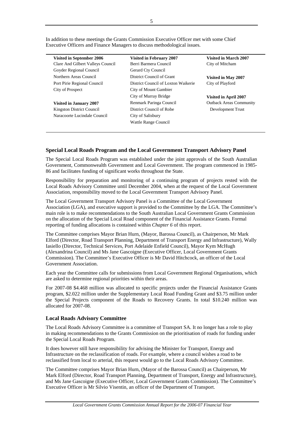| Visited in September 2006         | <b>Visited in February 2007</b>     | Visited in March 2007          |
|-----------------------------------|-------------------------------------|--------------------------------|
| Clare And Gilbert Valleys Council | Berri Barmera Council               | City of Mitcham                |
| Goyder Regional Council           | Gerard Cty Council                  |                                |
| Northern Areas Council            | District Council of Grant           | Visited in May 2007            |
| Port Pirie Regional Council       | District Council of Loxton Waikerie | City of Playford               |
| City of Prospect                  | City of Mount Gambier               |                                |
|                                   | City of Murray Bridge               | Visited in April 2007          |
| <b>Visited in January 2007</b>    | Renmark Paringa Council             | <b>Outback Areas Community</b> |
| Kingston District Council         | District Council of Robe            | Development Trust              |
| Naracoorte Lucindale Council      | City of Salisbury                   |                                |
|                                   | Wattle Range Council                |                                |
|                                   |                                     |                                |

<span id="page-7-0"></span>In addition to these meetings the Grants Commission Executive Officer met with some Chief Executive Officers and Finance Managers to discuss methodological issues.

# **Special Local Roads Program and the Local Government Transport Advisory Panel**

The Special Local Roads Program was established under the joint approvals of the South Australian Government, Commonwealth Government and Local Government. The program commenced in 1985- 86 and facilitates funding of significant works throughout the State.

Responsibility for preparation and monitoring of a continuing program of projects rested with the Local Roads Advisory Committee until December 2004, when at the request of the Local Government Association, responsibility moved to the Local Government Transport Advisory Panel.

The Local Government Transport Advisory Panel is a Committee of the Local Government Association (LGA), and executive support is provided to the Committee by the LGA. The Committee's main role is to make recommendations to the South Australian Local Government Grants Commission on the allocation of the Special Local Road component of the Financial Assistance Grants. Formal reporting of funding allocations is contained within *Chapter 6* of this report.

The Committee comprises Mayor Brian Hurn, (Mayor, Barossa Council), as Chairperson, Mr Mark Elford (Director, Road Transport Planning, Department of Transport Energy and Infrastructure), Wally Iasiello (Director, Technical Services, Port Adelaide Enfield Council), Mayor Kym McHugh (Alexandrina Council) and Ms Jane Gascoigne (Executive Officer, Local Government Grants Commission). The Committee's Executive Officer is Mr David Hitchcock, an officer of the Local Government Association.

Each year the Committee calls for submissions from Local Government Regional Organisations, which are asked to determine regional priorities within their areas.

For 2007-08 \$4.468 million was allocated to specific projects under the Financial Assistance Grants program, \$2.022 million under the Supplementary Local Road Funding Grant and \$3.75 million under the Special Projects component of the Roads to Recovery Grants. In total \$10.240 million was allocated for 2007-08.

# **Local Roads Advisory Committee**

The Local Roads Advisory Committee is a committee of Transport SA. It no longer has a role to play in making recommendations to the Grants Commission on the prioritisation of roads for funding under the Special Local Roads Program.

It does however still have responsibility for advising the Minister for Transport, Energy and Infrastructure on the reclassification of roads. For example, where a council wishes a road to be reclassified from local to arterial, this request would go to the Local Roads Advisory Committee.

The Committee comprises Mayor Brian Hurn, (Mayor of the Barossa Council) as Chairperson, Mr Mark Elford (Director, Road Transport Planning, Department of Transport, Energy and Infrastructure), and Ms Jane Gascoigne (Executive Officer, Local Government Grants Commission). The Committee's Executive Officer is Mr Silvio Visentin, an officer of the Department of Transport.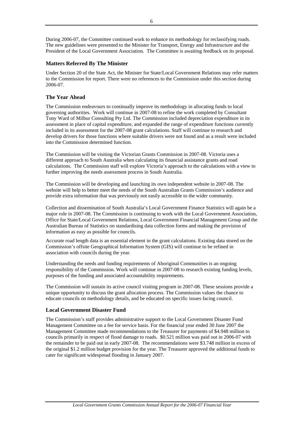<span id="page-8-0"></span>During 2006-07, the Committee continued work to enhance its methodology for reclassifying roads. The new guidelines were presented to the Minister for Transport, Energy and Infrastructure and the President of the Local Government Association. The Committee is awaiting feedback on its proposal.

# **Matters Referred By The Minister**

Under Section 20 of the State Act, the Minister for State/Local Government Relations may refer matters to the Commission for report. There were no references to the Commission under this section during 2006-07.

# **The Year Ahead**

The Commission endeavours to continually improve its methodology in allocating funds to local governing authorities. Work will continue in 2007-08 to refine the work completed by Consultant Tony Ward of Milbur Consulting Pty Ltd. The Commission included depreciation expenditure in its assessment in place of capital expenditure, and expanded the range of expenditure functions currently included in its assessment for the 2007-08 grant calculations. Staff will continue to research and develop drivers for those functions where suitable drivers were not found and as a result were included into the Commission determined function.

The Commission will be visiting the Victorian Grants Commission in 2007-08. Victoria uses a different approach to South Australia when calculating its financial assistance grants and road calculations. The Commission staff will explore Victoria's approach to the calculations with a view to further improving the needs assessment process in South Australia.

The Commission will be developing and launching its own independent website in 2007-08. The website will help to better meet the needs of the South Australian Grants Commission's audience and provide extra information that was previously not easily accessible to the wider community.

Collection and dissemination of South Australia's Local Government Finance Statistics will again be a major role in 2007-08. The Commission is continuing to work with the Local Government Association, Office for State/Local Government Relations, Local Government Financial Management Group and the Australian Bureau of Statistics on standardising data collection forms and making the provision of information as easy as possible for councils.

Accurate road length data is an essential element in the grant calculations. Existing data stored on the Commission's offsite Geographical Information System (GIS) will continue to be refined in association with councils during the year.

Understanding the needs and funding requirements of Aboriginal Communities is an ongoing responsibility of the Commission. Work will continue in 2007-08 to research existing funding levels, purposes of the funding and associated accountability requirements.

The Commission will sustain its active council visiting program in 2007-08. These sessions provide a unique opportunity to discuss the grant allocation process. The Commission values the chance to educate councils on methodology details, and be educated on specific issues facing council.

# **Local Government Disaster Fund**

The Commission's staff provides administrative support to the Local Government Disaster Fund Management Committee on a fee for service basis. For the financial year ended 30 June 2007 the Management Committee made recommendations to the Treasurer for payments of \$4.948 million to councils primarily in respect of flood damage to roads. \$0.521 million was paid out in 2006-07 with the remainder to be paid out in early 2007-08. The recommendations were \$3.748 million in excess of the original \$1.2 million budget provision for the year. The Treasurer approved the additional funds to cater for significant widespread flooding in January 2007.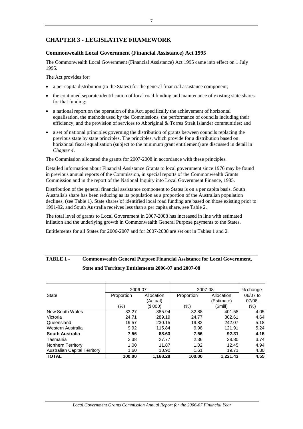# <span id="page-9-0"></span>**CHAPTER 3 - LEGISLATIVE FRAMEWORK**

# **Commonwealth Local Government (Financial Assistance) Act 1995**

The Commonwealth Local Government (Financial Assistance) Act 1995 came into effect on 1 July 1995.

The Act provides for:

- a per capita distribution (to the States) for the general financial assistance component;
- the continued separate identification of local road funding and maintenance of existing state shares for that funding;
- a national report on the operation of the Act, specifically the achievement of horizontal equalisation, the methods used by the Commissions, the performance of councils including their efficiency, and the provision of services to Aboriginal & Torres Strait Islander communities; and
- a set of national principles governing the distribution of grants between councils replacing the previous state by state principles. The principles, which provide for a distribution based on horizontal fiscal equalisation (subject to the minimum grant entitlement) are discussed in detail in *Chapter 4*.

The Commission allocated the grants for 2007-2008 in accordance with these principles.

Detailed information about Financial Assistance Grants to local government since 1976 may be found in previous annual reports of the Commission, in special reports of the Commonwealth Grants Commission and in the report of the National Inquiry into Local Government Finance, 1985.

Distribution of the general financial assistance component to States is on a per capita basis. South Australia's share has been reducing as its population as a proportion of the Australian population declines, (see Table 1). State shares of identified local road funding are based on those existing prior to 1991-92, and South Australia receives less than a per capita share, see Table 2.

The total level of grants to Local Government in 2007-2008 has increased in line with estimated inflation and the underlying growth in Commonwealth General Purpose payments to the States.

Entitlements for all States for 2006-2007 and for 2007-2008 are set out in Tables 1 and 2.

|                                     | 2006-07    |            | 2007-08    |            | % change |
|-------------------------------------|------------|------------|------------|------------|----------|
| State                               | Proportion | Allocation | Proportion | Allocation | 06/07 to |
|                                     |            | (Actual)   |            | (Estimate) | 07/08.   |
|                                     | (%)        | (\$'000)   | (%)        | (\$mill)   | (%)      |
| New South Wales                     | 33.27      | 385.94     | 32.88      | 401.58     | 4.05     |
| Victoria                            | 24.71      | 289.19     | 24.77      | 302.61     | 4.64     |
| Queensland                          | 19.57      | 230.15     | 19.82      | 242.07     | 5.18     |
| Western Australia                   | 9.92       | 115.84     | 9.98       | 121.91     | 5.24     |
| South Australia                     | 7.56       | 88.63      | 7.56       | 92.31      | 4.15     |
| Tasmania                            | 2.38       | 27.77      | 2.36       | 28.80      | 3.74     |
| Northern Territory                  | 1.00       | 11.87      | 1.02       | 12.45      | 4.94     |
| <b>Australian Capital Territory</b> | 1.60       | 18.90      | 1.61       | 19.71      | 4.30     |
| <b>TOTAL</b>                        | 100.00     | 1,168.28   | 100.00     | 1,221.43   | 4.55     |

# **TABLE 1 - Commonwealth General Purpose Financial Assistance for Local Government, State and Territory Entitlements 2006-07 and 2007-08**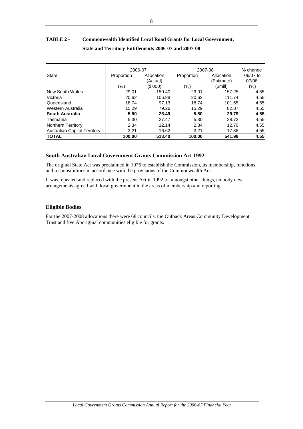# <span id="page-10-0"></span>**TABLE 2 - Commonwealth Identified Local Road Grants for Local Government, State and Territory Entitlements 2006-07 and 2007-08**

|                                     | 2006-07    |            | 2007-08    | % change      |          |
|-------------------------------------|------------|------------|------------|---------------|----------|
| <b>State</b>                        | Proportion | Allocation | Proportion | Allocation    | 06/07 to |
|                                     |            | (Actual)   |            | (Estimate)    | 07/08.   |
|                                     | (%)        | (\$'000)   | (9/0)      | (\$mill)      | (%)      |
| New South Wales                     | 29.01      | 150.40     | 29.01      | 157.25        | 4.55     |
| Victoria                            | 20.62      | 106.88     | 20.62      | 111.74        | 4.55     |
| Queensland                          | 18.74      | 97.13      | 18.74      | 101.55        | 4.55     |
| Western Australia                   | 15.29      | 79.26      | 15.29      | 82.87         | 4.55     |
| South Australia                     | 5.50       | 28.49      | 5.50       | <b>29.791</b> | 4.55     |
| Tasmania                            | 5.30       | 27.47      | 5.30       | 28.72         | 4.55     |
| Northern Territory                  | 2.34       | 12.14      | 2.34       | 12.70         | 4.55     |
| <b>Australian Capital Territory</b> | 3.21       | 16.62      | 3.21       | 17.38         | 4.55     |
| <b>TOTAL</b>                        | 100.00     | 518.40     | 100.00     | 541.99        | 4.55     |

# **South Australian Local Government Grants Commission Act 1992**

The original State Act was proclaimed in 1976 to establish the Commission, its membership, functions and responsibilities in accordance with the provisions of the Commonwealth Act.

It was repealed and replaced with the present Act in 1992 to, amongst other things, embody new arrangements agreed with local government in the areas of membership and reporting.

# **Eligible Bodies**

For the 2007-2008 allocations there were 68 councils, the Outback Areas Community Development Trust and five Aboriginal communities eligible for grants*.*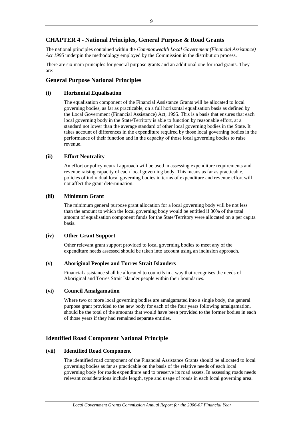# <span id="page-11-0"></span>**CHAPTER 4 - National Principles, General Purpose & Road Grants**

The national principles contained within the *Commonwealth Local Government (Financial Assistance) Act 1995* underpin the methodology employed by the Commission in the distribution process.

There are six main principles for general purpose grants and an additional one for road grants. They are:

# **General Purpose National Principles**

# **(i) Horizontal Equalisation**

The equalisation component of the Financial Assistance Grants will be allocated to local governing bodies, as far as practicable, on a full horizontal equalisation basis as defined by the Local Government (Financial Assistance) Act, 1995. This is a basis that ensures that each local governing body in the State/Territory is able to function by reasonable effort, at a standard not lower than the average standard of other local governing bodies in the State. It takes account of differences in the expenditure required by those local governing bodies in the performance of their function and in the capacity of those local governing bodies to raise revenue.

# **(ii) Effort Neutrality**

An effort or policy neutral approach will be used in assessing expenditure requirements and revenue raising capacity of each local governing body. This means as far as practicable, policies of individual local governing bodies in terms of expenditure and revenue effort will not affect the grant determination.

# **(iii) Minimum Grant**

The minimum general purpose grant allocation for a local governing body will be not less than the amount to which the local governing body would be entitled if 30% of the total amount of equalisation component funds for the State/Territory were allocated on a per capita basis.

# **(iv) Other Grant Support**

Other relevant grant support provided to local governing bodies to meet any of the expenditure needs assessed should be taken into account using an inclusion approach.

# **(v) Aboriginal Peoples and Torres Strait Islanders**

Financial assistance shall be allocated to councils in a way that recognises the needs of Aboriginal and Torres Strait Islander people within their boundaries.

# **(vi) Council Amalgamation**

Where two or more local governing bodies are amalgamated into a single body, the general purpose grant provided to the new body for each of the four years following amalgamation, should be the total of the amounts that would have been provided to the former bodies in each of those years if they had remained separate entities.

# **Identified Road Component National Principle**

# **(vii) Identified Road Component**

The identified road component of the Financial Assistance Grants should be allocated to local governing bodies as far as practicable on the basis of the relative needs of each local governing body for roads expenditure and to preserve its road assets. In assessing roads needs relevant considerations include length, type and usage of roads in each local governing area.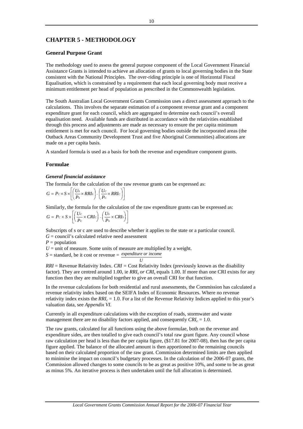# <span id="page-12-0"></span>**CHAPTER 5 - METHODOLOGY**

# **General Purpose Grant**

The methodology used to assess the general purpose component of the Local Government Financial Assistance Grants is intended to achieve an allocation of grants to local governing bodies in the State consistent with the National Principles. The over-riding principle is one of Horizontal Fiscal Equalisation, which is constrained by a requirement that each local governing body must receive a minimum entitlement per head of population as prescribed in the Commonwealth legislation.

The South Australian Local Government Grants Commission uses a direct assessment approach to the calculations. This involves the separate estimation of a component revenue grant and a component expenditure grant for each council, which are aggregated to determine each council's overall equalisation need. Available funds are distributed in accordance with the relativities established through this process and adjustments are made as necessary to ensure the per capita minimum entitlement is met for each council. For local governing bodies outside the incorporated areas (the Outback Areas Community Development Trust and five Aboriginal Communities) allocations are made on a per capita basis.

A standard formula is used as a basis for both the revenue and expenditure component grants.

### **Formulae**

### *General financial assistance*

The formula for the calculation of the raw revenue grants can be expressed as:

$$
G = P_c \times S \times \left[ \left( \frac{Us}{Ps} \times RRIs \right) - \left( \frac{U_c}{P_c} \times RRIs \right) \right]
$$

Similarly, the formula for the calculation of the raw expenditure grants can be expressed as:

$$
G = Pc \times S \times \left[ \left( \frac{Uc}{Pc} \times CRIc \right) - \left( \frac{Us}{Ps} \times CRIs \right) \right]
$$

Subscripts of s or c are used to describe whether it applies to the state or a particular council.

 $G =$  council's calculated relative need assessment

 $P =$  population

 $U =$  unit of measure. Some units of measure are multiplied by a weight.

 $S =$  standard, be it cost or revenue  $=$  *expenditure or income* 

*U RRI* = Revenue Relativity Index. *CRI =* Cost Relativity Index (previously known as the disability factor). They are centred around 1.00, ie *RRIs or CRIs* equals 1.00. If more than one CRI exists for any function then they are multiplied together to give an overall CRI for that function.

In the revenue calculations for both residential and rural assessments, the Commission has calculated a revenue relativity index based on the SEIFA Index of Economic Resources. Where no revenue relativity index exists the  $RRI<sub>c</sub> = 1.0$ . For a list of the Revenue Relativity Indices applied to this year's valuation data, see *Appendix VI.*

Currently in all expenditure calculations with the exception of roads, stormwater and waste management there are no disability factors applied, and consequently  $CRI_c = 1.0$ .

The raw grants, calculated for all functions using the above formulae, both on the revenue and expenditure sides, are then totalled to give each council's total raw grant figure. Any council whose raw calculation per head is less than the per capita figure, (\$17.81 for 2007-08), then has the per capita figure applied. The balance of the allocated amount is then apportioned to the remaining councils based on their calculated proportion of the raw grant. Commission determined limits are then applied to minimise the impact on council's budgetary processes. In the calculation of the 2006-07 grants, the Commission allowed changes to some councils to be as great as positive 10%, and some to be as great as minus 5%. An iterative process is then undertaken until the full allocation is determined.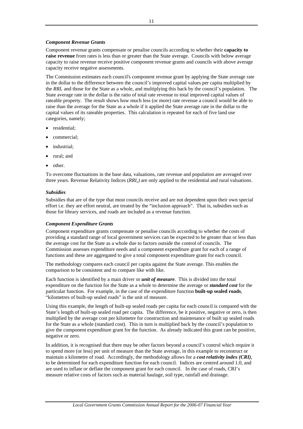# *Component Revenue Grants*

Component revenue grants compensate or penalise councils according to whether their **capacity to raise revenue** from rates is less than or greater than the State average. Councils with below average capacity to raise revenue receive positive component revenue grants and councils with above average capacity receive negative assessments.

The Commission estimates each council's component revenue grant by applying the State average rate in the dollar to the difference between the council's improved capital values per capita multiplied by the *RRIc* and those for the State as a whole, and multiplying this back by the council's population. The State average rate in the dollar is the ratio of total rate revenue to total improved capital values of rateable property. The result shows how much less (or more) rate revenue a council would be able to raise than the average for the State as a whole if it applied the State average rate in the dollar to the capital values of its rateable properties. This calculation is repeated for each of five land use categories, namely;

- residential;
- commercial;
- industrial:
- rural; and
- other.

To overcome fluctuations in the base data, valuations, rate revenue and population are averaged over three years. Revenue Relativity Indices (*RRIc)* are only applied to the residential and rural valuations.

# *Subsidies*

Subsidies that are of the type that most councils receive and are not dependent upon their own special effort i.e. they are effort neutral, are treated by the "inclusion approach". That is, subsidies such as those for library services, and roads are included as a revenue function.

# *Component Expenditure Grants*

Component expenditure grants compensate or penalise councils according to whether the costs of providing a standard range of local government services can be expected to be greater than or less than the average cost for the State as a whole due to factors outside the control of councils. The Commission assesses expenditure needs and a component expenditure grant for each of a range of functions and these are aggregated to give a total component expenditure grant for each council.

The methodology compares each council per capita against the State average. This enables the comparison to be consistent and to compare like with like.

Each function is identified by a main driver or *unit of measure*. This is divided into the total expenditure on the function for the State as a whole to determine the average or *standard cost* for the particular function. For example, in the case of the expenditure function **built-up sealed roads**, "kilometres of built-up sealed roads" is the unit of measure.

Using this example, the length of built-up sealed roads per capita for each council is compared with the State's length of built-up sealed road per capita. The difference, be it positive, negative or zero, is then multiplied by the average cost per kilometre for construction and maintenance of built up sealed roads for the State as a whole (standard cost). This in turn is multiplied back by the council's population to give the component expenditure grant for the function. As already indicated this grant can be positive, negative or zero.

In addition, it is recognised that there may be other factors beyond a council's control which require it to spend more (or less) per unit of measure than the State average, in this example to reconstruct or maintain a kilometre of road. Accordingly, the methodology allows for a *cost relativity index (CRI)*, to be determined for each expenditure function for each council. Indices are centred around 1.0, and are used to inflate or deflate the component grant for each council. In the case of roads, CRI's measure relative costs of factors such as material haulage, soil type, rainfall and drainage.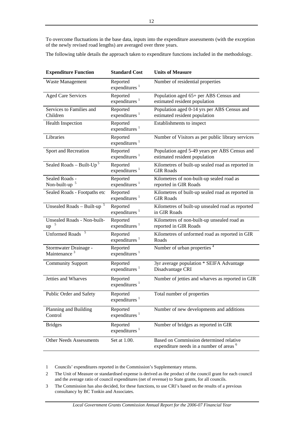To overcome fluctuations in the base data, inputs into the expenditure assessments (with the exception of the newly revised road lengths) are averaged over three years.

The following table details the approach taken to expenditure functions included in the methodology.

| <b>Expenditure Function</b>                       | <b>Standard Cost</b>                  | <b>Units of Measure</b>                                                                        |
|---------------------------------------------------|---------------------------------------|------------------------------------------------------------------------------------------------|
| Waste Management                                  | Reported<br>expenditures $1$          | Number of residential properties                                                               |
| <b>Aged Care Services</b>                         | Reported<br>expenditures <sup>1</sup> | Population aged 65+ per ABS Census and<br>estimated resident population                        |
| Services to Families and<br>Children              | Reported<br>expenditures <sup>1</sup> | Population aged 0-14 yrs per ABS Census and<br>estimated resident population                   |
| <b>Health Inspection</b>                          | Reported<br>expenditures <sup>1</sup> | Establishments to inspect                                                                      |
| Libraries                                         | Reported<br>expenditures <sup>1</sup> | Number of Visitors as per public library services                                              |
| Sport and Recreation                              | Reported<br>expenditures $1$          | Population aged 5-49 years per ABS Census and<br>estimated resident population                 |
| Sealed Roads - Built- $Up^5$                      | Reported<br>expenditures $1$          | Kilometres of built-up sealed road as reported in<br><b>GIR Roads</b>                          |
| Sealed Roads -<br>Non-built-up <sup>5</sup>       | Reported<br>expenditures $1$          | Kilometres of non-built-up sealed road as<br>reported in GIR Roads                             |
| Sealed Roads - Footpaths etc                      | Reported<br>expenditures <sup>1</sup> | Kilometres of built-up sealed road as reported in<br><b>GIR Roads</b>                          |
| Unsealed Roads - Built-up $5$                     | Reported<br>expenditures $1$          | Kilometres of built-up unsealed road as reported<br>in GIR Roads                               |
| Unsealed Roads - Non-built-<br>up                 | Reported<br>expenditures <sup>1</sup> | Kilometres of non-built-up unsealed road as<br>reported in GIR Roads                           |
| <b>Unformed Roads</b>                             | Reported<br>expenditures <sup>1</sup> | Kilometres of unformed road as reported in GIR<br>Roads                                        |
| Stormwater Drainage -<br>Maintenance <sup>3</sup> | Reported<br>expenditures $1$          | Number of urban properties <sup>4</sup>                                                        |
| <b>Community Support</b>                          | Reported<br>expenditures <sup>1</sup> | 3yr average population * SEIFA Advantage<br>Disadvantage CRI                                   |
| <b>Jetties and Wharves</b>                        | Reported<br>expenditures <sup>1</sup> | Number of jetties and wharves as reported in GIR                                               |
| Public Order and Safety                           | Reported<br>expenditures $1$          | Total number of properties                                                                     |
| Planning and Building<br>Control                  | Reported<br>expenditures $1$          | Number of new developments and additions                                                       |
| <b>Bridges</b>                                    | Reported<br>expenditures <sup>1</sup> | Number of bridges as reported in GIR                                                           |
| <b>Other Needs Assessments</b>                    | Set at 1.00.                          | Based on Commission determined relative<br>expenditure needs in a number of areas <sup>6</sup> |

1 Councils' expenditures reported in the Commission's Supplementary returns.

2 The Unit of Measure or standardised expense is derived as the product of the council grant for each council and the average ratio of council expenditures (net of revenue) to State grants, for all councils.

3 The Commission has also decided, for these functions, to use CRI's based on the results of a previous consultancy by BC Tonkin and Associates.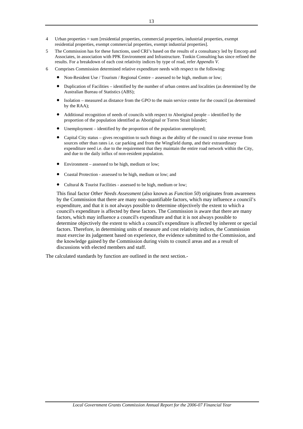- 4 Urban properties = sum [residential properties, commercial properties, industrial properties, exempt residential properties, exempt commercial properties, exempt industrial properties].
- 5 The Commission has for these functions, used CRI's based on the results of a consultancy led by Emcorp and Associates, in association with PPK Environment and Infrastructure. Tonkin Consulting has since refined the results. For a breakdown of each cost relativity indices by type of road, refer *Appendix V*.
- 6 Comprises Commission determined relative expenditure needs with respect to the following:
	- Non-Resident Use / Tourism / Regional Centre assessed to be high, medium or low;
	- Duplication of Facilities identified by the number of urban centres and localities (as determined by the Australian Bureau of Statistics (ABS);
	- Isolation measured as distance from the GPO to the main service centre for the council (as determined by the RAA);
	- Additional recognition of needs of councils with respect to Aboriginal people identified by the proportion of the population identified as Aboriginal or Torres Strait Islander;
	- Unemployment identified by the proportion of the population unemployed;
	- Capital City status gives recognition to such things as the ability of the council to raise revenue from sources other than rates i.e. car parking and from the Wingfield dump, and their extraordinary expenditure need i.e. due to the requirement that they maintain the entire road network within the City, and due to the daily influx of non-resident population.
	- Environment assessed to be high, medium or low;
	- Coastal Protection assessed to be high, medium or low; and
	- Cultural & Tourist Facilities assessed to be high, medium or low;

This final factor *Other Needs Assessment* (also known as *Function 50*) originates from awareness by the Commission that there are many non-quantifiable factors, which may influence a council's expenditure, and that it is not always possible to determine objectively the extent to which a council's expenditure is affected by these factors. The Commission is aware that there are many factors, which may influence a council's expenditure and that it is not always possible to determine objectively the extent to which a council's expenditure is affected by inherent or special factors. Therefore, in determining units of measure and cost relativity indices, the Commission must exercise its judgement based on experience, the evidence submitted to the Commission, and the knowledge gained by the Commission during visits to council areas and as a result of discussions with elected members and staff.

The calculated standards by function are outlined in the next section.-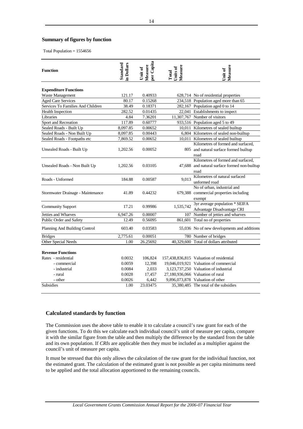# <span id="page-16-0"></span>**Summary of figures by function**

Total Population = 1554656

| <b>Function</b>                   | <b>Standard</b><br>in Dollars | per Capita<br>Measure<br>Unit of | Measure<br>Units of<br>Total | Measure<br>Jnit of                                                                          |
|-----------------------------------|-------------------------------|----------------------------------|------------------------------|---------------------------------------------------------------------------------------------|
| <b>Expenditure Functions</b>      |                               |                                  |                              |                                                                                             |
| Waste Management                  | 121.17                        | 0.40933                          |                              | 628,714 No of residential properties                                                        |
| <b>Aged Care Services</b>         | 80.17                         | 0.15268                          |                              | 234,518 Population aged more than 65                                                        |
| Services To Families And Children | 38.49                         | 0.18371                          |                              | 282,167 Population aged 0 to 14                                                             |
| <b>Health Inspection</b>          | 282.52                        | 0.01435                          |                              | 22,041 Establishments to inspect                                                            |
| Libraries                         | 4.84                          | 7.36201                          |                              | 11,307,767 Number of visitors                                                               |
| Sport and Recreation              | 117.89                        | 0.60777                          |                              | 933,516 Population aged 5 to 49                                                             |
| Sealed Roads - Built Up           | 8,097.85                      | 0.00652                          |                              | 10,011 Kilometres of sealed builtup                                                         |
| Sealed Roads - Non Built Up       | 8,097.85                      | 0.00443                          |                              | 6,804 Kilometres of sealed non-builtup                                                      |
| Sealed Roads - Footpaths etc      | 7,869.52                      | 0.00652                          |                              | 10,011 Kilometres of sealed builtup                                                         |
| Unsealed Roads - Built Up         | 1,202.56                      | 0.00052                          |                              | Kilometres of formed and surfaced.<br>805 and natural surface formed builtup<br>road        |
| Unsealed Roads - Non Built Up     | 1,202.56                      | 0.03105                          |                              | Kilometres of formed and surfaced,<br>47,688 and natural surface formed non-builtup<br>road |
| Roads - Unformed                  | 184.88                        | 0.00587                          | 9.013                        | Kilometres of natural surfaced<br>unformed road                                             |
| Stormwater Drainage - Maintenance | 41.89                         | 0.44232                          |                              | No of urban, industrial and<br>679,388 commercial properties including<br>exempt            |
| <b>Community Support</b>          | 17.21                         | 0.99986                          | 1,535,742                    | 3yr average population * SEIFA<br>Advantage Disadvantage CRI                                |
| Jetties and Wharves               | 6,947.26                      | 0.00007                          | 107                          | Number of jetties and wharves                                                               |
| Public Order and Safety           | 12.49                         | 0.56095                          | 861,601                      | Total no of properties                                                                      |
| Planning And Building Control     | 603.40                        | 0.03583                          |                              | 55,036 No of new developments and additions                                                 |
| <b>Bridges</b>                    | 2,775.61                      | 0.00051                          |                              | 780 Number of bridges                                                                       |
| Other Special Needs               | 1.00                          | 26.25692                         |                              | 40,329,600 Total of dollars attributed                                                      |
| <b>Revenue Functions</b>          |                               |                                  |                              |                                                                                             |
| Rates - residential               | 0.0032                        | 106,824                          |                              | 157,438,836,815 Valuation of residential                                                    |
| - commercial                      | 0.0059                        | 12,398                           |                              | 19,046,019,921 Valuation of commercial                                                      |
| - industrial                      | 0.0084                        | 2,033                            |                              | 3,123,737,250 Valuation of industrial                                                       |
| - rural                           | 0.0028                        | 17,457                           |                              | 27,180,936,066 Valuation of rural                                                           |
| - other                           | 0.0026                        | 6,442                            |                              | 9,896,073,878 Valuation of other                                                            |
| <b>Subsidies</b>                  | 1.00                          | 23.03475                         |                              | 35,380,485 The total of the subsidies                                                       |

### **Calculated standards by function**

The Commission uses the above table to enable it to calculate a council's raw grant for each of the given functions. To do this we calculate each individual council's unit of measure per capita, compare it with the similar figure from the table and then multiply the difference by the standard from the table and its own population. If *CRIs* are applicable then they must be included as a multiplier against the council's unit of measure per capita.

It must be stressed that this only allows the calculation of the raw grant for the individual function, not the estimated grant. The calculation of the estimated grant is not possible as per capita minimums need to be applied and the total allocation apportioned to the remaining councils.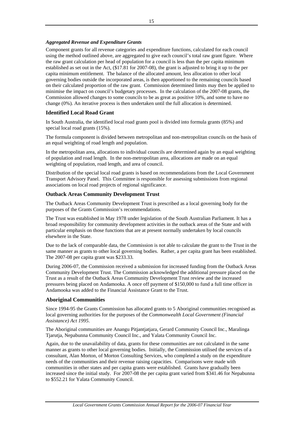# <span id="page-17-0"></span>*Aggregated Revenue and Expenditure Grants*

Component grants for all revenue categories and expenditure functions, calculated for each council using the method outlined above, are aggregated to give each council's total raw grant figure. Where the raw grant calculation per head of population for a council is less than the per capita minimum established as set out in the Act, (\$17.81 for 2007-08), the grant is adjusted to bring it up to the per capita minimum entitlement. The balance of the allocated amount, less allocation to other local governing bodies outside the incorporated areas, is then apportioned to the remaining councils based on their calculated proportion of the raw grant. Commission determined limits may then be applied to minimise the impact on council's budgetary processes. In the calculation of the 2007-08 grants, the Commission allowed changes to some councils to be as great as positive 10%, and some to have no change (0%). An iterative process is then undertaken until the full allocation is determined.

# **Identified Local Road Grant**

In South Australia, the identified local road grants pool is divided into formula grants (85%) and special local road grants (15%).

The formula component is divided between metropolitan and non-metropolitan councils on the basis of an equal weighting of road length and population.

In the metropolitan area, allocations to individual councils are determined again by an equal weighting of population and road length. In the non-metropolitan area, allocations are made on an equal weighting of population, road length, and area of council.

Distribution of the special local road grants is based on recommendations from the Local Government Transport Advisory Panel. This Committee is responsible for assessing submissions from regional associations on local road projects of regional significance.

# **Outback Areas Community Development Trust**

The Outback Areas Community Development Trust is prescribed as a local governing body for the purposes of the Grants Commission's recommendations.

The Trust was established in May 1978 under legislation of the South Australian Parliament. It has a broad responsibility for community development activities in the outback areas of the State and with particular emphasis on those functions that are at present normally undertaken by local councils elsewhere in the State.

Due to the lack of comparable data, the Commission is not able to calculate the grant to the Trust in the same manner as grants to other local governing bodies. Rather, a per capita grant has been established. The 2007-08 per capita grant was \$233.33.

During 2006-07, the Commission received a submission for increased funding from the Outback Areas Community Development Trust. The Commission acknowledged the additional pressure placed on the Trust as a result of the Outback Areas Community Development Trust review and the increased pressures being placed on Andamooka. A once off payment of \$150,000 to fund a full time officer in Andamooka was added to the Financial Assistance Grant to the Trust.

# **Aboriginal Communities**

Since 1994-95 the Grants Commission has allocated grants to 5 Aboriginal communities recognised as local governing authorities for the purposes of the *Commonwealth Local Government (Financial Assistance) Act 1995*.

The Aboriginal communities are Anangu Pitjantjatjara, Gerard Community Council Inc., Maralinga Tjarutja, Nepabunna Community Council Inc., and Yalata Community Council Inc.

Again, due to the unavailability of data, grants for these communities are not calculated in the same manner as grants to other local governing bodies. Initially, the Commission utilised the services of a consultant, Alan Morton, of Morton Consulting Services, who completed a study on the expenditure needs of the communities and their revenue raising capacities. Comparisons were made with communities in other states and per capita grants were established. Grants have gradually been increased since the initial study. For 2007-08 the per capita grant varied from \$341.46 for Nepabunna to \$552.21 for Yalata Community Council.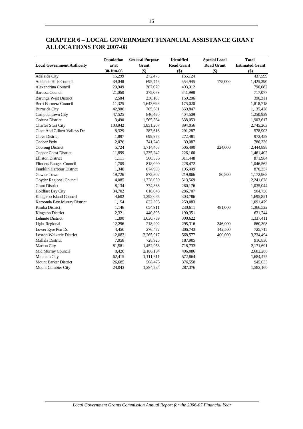|                                   | Population | <b>General Purpose</b> | <b>Identified</b> | <b>Special Local</b> | <b>Total</b>           |
|-----------------------------------|------------|------------------------|-------------------|----------------------|------------------------|
| <b>Local Government Authority</b> | as at      | Grant                  | <b>Road Grant</b> | <b>Road Grant</b>    | <b>Estimated Grant</b> |
|                                   | 30-Jun-06  | \$)                    | $($ \$)           | \$)                  | $($ \$)                |
| <b>Adelaide City</b>              | 15,299     | 272,475                | 165,124           |                      | 437,599                |
| Adelaide Hills Council            | 39,048     | 695,445                | 554,945           | 175,000              | 1,425,390              |
| Alexandrina Council               | 20,949     | 387,070                | 403,012           |                      | 790,082                |
| <b>Barossa Council</b>            | 21,060     | 375,079                | 341,998           |                      | 717,077                |
| <b>Barunga West District</b>      | 2,584      | 236,105                | 160,206           |                      | 396,311                |
| Berri Barmera Council             | 11,325     | 1,643,698              | 175,020           |                      | 1,818,718              |
| <b>Burnside City</b>              | 42,986     | 765,581                | 369,847           |                      | 1,135,428              |
| Campbelltown City                 | 47,525     | 846,420                | 404,509           |                      | 1,250,929              |
| Ceduna District                   | 3,490      | 1,565,564              | 338,053           |                      | 1,903,617              |
| Charles Sturt City                | 103,942    | 1,851,207              | 894,056           |                      | 2,745,263              |
| Clare And Gilbert Valleys Dc      | 8,329      | 287,616                | 291,287           |                      | 578,903                |
| Cleve District                    | 1,897      | 699,978                | 272,481           |                      | 972,459                |
| Coober Pedy                       | 2,076      | 741,249                | 39,087            |                      | 780,336                |
| Coorong District                  | 5,724      | 1,714,408              | 506,490           | 224,000              | 2,444,898              |
| <b>Copper Coast District</b>      | 11,899     | 1,235,242              | 226,160           |                      | 1,461,402              |
| <b>Elliston District</b>          | 1,111      | 560,536                | 311,448           |                      | 871,984                |
| <b>Flinders Ranges Council</b>    | 1,709      | 818,090                | 228,472           |                      | 1,046,562              |
| Franklin Harbour District         | 1,340      | 674,908                | 195,449           |                      | 870,357                |
| Gawler Town                       | 19,726     | 872,302                | 219,866           | 80,800               | 1,172,968              |
| Goyder Regional Council           | 4,085      | 1,728,059              | 513,569           |                      | 2,241,628              |
| <b>Grant District</b>             | 8,134      | 774,868                | 260,176           |                      | 1,035,044              |
| Holdfast Bay City                 | 34,702     | 618,043                | 286,707           |                      | 904,750                |
| Kangaroo Island Council           | 4,602      | 1,392,065              | 303,786           |                      | 1,695,851              |
| Karoonda East Murray District     | 1,154      | 832,396                | 259,083           |                      | 1,091,479              |
| Kimba District                    | 1,146      | 654,911                | 230,611           | 481,000              | 1,366,522              |
| <b>Kingston District</b>          | 2,321      | 440,893                | 190,351           |                      | 631,244                |
| Lehunte District                  | 1,390      | 1,036,789              | 300,622           |                      | 1,337,411              |
| <b>Light Regional</b>             | 12,296     | 218,992                | 295,316           | 346,000              | 860,308                |
| Lower Eyre Pen Dc                 | 4,456      | 276,472                | 306,743           | 142,500              | 725,715                |
| Loxton Waikerie District          | 12,083     | 2,265,917              | 568,577           | 400,000              | 3,234,494              |
| Mallala District                  | 7,958      | 728,925                | 187,905           |                      | 916,830                |
| <b>Marion City</b>                | 81,581     | 1,452,958              | 718,733           |                      | 2,171,691              |
| Mid Murray Council                | 8,420      | 2,186,194              | 496,086           |                      | 2,682,280              |
| Mitcham City                      | 62,415     | 1,111,611              | 572,864           |                      | 1,684,475              |
| <b>Mount Barker District</b>      | 26,685     | 568,475                | 376,558           |                      | 945,033                |
| Mount Gambier City                | 24,043     | 1,294,784              | 287,376           |                      | 1,582,160              |

# <span id="page-18-0"></span>**CHAPTER 6 – LOCAL GOVERNMENT FINANCIAL ASSISTANCE GRANT ALLOCATIONS FOR 2007-08**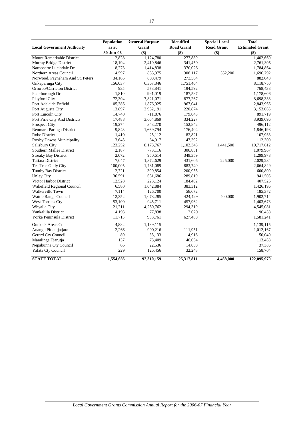|                                   | Population | <b>General Purpose</b> | <b>Identified</b> | <b>Special Local</b> | <b>Total</b>           |
|-----------------------------------|------------|------------------------|-------------------|----------------------|------------------------|
| <b>Local Government Authority</b> | as at      | Grant                  | <b>Road Grant</b> | <b>Road Grant</b>    | <b>Estimated Grant</b> |
|                                   | 30-Jun-06  | \$)                    | \$)               | \$)                  | \$)                    |
| Mount Remarkable District         | 2,828      | 1,124,780              | 277,889           |                      | 1,402,669              |
| Murray Bridge District            | 18,194     | 2,419,846              | 341,459           |                      | 2,761,305              |
| Naracoorte Lucindale Dc           | 8,273      | 1,414,838              | 370,026           |                      | 1,784,864              |
| Northern Areas Council            | 4,597      | 835,975                | 308,117           | 552,200              | 1,696,292              |
| Norwood, Payneham And St. Peters  | 34,165     | 608,479                | 273,564           |                      | 882,043                |
| Onkaparinga City                  | 156,037    | 6,367,346              | 1,751,404         |                      | 8,118,750              |
| Orroroo/Carrieton District        | 935        | 573,841                | 194,592           |                      | 768,433                |
| Peterborough Dc                   | 1,810      | 991,019                | 187,587           |                      | 1,178,606              |
| Playford City                     | 72,304     | 7,821,071              | 877,267           |                      | 8,698,338              |
| Port Adelaide Enfield             | 105,386    | 1,876,925              | 967,041           |                      | 2,843,966              |
| Port Augusta City                 | 13,897     | 2,932,191              | 220,874           |                      | 3,153,065              |
| Port Lincoln City                 | 14,740     | 711,876                | 179,843           |                      | 891,719                |
| Port Pirie City And Districts     | 17,488     | 3,604,869              | 334,227           |                      | 3,939,096              |
| Prospect City                     | 19,274     | 343,270                | 152,842           |                      | 496,112                |
| Renmark Paringa District          | 9,848      | 1,669,794              | 176,404           |                      | 1,846,198              |
| Robe District                     | 1,410      | 25,112                 | 82,821            |                      | 107,933                |
| <b>Roxby Downs Municipality</b>   | 3,645      | 64,917                 | 47,392            |                      | 112,309                |
| Salisbury City                    | 123,252    | 8,173,767              | 1,102,345         | 1,441,500            | 10,717,612             |
| Southern Mallee District          | 2,187      | 773,116                | 306,851           |                      | 1,079,967              |
| <b>Streaky Bay District</b>       | 2,072      | 950,614                | 349,359           |                      | 1,299,973              |
| <b>Tatiara District</b>           | 7,047      | 1,372,629              | 431,605           | 225,000              | 2,029,234              |
| Tea Tree Gully City               | 100,005    | 1,781,089              | 883,740           |                      | 2,664,829              |
| <b>Tumby Bay District</b>         | 2,721      | 399,854                | 200,955           |                      | 600,809                |
| <b>Unley City</b>                 | 36,591     | 651,686                | 289,819           |                      | 941,505                |
| Victor Harbor District            | 12,528     | 223,124                | 184,402           |                      | 407,526                |
| Wakefield Regional Council        | 6,580      | 1,042,884              | 383,312           |                      | 1,426,196              |
| Walkerville Town                  | 7,114      | 126,700                | 58,672            |                      | 185,372                |
| Wattle Range Council              | 12,352     | 1,078,285              | 424,429           | 400,000              | 1,902,714              |
| West Torrens Cty                  | 53,100     | 945,711                | 457,962           |                      | 1,403,673              |
| Whyalla City                      | 21,211     | 4,250,762              | 294,319           |                      | 4,545,081              |
| Yankalilla District               | 4,193      | 77,838                 | 112,620           |                      | 190,458                |
| Yorke Peninsula District          | 11,713     | 953,761                | 627,480           |                      | 1,581,241              |
| <b>Outback Areas Cdt</b>          | 4,882      | 1,139,115              |                   |                      | 1,139,115              |
| Anangu Pitjantjatjara             | 2,266      | 900,216                | 111,951           |                      | 1,012,167              |
| Gerard Cty Council                | 89         | 35,133                 | 14,916            |                      | 50,049                 |
| Maralinga Tjarutja                | 137        | 73,409                 | 40,054            |                      | 113,463                |
| Nepabunna Cty Council             | 66         | 22,536                 | 14,850            |                      | 37,386                 |
| Yalata Cty Council                | 229        | 126,456                | 32,248            |                      | 158,704                |
| <b>STATE TOTAL</b>                | 1,554,656  | 92,310,159             | 25,317,811        | 4,468,000            | 122,095,970            |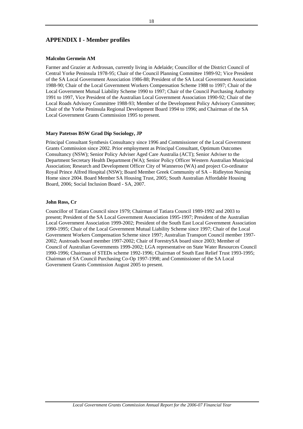# <span id="page-20-0"></span>**APPENDIX I - Member profiles**

### **Malcolm Germein AM**

Farmer and Grazier at Ardrossan, currently living in Adelaide; Councillor of the District Council of Central Yorke Peninsula 1978-95; Chair of the Council Planning Committee 1989-92; Vice President of the SA Local Government Association 1986-88; President of the SA Local Government Association 1988-90; Chair of the Local Government Workers Compensation Scheme 1988 to 1997; Chair of the Local Government Mutual Liability Scheme 1990 to 1997; Chair of the Council Purchasing Authority 1991 to 1997, Vice President of the Australian Local Government Association 1990-92; Chair of the Local Roads Advisory Committee 1988-93; Member of the Development Policy Advisory Committee; Chair of the Yorke Peninsula Regional Development Board 1994 to 1996; and Chairman of the SA Local Government Grants Commission 1995 to present.

### **Mary Patetsos BSW Grad Dip Sociology, JP**

Principal Consultant Synthesis Consultancy since 1996 and Commissioner of the Local Government Grants Commission since 2002. Prior employment as Principal Consultant, Optimum Outcomes Consultancy (NSW); Senior Policy Adviser Aged Care Australia (ACT); Senior Adviser to the Department Secretary Health Department (WA); Senior Policy Officer Western Australian Municipal Association; Research and Development Officer City of Wanneroo (WA) and project Co-ordinator Royal Prince Alfred Hospital (NSW); Board Member Greek Community of SA – Ridleyton Nursing Home since 2004. Board Member SA Housing Trust, 2005; South Australian Affordable Housing Board, 2006; Social Inclusion Board - SA, 2007.

### **John Ross, Cr**

Councillor of Tatiara Council since 1979; Chairman of Tatiara Council 1989-1992 and 2003 to present; President of the SA Local Government Association 1995-1997; President of the Australian Local Government Association 1999-2002; President of the South East Local Government Association 1990-1995; Chair of the Local Government Mutual Liability Scheme since 1997; Chair of the Local Government Workers Compensation Scheme since 1997; Australian Transport Council member 1997- 2002; Austroads board member 1997-2002; Chair of ForestrySA board since 2003; Member of Council of Australian Governments 1999-2002; LGA representative on State Water Resources Council 1990-1996; Chairman of STEDs scheme 1992-1996; Chairman of South East Relief Trust 1993-1995; Chairman of SA Council Purchasing Co-Op 1997-1998; and Commissioner of the SA Local Government Grants Commission August 2005 to present.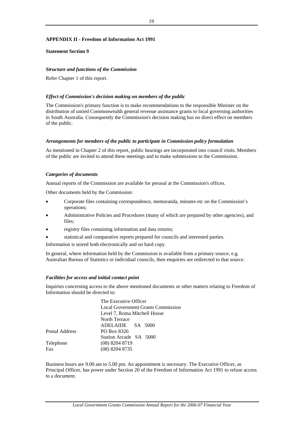# <span id="page-21-0"></span>**APPENDIX II - Freedom of Information Act 1991**

### **Statement Section 9**

# *Structure and functions of the Commission*

Refer Chapter 1 of this report.

### *Effect of Commission's decision making on members of the public*

The Commission's primary function is to make recommendations to the responsible Minister on the distribution of untied Commonwealth general revenue assistance grants to local governing authorities in South Australia. Consequently the Commission's decision making has no direct effect on members of the public.

### *Arrangements for members of the public to participate in Commission policy formulation*

As mentioned in Chapter 2 of this report, public hearings are incorporated into council visits. Members of the public are invited to attend these meetings and to make submissions to the Commission.

### *Categories of documents*

Annual reports of the Commission are available for perusal at the Commission's offices.

Other documents held by the Commission:

- Corporate files containing correspondence, memoranda, minutes etc on the Commission's operations;
- Administrative Policies and Procedures (many of which are prepared by other agencies), and files;
- registry files containing information and data returns;
- statistical and comparative reports prepared for councils and interested parties.

Information is stored both electronically and on hard copy.

In general, where information held by the Commission is available from a primary source, e.g. Australian Bureau of Statistics or individual councils, then enquiries are redirected to that source.

### *Facilities for access and initial contact point*

Inquiries concerning access to the above mentioned documents or other matters relating to Freedom of Information should be directed to:

|                | The Executive Officer                     |
|----------------|-------------------------------------------|
|                | <b>Local Government Grants Commission</b> |
|                | Level 7, Roma Mitchell House              |
|                | North Terrace                             |
|                | ADELAIDE SA 5000                          |
| Postal Address | PO Box 8326                               |
|                | Station Arcade SA 5000                    |
| Telephone      | $(08)$ 8204 8719                          |
| Fax            | $(08)$ 8204 8735                          |
|                |                                           |

Business hours are 9.00 am to 5.00 pm. An appointment is necessary. The Executive Officer, as Principal Officer, has power under Section 20 of the Freedom of Information Act 1991 to refuse access to a document.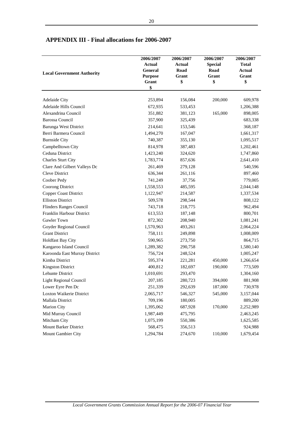| <b>Local Government Authority</b> | 2006/2007<br><b>Actual</b><br>General<br><b>Purpose</b><br>Grant | 2006/2007<br><b>Actual</b><br>Road<br>Grant<br>\$ | 2006/2007<br><b>Special</b><br>Road<br>Grant<br>\$ | 2006/2007<br><b>Total</b><br><b>Actual</b><br>Grant<br>\$ |
|-----------------------------------|------------------------------------------------------------------|---------------------------------------------------|----------------------------------------------------|-----------------------------------------------------------|
|                                   | \$                                                               |                                                   |                                                    |                                                           |
|                                   |                                                                  |                                                   |                                                    |                                                           |
| Adelaide City                     | 253,894                                                          | 156,084                                           | 200,000                                            | 609,978                                                   |
| Adelaide Hills Council            | 672,935                                                          | 533,453                                           |                                                    | 1,206,388                                                 |
| Alexandrina Council               | 351,882                                                          | 381,123                                           | 165,000                                            | 898,005                                                   |
| <b>Barossa Council</b>            | 357,900                                                          | 325,439                                           |                                                    | 683,338                                                   |
| <b>Barunga West District</b>      | 214,641                                                          | 153,546                                           |                                                    | 368,187                                                   |
| Berri Barmera Council             | 1,494,270                                                        | 167,047                                           |                                                    | 1,661,317                                                 |
| <b>Burnside City</b>              | 740,387                                                          | 355,130                                           |                                                    | 1,095,517                                                 |
| Campbelltown City                 | 814,978                                                          | 387,483                                           |                                                    | 1,202,461                                                 |
| Ceduna District                   | 1,423,240                                                        | 324,620                                           |                                                    | 1,747,860                                                 |
| <b>Charles Sturt City</b>         | 1,783,774                                                        | 857,636                                           |                                                    | 2,641,410                                                 |
| Clare And Gilbert Valleys Dc      | 261,469                                                          | 279,128                                           |                                                    | 540,596                                                   |
| Cleve District                    | 636,344                                                          | 261,116                                           |                                                    | 897,460                                                   |
| Coober Pedy                       | 741,249                                                          | 37,756                                            |                                                    | 779,005                                                   |
| Coorong District                  | 1,558,553                                                        | 485,595                                           |                                                    | 2,044,148                                                 |
| Copper Coast District             | 1,122,947                                                        | 214,587                                           |                                                    | 1,337,534                                                 |
| <b>Elliston District</b>          | 509,578                                                          | 298,544                                           |                                                    | 808,122                                                   |
| Flinders Ranges Council           | 743,718                                                          | 218,775                                           |                                                    | 962,494                                                   |
| Franklin Harbour District         | 613,553                                                          | 187,148                                           |                                                    | 800,701                                                   |
| <b>Gawler Town</b>                | 872,302                                                          | 208,940                                           |                                                    | 1,081,241                                                 |
| Goyder Regional Council           | 1,570,963                                                        | 493,261                                           |                                                    | 2,064,224                                                 |
| <b>Grant District</b>             | 758,111                                                          | 249,898                                           |                                                    | 1,008,009                                                 |
| <b>Holdfast Bay City</b>          | 590,965                                                          | 273,750                                           |                                                    | 864,715                                                   |
| Kangaroo Island Council           | 1,289,382                                                        | 290,758                                           |                                                    | 1,580,140                                                 |
| Karoonda East Murray District     | 756,724                                                          | 248,524                                           |                                                    | 1,005,247                                                 |
| Kimba District                    | 595,374                                                          | 221,281                                           | 450,000                                            | 1,266,654                                                 |
| <b>Kingston District</b>          | 400,812                                                          | 182,697                                           | 190,000                                            | 773,509                                                   |
| Lehunte District                  | 1,010,691                                                        | 293,470                                           |                                                    | 1,304,160                                                 |
| <b>Light Regional Council</b>     | 207,185                                                          | 280,723                                           | 394,000                                            | 881,908                                                   |
| Lower Eyre Pen Dc                 | 251,339                                                          | 292,639                                           | 187,000                                            | 730,978                                                   |
| Loxton Waikerie District          | 2,065,717                                                        | 546,327                                           | 545,000                                            | 3,157,044                                                 |
| Mallala District                  | 709,196                                                          | 180,005                                           |                                                    | 889,200                                                   |
| <b>Marion City</b>                | 1,395,062                                                        | 687,928                                           | 170,000                                            | 2,252,989                                                 |
| Mid Murray Council                | 1,987,449                                                        | 475,795                                           |                                                    | 2,463,245                                                 |
| Mitcham City                      | 1,075,199                                                        | 550,386                                           |                                                    | 1,625,585                                                 |
| <b>Mount Barker District</b>      | 568,475                                                          | 356,513                                           |                                                    | 924,988                                                   |
| Mount Gambier City                | 1,294,784                                                        | 274,670                                           | 110,000                                            | 1,679,454                                                 |

# <span id="page-22-0"></span>**APPENDIX III - Final allocations for 2006-2007**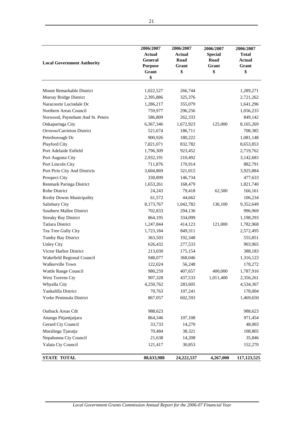| <b>Local Government Authority</b> | 2006/2007<br>Actual<br>General<br><b>Purpose</b><br>Grant<br>\$ | 2006/2007<br><b>Actual</b><br>Road<br>Grant<br>\$ | 2006/2007<br><b>Special</b><br>Road<br>Grant<br>\$ | 2006/2007<br><b>Total</b><br><b>Actual</b><br>Grant<br>\$ |
|-----------------------------------|-----------------------------------------------------------------|---------------------------------------------------|----------------------------------------------------|-----------------------------------------------------------|
|                                   |                                                                 |                                                   |                                                    |                                                           |
| Mount Remarkable District         | 1,022,527                                                       | 266,744                                           |                                                    | 1,289,271                                                 |
| Murray Bridge District            | 2,395,886                                                       | 325,376                                           |                                                    | 2,721,262                                                 |
| Naracoorte Lucindale Dc           | 1,286,217                                                       | 355,079                                           |                                                    | 1,641,296                                                 |
| Northern Areas Council            | 759,977                                                         | 296,256                                           |                                                    | 1,056,233                                                 |
| Norwood, Payneham And St. Peters  | 586,809                                                         | 262,333                                           |                                                    | 849,142                                                   |
| Onkaparinga City                  | 6,367,346                                                       | 1,672,923                                         | 125,000                                            | 8,165,269                                                 |
| Orroroo/Carrieton District        | 521,674                                                         | 186,711                                           |                                                    | 708,385                                                   |
| Peterborough Dc                   | 900,926                                                         | 180,222                                           |                                                    | 1,081,148                                                 |
| Playford City                     | 7,821,071                                                       | 832,782                                           |                                                    | 8,653,853                                                 |
| Port Adelaide Enfield             | 1,796,309                                                       | 923,452                                           |                                                    | 2,719,762                                                 |
| Port Augusta City                 | 2,932,191                                                       | 210,492                                           |                                                    | 3,142,683                                                 |
| Port Lincoln City                 | 711,876                                                         | 170,914                                           |                                                    | 882,791                                                   |
| Port Pirie City And Districts     | 3,604,869                                                       | 321,015                                           |                                                    | 3,925,884                                                 |
| Prospect City                     | 330,899                                                         | 146,734                                           |                                                    | 477,633                                                   |
| Renmark Paringa District          | 1,653,261                                                       | 168,479                                           |                                                    | 1,821,740                                                 |
| Robe District                     | 24,243                                                          | 79,418                                            | 62,500                                             | 166,161                                                   |
| Roxby Downs Municipality          | 61,572                                                          | 44,662                                            |                                                    | 106,234                                                   |
| Salisbury City                    | 8,173,767                                                       | 1,042,782                                         | 136,100                                            | 9,352,649                                                 |
| Southern Mallee District          | 702,833                                                         | 294,136                                           |                                                    | 996,969                                                   |
| <b>Streaky Bay District</b>       | 864,195                                                         | 334,099                                           |                                                    | 1,198,293                                                 |
| <b>Tatiara District</b>           | 1,247,844                                                       | 414,123                                           | 121,000                                            | 1,782,968                                                 |
| Tea Tree Gully City               | 1,723,184                                                       | 849,311                                           |                                                    | 2,572,495                                                 |
| Tumby Bay District                | 363,503                                                         | 192,348                                           |                                                    | 555,851                                                   |
| <b>Unley City</b>                 | 626,432                                                         | 277,533                                           |                                                    | 903,965                                                   |
| Victor Harbor District            | 213,030                                                         | 175,154                                           |                                                    | 388,183                                                   |
| Wakefield Regional Council        | 948,077                                                         | 368,046                                           |                                                    | 1,316,123                                                 |
| Walkerville Town                  | 122,024                                                         | 56,248                                            |                                                    | 178,272                                                   |
| Wattle Range Council              | 980,259                                                         | 407,657                                           | 400,000                                            | 1,787,916                                                 |
| West Torrens Cty                  | 907,328                                                         | 437,533                                           | 1,011,400                                          | 2,356,261                                                 |
| Whyalla City                      | 4,250,762                                                       | 283,605                                           |                                                    | 4,534,367                                                 |
| Yankalilla District               | 70,763                                                          | 107,241                                           |                                                    | 178,004                                                   |
| Yorke Peninsula District          | 867,057                                                         | 602,593                                           |                                                    | 1,469,650                                                 |
| Outback Areas Cdt                 | 988,623                                                         |                                                   |                                                    | 988,623                                                   |
| Anangu Pitjantjatjara             | 864,346                                                         | 107,108                                           |                                                    | 971,454                                                   |
| Gerard Cty Council                | 33,733                                                          | 14,270                                            |                                                    | 48,003                                                    |
| Maralinga Tjarutja                | 70,484                                                          | 38,321                                            |                                                    | 108,805                                                   |
| Nepabunna Cty Council             | 21,638                                                          | 14,208                                            |                                                    | 35,846                                                    |
| Yalata Cty Council                | 121,417                                                         | 30,853                                            |                                                    | 152,270                                                   |
| <b>STATE TOTAL</b>                | 88,633,988                                                      | 24,222,537                                        | 4,267,000                                          | 117,123,525                                               |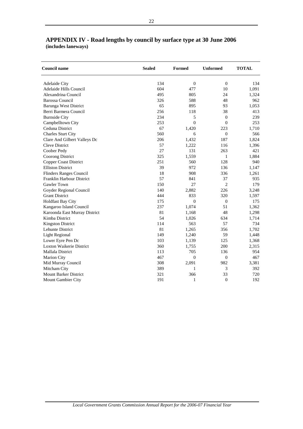| <b>Council name</b>             | <b>Sealed</b> | Formed           | <b>Unformed</b>  | <b>TOTAL</b> |
|---------------------------------|---------------|------------------|------------------|--------------|
| Adelaide City                   | 134           | $\boldsymbol{0}$ | $\mathbf{0}$     | 134          |
| Adelaide Hills Council          | 604           | 477              | 10               | 1,091        |
| Alexandrina Council             | 495           | 805              | 24               | 1,324        |
| Barossa Council                 | 326           | 588              | 48               | 962          |
| Barunga West District           | 65            | 895              | 93               | 1,053        |
| Berri Barmera Council           | 256           | 118              | 38               | 413          |
| <b>Burnside City</b>            | 234           | 5                | $\Omega$         | 239          |
| Campbelltown City               | 253           | $\overline{0}$   | $\mathbf{0}$     | 253          |
| Ceduna District                 | 67            | 1,420            | 223              | 1,710        |
| Charles Sturt City              | 560           | 6                | $\mathbf{0}$     | 566          |
| Clare And Gilbert Valleys Dc    | 206           | 1,432            | 187              | 1,824        |
| <b>Cleve District</b>           | 57            | 1,222            | 116              | 1,396        |
| Coober Pedy                     | 27            | 131              | 263              | 421          |
| <b>Coorong District</b>         | 325           | 1,559            | $\mathbf{1}$     | 1,884        |
| <b>Copper Coast District</b>    | 251           | 560              | 128              | 940          |
| <b>Elliston District</b>        | 39            | 972              | 136              | 1,147        |
| <b>Flinders Ranges Council</b>  | 18            | 908              | 336              | 1,261        |
| Franklin Harbour District       | 57            | 841              | 37               | 935          |
| <b>Gawler Town</b>              | 150           | 27               | $\overline{2}$   | 179          |
| Goyder Regional Council         | 140           | 2,882            | 226              | 3,248        |
| <b>Grant District</b>           | 444           | 833              | 320              | 1,597        |
| <b>Holdfast Bay City</b>        | 175           | $\overline{0}$   | $\overline{0}$   | 175          |
| Kangaroo Island Council         | 237           | 1,074            | 51               | 1,362        |
| Karoonda East Murray District   | 81            | 1,168            | 48               | 1,298        |
| Kimba District                  | 54            | 1,026            | 634              | 1,714        |
| <b>Kingston District</b>        | 114           | 563              | 57               | 734          |
| Lehunte District                | 81            | 1,265            | 356              | 1,702        |
| <b>Light Regional</b>           | 149           | 1,240            | 59               | 1,448        |
| Lower Eyre Pen Dc               | 103           | 1,139            | 125              | 1,368        |
| <b>Loxton Waikerie District</b> | 360           | 1,755            | 200              | 2,315        |
| Mallala District                | 113           | 705              | 136              | 954          |
| Marion City                     | 467           | $\overline{0}$   | $\mathbf{0}$     | 467          |
| Mid Murray Council              | 308           | 2,091            | 982              | 3,381        |
| Mitcham City                    | 389           | $\mathbf{1}$     | $\mathfrak{Z}$   | 392          |
| <b>Mount Barker District</b>    | 321           | 366              | 33               | 720          |
| Mount Gambier City              | 191           | 1                | $\boldsymbol{0}$ | 192          |

# <span id="page-24-0"></span>**APPENDIX IV - Road lengths by council by surface type at 30 June 2006 (includes laneways)**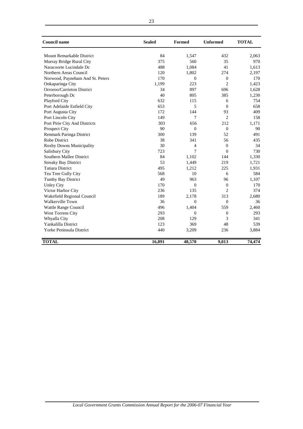| <b>Council name</b>              | <b>Sealed</b> | Formed         | <b>Unformed</b> | <b>TOTAL</b> |  |
|----------------------------------|---------------|----------------|-----------------|--------------|--|
| <b>Mount Remarkable District</b> | 84            | 1,547          | 432             | 2,063        |  |
| Murray Bridge Rural City         | 375           | 560            | 35              | 970          |  |
| Naracoorte Lucindale Dc          | 488           | 1,084          | 41              | 1,613        |  |
| Northern Areas Council           | 120           | 1,802          | 274             | 2,197        |  |
| Norwood, Payneham And St. Peters | 170           | $\Omega$       | $\theta$        | 170          |  |
| Onkaparinga City                 | 1,199         | 223            | $\overline{c}$  | 1,423        |  |
| Orroroo/Carrieton District       | 34            | 897            | 696             | 1,628        |  |
| Peterborough Dc                  | 40            | 805            | 385             | 1,230        |  |
| Playford City                    | 632           | 115            | 6               | 754          |  |
| Port Adelaide Enfield City       | 653           | 5              | $\overline{0}$  | 658          |  |
| Port Augusta City                | 172           | 144            | 93              | 409          |  |
| Port Lincoln City                | 149           | 7              | $\overline{c}$  | 158          |  |
| Port Pirie City And Districts    | 303           | 656            | 212             | 1,171        |  |
| Prospect City                    | 90            | $\theta$       | $\mathbf{0}$    | 90           |  |
| Renmark Paringa District         | 300           | 139            | 52              | 491          |  |
| <b>Robe District</b>             | 38            | 341            | 56              | 435          |  |
| Roxby Downs Municipality         | 30            | 4              | $\Omega$        | 34           |  |
| Salisbury City                   | 723           | 7              | $\Omega$        | 730          |  |
| Southern Mallee District         | 84            | 1,102          | 144             | 1,330        |  |
| <b>Streaky Bay District</b>      | 53            | 1,449          | 219             | 1,721        |  |
| <b>Tatiara District</b>          | 495           | 1,212          | 225             | 1,931        |  |
| Tea Tree Gully City              | 568           | 10             | 6               | 584          |  |
| <b>Tumby Bay District</b>        | 49            | 963            | 96              | 1,107        |  |
| <b>Unley City</b>                | 170           | $\overline{0}$ | $\overline{0}$  | 170          |  |
| Victor Harbor City               | 236           | 135            | $\overline{c}$  | 374          |  |
| Wakefield Regional Council       | 189           | 2,178          | 313             | 2,680        |  |
| Walkerville Town                 | 36            | $\overline{0}$ | $\mathbf{0}$    | 36           |  |
| Wattle Range Council             | 496           | 1,404          | 559             | 2,460        |  |
| West Torrens City                | 293           | $\overline{0}$ | $\mathbf{0}$    | 293          |  |
| Whyalla City                     | 208           | 129            | 3               | 341          |  |
| Yankalilla District              | 123           | 369            | 48              | 539          |  |
| Yorke Peninsula District         | 440           | 3,209          | 236             | 3,884        |  |
| <b>TOTAL</b>                     | 16,891        | 48,570         | 9,013           | 74,474       |  |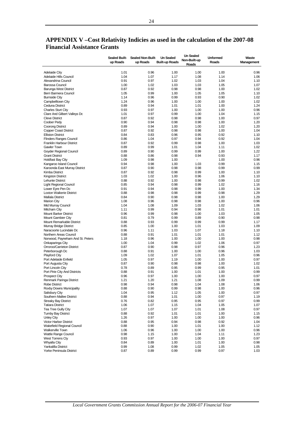|                                  | <b>Sealed Built-</b> | <b>Sealed Non-Built</b> | <b>Un Sealed</b>      | <b>Un Sealed</b> | <b>Unformed</b> | Waste      |
|----------------------------------|----------------------|-------------------------|-----------------------|------------------|-----------------|------------|
|                                  |                      |                         |                       | Non-Built-up     |                 |            |
|                                  | up Roads             | up Roads                | <b>Built-up Roads</b> | Roads            | Roads           | Management |
|                                  |                      |                         |                       |                  |                 |            |
| <b>Adelaide City</b>             | 1.01                 | 0.96                    | 1.00                  | 1.00             | 1.00            | 0.96       |
| Adelaide Hills Council           | 1.04                 | 1.07                    | 1.17                  | 1.08             | 1.14            | 1.06       |
| Alexandrina Council              | 0.91                 | 0.97                    | 1.02                  | 1.03             | 1.04            | 1.10       |
|                                  |                      |                         |                       |                  |                 |            |
| Barossa Council                  | 1.00                 | 1.02                    | 1.03                  | 1.03             | 1.05            | 1.07       |
| Barunga West District            | 0.87                 | 0.92                    | 0.98                  | 0.98             | 1.00            | 1.02       |
| Berri Barmera Council            | 1.05                 | 0.99                    | 1.00                  | 1.05             | 1.05            | 1.10       |
| <b>Burnside City</b>             | 1.14                 | 0.96                    | 0.99                  | 0.93             | 0.90            | 1.02       |
| Campbelltown City                | 1.24                 | 0.96                    | 1.00                  | 1.00             | 1.00            | 1.02       |
| Ceduna District                  | 0.89                 | 0.94                    | 1.01                  | 1.01             | 1.00            | 1.24       |
| <b>Charles Sturt City</b>        | 0.93                 | 0.97                    | 1.00                  | 1.00             | 1.00            | 0.96       |
|                                  | 1.01                 | 0.97                    | 0.99                  | 1.00             | 1.04            | 1.15       |
| Clare And Gilbert Valleys Dc     |                      |                         |                       |                  |                 |            |
| <b>Cleve District</b>            | 0.87                 | 0.92                    | 0.98                  | 0.98             | 1.00            | 0.97       |
| Coober Pedv                      | 0.90                 | 0.94                    | 0.98                  | 0.98             | 1.00            | 1.20       |
| Coorong District                 | 0.89                 | 0.94                    | 1.00                  | 1.00             | 1.02            | 1.20       |
| <b>Copper Coast District</b>     | 0.87                 | 0.92                    | 0.98                  | 0.98             | 1.00            | 1.04       |
| <b>Elliston District</b>         | 0.84                 | 0.83                    | 0.96                  | 0.95             | 0.92            | 1.10       |
| <b>Flinders Ranges Council</b>   | 0.86                 | 1.04                    | 0.97                  | 0.94             | 0.92            | 1.04       |
| <b>Franklin Harbour District</b> | 0.87                 | 0.92                    | 0.99                  | 0.98             | 1.00            | 1.03       |
| Gawler Town                      | 0.89                 | 0.99                    | 1.01                  | 1.04             | 1.11            | 1.02       |
|                                  |                      |                         |                       |                  |                 |            |
| Goyder Regional Council          | 0.89                 | 0.90                    | 0.99                  | 0.99             | 1.00            | 1.22       |
| <b>Grant District</b>            | 0.88                 | 0.86                    | 0.98                  | 0.94             | 0.93            | 1.17       |
| <b>Holdfast Bay City</b>         | 1.09                 | 0.98                    | 1.00                  | ÷                | 1.00            | 0.96       |
| Kangaroo Island Council          | 0.94                 | 0.98                    | 1.00                  | 1.03             | 0.99            | 1.15       |
| Karoonda East Murray District    | 0.87                 | 0.90                    | 0.98                  | 0.98             | 0.99            | 0.99       |
| Kimba District                   | 0.87                 | 0.92                    | 0.98                  | 0.99             | 1.00            | 1.10       |
| Kingston District                | 1.03                 | 1.02                    | 1.00                  | 0.96             | 1.06            | 1.10       |
| Lehunte District                 | 0.88                 | 0.92                    | 1.00                  | 0.98             | 0.99            | 1.02       |
|                                  |                      |                         |                       |                  |                 |            |
| <b>Light Regional Council</b>    | 0.85                 | 0.94                    | 0.98                  | 0.99             | 1.02            | 1.16       |
| Lower Eyre Pen Dc                | 0.91                 | 0.94                    | 0.98                  | 0.99             | 1.00            | 1.34       |
| Loxton Waikerie District         | 0.88                 | 0.98                    | 0.98                  | 0.99             | 0.98            | 1.29       |
| <b>Mallala District</b>          | 0.84                 | 0.90                    | 0.98                  | 0.98             | 1.00            | 1.29       |
| <b>Marion City</b>               | 1.08                 | 0.96                    | 0.98                  | 0.98             | 1.00            | 0.96       |
| Mid Murray Council               | 1.04                 | 1.08                    | 1.09                  | 1.03             | 1.02            | 1.06       |
| Mitcham City                     | 1.11                 | 0.99                    | 0.94                  | 0.98             | 1.01            | 1.01       |
| <b>Mount Barker District</b>     | 0.96                 | 0.99                    | 0.98                  | 1.00             | 1.03            | 1.05       |
|                                  |                      |                         |                       |                  |                 |            |
| Mount Gambier City               | 0.81                 | 0.79                    | 0.99                  | 0.89             | 0.90            | 0.98       |
| Mount Remarkable District        | 0.88                 | 0.93                    | 0.99                  | 0.99             | 0.99            | 1.17       |
| Murray Bridge District           | 0.85                 | 1.00                    | 1.00                  | 1.01             | 1.03            | 1.09       |
| Naracoorte Lucindale Dc          | 0.96                 | 1.11                    | 1.03                  | 1.07             | 1.18            | 1.10       |
| Northern Areas Council           | 0.88                 | 0.91                    | 1.01                  | 1.01             | 1.01            | 1.12       |
| Norwood, Payneham And St. Peters | 1.18                 | 0.96                    | 1.00                  | 1.00             | 1.00            | 0.98       |
| Onkaparinga City                 | 1.00                 | 1.04                    | 0.99                  | 1.02             | 1.06            | 0.97       |
| Orroroo/Carrieton District       | 0.87                 | 0.90                    | 0.98                  | 0.97             | 0.96            | 1.23       |
|                                  |                      |                         |                       |                  |                 | 1.03       |
| Peterborough Dc                  | 0.88                 | 0.91                    | 1.00                  | 1.00             | 0.96            |            |
| Playford City                    | 1.09                 | 1.02                    | 1.07                  | 1.01             | 1.05            | 0.96       |
| Port Adelaide Enfield            | 1.05                 | 0.97                    | 1.19                  | 1.00             | 1.00            | 0.97       |
| Port Augusta City                | 0.87                 | 0.90                    | 0.98                  | 0.98             | 1.00            | 1.02       |
| Port Lincoln City                | 0.78                 | 0.89                    | 0.95                  | 0.99             | 0.95            | 1.01       |
| Port Pirie City And Districts    | 0.88                 | 0.91                    | 1.00                  | 1.01             | 1.00            | 0.99       |
| <b>Prospect City</b>             | 0.96                 | 0.97                    | 1.00                  | 1.00             | 1.00            | 0.97       |
| Renmark Paringa District         | 1.21                 | 1.20                    | 1.21                  | 1.08             | 1.09            | 0.99       |
|                                  |                      |                         |                       |                  |                 |            |
| Robe District                    | 0.98                 | 0.94                    | 0.98                  | 1.04             | 1.08            | 1.06       |
| Roxby Downs Municipality         | 0.88                 | 0.90                    | 0.99                  | 0.98             | 1.00            | 0.96       |
| Salisbury City                   | 1.04                 | 0.95                    | 1.12                  | 1.05             | 1.00            | 0.97       |
| Southern Mallee District         | 0.88                 | 0.94                    | 1.01                  | 1.00             | 0.97            | 1.19       |
| <b>Streaky Bay District</b>      | 0.76                 | 0.82                    | 0.95                  | 0.95             | 0.97            | 0.99       |
| <b>Tatiara District</b>          | 1.06                 | 1.07                    | 1.15                  | 1.04             | 1.05            | 1.07       |
| Tea Tree Gully City              | 1.07                 | 1.07                    | 1.07                  | 1.01             | 1.08            | 0.97       |
| <b>Tumby Bay District</b>        | 0.88                 | 0.92                    | 1.01                  | 1.01             | 1.00            | 1.15       |
| <b>Unley City</b>                | 1.26                 | 0.97                    | 1.00                  | 1.00             | 1.00            | 0.96       |
|                                  |                      |                         |                       |                  |                 |            |
| <b>Victor Harbor District</b>    | 0.88                 | 0.95                    | 0.94                  | 0.98             | 0.92            | 1.04       |
| Wakefield Regional Council       | 0.88                 | 0.90                    | 1.00                  | 1.01             | 1.00            | 1.12       |
| <b>Walkerville Town</b>          | 1.06                 | 0.96                    | 1.00                  | 1.00             | 1.00            | 0.96       |
| Wattle Range Council             | 0.98                 | 1.15                    | 1.00                  | 1.04             | 1.11            | 1.23       |
| West Torrens Cty                 | 0.93                 | 0.97                    | 1.00                  | 1.00             | 1.00            | 0.97       |
| <b>Whyalla City</b>              | 0.84                 | 0.89                    | 1.00                  | 1.01             | 1.00            | 0.98       |
| Yankalilla District              | 0.99                 | 1.08                    | 0.99                  | 1.02             | 1.05            | 1.05       |
| Yorke Peninsula District         | 0.87                 | 0.89                    | 0.99                  | 0.99             | 0.97            | 1.03       |
|                                  |                      |                         |                       |                  |                 |            |

# <span id="page-26-0"></span>**APPENDIX V –Cost Relativity Indicies as used in the calculation of the 2007-08 Financial Assistance Grants**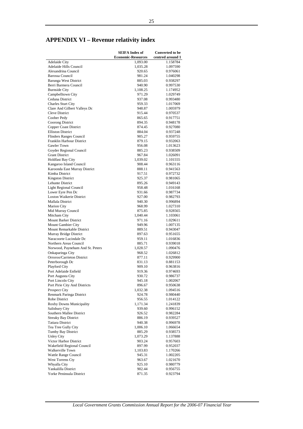# <span id="page-27-0"></span>**APPENDIX VI – Revenue relativity index**

|                                                        | <b>SEIFA Index of</b>     | <b>Converted to be</b> |
|--------------------------------------------------------|---------------------------|------------------------|
|                                                        | <b>Economic-Resources</b> | centred around 1       |
| Adelaide City                                          | 1,093.00                  | 1.158784               |
| Adelaide Hills Council                                 | 1,035.28                  | 1.097590               |
| Alexandrina Council<br><b>Barossa Council</b>          | 920.65<br>981.24          | 0.976061<br>1.040298   |
| Barunga West District                                  | 885.03                    | 0.938297               |
| Berri Barmera Council                                  | 940.90                    | 0.997530               |
| <b>Burnside City</b>                                   | 1,108.25                  | 1.174952               |
| Campbelltown City                                      | 971.29                    | 1.029749               |
| Ceduna District                                        | 937.08                    | 0.993480               |
| Charles Sturt City                                     | 959.33                    | 1.017069               |
| Clare And Gilbert Valleys Dc                           | 948.87                    | 1.005979               |
| Cleve District                                         | 915.44                    | 0.970537               |
| Coober Pedy                                            | 865.65<br>894.35          | 0.917751<br>0.948178   |
| Coorong District<br>Copper Coast District              | 874.45                    | 0.927080               |
| <b>Elliston District</b>                               | 884.04                    | 0.937248               |
| Flinders Ranges Council                                | 905.27                    | 0.959755               |
| Franklin Harbour District                              | 879.15                    | 0.932063               |
| Gawler Town                                            | 956.08                    | 1.013623               |
| Goyder Regional Council                                | 885.23                    | 0.938509               |
| <b>Grant District</b>                                  | 967.84                    | 1.026091               |
| <b>Holdfast Bay City</b>                               | 1,039.02                  | 1.101555               |
| Kangaroo Island Council                                | 908.44                    | 0.963116               |
| Karoonda East Murray District                          | 888.11<br>917.51          | 0.941563               |
| Kimba District<br><b>Kingston District</b>             | 925.37                    | 0.972732<br>0.981065   |
| Lehunte District                                       | 895.26                    | 0.949143               |
| Light Regional Council                                 | 958.48                    | 1.016168               |
| Lower Eyre Pen Dc                                      | 931.66                    | 0.987734               |
| Loxton Waikerie District                               | 927.00                    | 0.982793               |
| Mallala District                                       | 940.30                    | 0.996894               |
| <b>Marion City</b>                                     | 968.99                    | 1.027310               |
| Mid Murray Council                                     | 875.85                    | 0.928565               |
| Mitcham City                                           | 1,040.44                  | 1.103061               |
| <b>Mount Barker District</b><br>Mount Gambier City     | 971.16<br>949.96          | 1.029611<br>1.007135   |
| Mount Remarkable District                              | 889.51                    | 0.943047               |
| Murray Bridge District                                 | 897.63                    | 0.951655               |
| Naracoorte Lucindale Dc                                | 959.11                    | 1.016836               |
| Northern Areas Council                                 | 885.71                    | 0.939018               |
| Norwood, Payneham And St. Peters                       | 1,028.57                  | 1.090476               |
| Onkaparinga City                                       | 968.52                    | 1.026812               |
| Orroroo/Carrieton District                             | 877.11                    | 0.929900               |
| Peterborough Dc                                        | 831.13                    | 0.881153               |
| Playford City<br>Port Adelaide Enfield                 | 909.10                    | 0.963816               |
| Port Augusta City                                      | 919.36<br>930.72          | 0.974693<br>0.986737   |
| Port Lincoln City                                      | 945.18                    | 1.002067               |
| Port Pirie City And Districts                          | 896.67                    | 0.950638               |
| Prospect City                                          | 1,032.38                  | 1.094516               |
| Renmark Paringa District                               | 924.78                    | 0.980440               |
| Robe District                                          | 956.55                    | 1.014122               |
| Roxby Downs Municipality                               | 1,171.34                  | 1.241839               |
| Salisbury City                                         | 939.60                    | 0.996152               |
| Southern Mallee District                               | 926.52                    | 0.982284               |
| <b>Streaky Bay District</b><br><b>Tatiara District</b> | 886.19                    | 0.939527               |
| Tea Tree Gully City                                    | 940.38<br>1,006.10        | 0.996978<br>1.066654   |
| Tumby Bay District                                     | 885.29                    | 0.938573               |
| Unley City                                             | 1,073.29                  | 1.137888               |
| Victor Harbor District                                 | 903.24                    | 0.957603               |
| Wakefield Regional Council                             | 897.99                    | 0.952037               |
| Walkerville Town                                       | 1,103.83                  | 1.170266               |
| Wattle Range Council                                   | 945.31                    | 1.002205               |
| West Torrens Cty                                       | 963.67                    | 1.021670               |
| Whyalla City                                           | 925.10                    | 0.980779               |
| Yankalilla District<br>Yorke Peninsula District        | 902.44                    | 0.956755               |
|                                                        | 871.35                    | 0.923794               |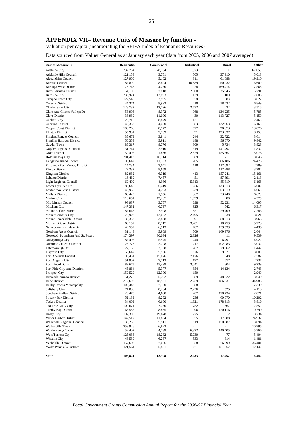# <span id="page-28-0"></span>**APPENDIX VII– Revenue Units of Measure by function -**

Valuation per capita (incorporating the SEIFA index of Economic Resources)

Data sourced from Valuer General as at January each year (data from 2005, 2006 and 2007 averaged)

| Unit of Measure :                                    | <b>Residential</b> | Commercial      | Industrial                        | Rural             | Other           |
|------------------------------------------------------|--------------------|-----------------|-----------------------------------|-------------------|-----------------|
| Adelaide City                                        | 232,764            | 278,764         | 1,373                             | 1                 | 67,059          |
| Adelaide Hills Council                               | 121,158            | 3,751           | 505                               | 37,910            | 5,018           |
| Alexandrina Council                                  | 127,900            | 5,162           | 811                               | 61,688            | 19,910          |
| Barossa Council                                      | 87,890             | 8,494           | 10,889                            | 50,932            | 6,600           |
| Barunga West District                                | 76,748             | 4,230           | 1,028                             | 169,414           | 7,566           |
| Berri Barmera Council<br><b>Burnside City</b>        | 54,196<br>239,974  | 7,618<br>13,693 | 2,000<br>139                      | 25,945<br>109     | 5,791<br>7.606  |
| Campbelltown City                                    | 122,540            | 3,895           | 558                               | 83                | 3,627           |
| Ceduna District                                      | 44,374             | 8,992           | 410                               | 18,432            | 6,849           |
| Charles Sturt City                                   | 128,787            | 12,796          | 2,632                             | 32                | 3,516           |
| Clare And Gilbert Valleys Dc                         | 58,998             | 8,372           | 968                               | 134,235           | 5,785           |
| <b>Cleve District</b>                                | 38,989             | 11,000          | 30                                | 113,727           | 5,159           |
| Coober Pedy                                          | 23,716             | 8,879           | 121                               |                   | 2,468           |
| Coorong District                                     | 42,333             | 4,450           | 83                                | 122,963           | 6,163           |
| Copper Coast District                                | 100,266            | 8,172           | 677                               | 20,873            | 19,076          |
| <b>Elliston District</b>                             | 55,901             | 7,709           | 91                                | 133,637           | 8,159           |
| Flinders Ranges Council                              | 35,679             | 3,841           | 244<br>188                        | 32,722            | 3,614           |
| Franklin Harbour District<br>Gawler Town             | 50,353<br>85,317   | 5,911<br>8,776  | 309                               | 56,670<br>5,734   | 9,842<br>3,823  |
| Goyder Regional Council                              | 31,744             | 2,910           | 319                               | 141,497           | 1,832           |
| <b>Grant District</b>                                | 50,405             | 1,866           | 2,529                             | 155,867           | 5,076           |
| <b>Holdfast Bay City</b>                             | 201,413            | 16,114          | 589                               | ٠                 | 8,046           |
| Kangaroo Island Council                              | 95,642             | 11,183          | 705                               | 66,186            | 24,473          |
| Karoonda East Murray District                        | 14,734             | 3,041           | 118                               | 117,092           | 2,389           |
| Kimba District                                       | 22,282             | 8,659           | a.                                | 117,288           | 3,704           |
| <b>Kingston District</b>                             | 82,982             | 6,319           | 413                               | 157,241           | 15,161          |
| Lehunte District                                     | 16,469             | 7,457           | 51                                | 87,391            | 2,113           |
| Light Regional Council                               | 69,499             | 4,986           | 5,313                             | 85,319            | 6,166           |
| Lower Eyre Pen Dc<br><b>Loxton Waikerie District</b> | 86,648<br>48,968   | 6,419           | 256<br>1,239                      | 133,313<br>53,319 | 16,002<br>4,063 |
| Mallala District                                     | 66,429             | 4,793<br>1,556  | 367                               | 53,440            | 6,629           |
| <b>Marion City</b>                                   | 110,651            | 13,207          | 1,899                             | 80                | 4,575           |
| Mid Murray Council                                   | 98,937             | 3,757           | 698                               | 52,231            | 14,095          |
| Mitcham City                                         | 147,332            | 6,797           | 925                               | 542               | 6,317           |
| Mount Barker District                                | 87,648             | 7,928           | 851                               | 29,409            | 7,283           |
| Mount Gambier City                                   | 73,923             | 12,092          | 2,195                             | 338               | 3,821           |
| Mount Remarkable District                            | 38,352             | 3,888           | 91                                | 88,313            | 3,965           |
| Murray Bridge District                               | 60,157             | 8,717           | 3,201                             | 18,759            | 5,229           |
| Naracoorte Lucindale Dc                              | 49,552             | 6,913           | 787                               | 159,539           | 4,435           |
| Northern Areas Council                               | 31,148<br>174,397  | 5,969<br>30,034 | 509<br>2,326                      | 169,976<br>11     | 2,644<br>9,539  |
| Norwood, Payneham And St. Peters<br>Onkaparinga City | 87,405             | 5,575           | 1,244                             | 6,491             | 4,922           |
| Orroroo/Carrieton District                           | 23,776             | 2,728           | 217                               | 102,083           | 3,032           |
| Peterborough Dc                                      | 27,160             | 3,738           | 287                               | 29,862            | 1,447           |
| Playford City                                        | 56,647             | 5,906           | 1,626                             | 9,521             | 3,000           |
| Port Adelaide Enfield                                | 98,431             | 15,026          | 7,476                             | 48                | 7,582           |
| Port Augusta City                                    | 51,902             | 7,712           | 197                               | 677               | 2,237           |
| Port Lincoln City                                    | 89,675             | 15,499          | 3,041                             | 804               | 9,239           |
| Port Pirie City And Districts                        | 45,864             | 5,377           | 854                               | 14.134            | 2,743           |
| <b>Prospect City</b>                                 | 159,520            | 12,300          | 150                               |                   | 2,949           |
| Renmark Paringa District<br>Robe District            | 51,275             | 5,792           | 1,389<br>2,259                    | 48,622<br>186,831 | 3,049<br>44,983 |
| Roxby Downs Municipality                             | 217,607<br>102,443 | 18,501<br>7,100 | 88                                | ä,                | 7,339           |
| Salisbury City                                       | 74,086             | 8,204           | 2,256                             | 525               | 4,110           |
| Southern Mallee District                             | 20,470             | 4,688           | 207                               | 128,734           | 2,021           |
| <b>Streaky Bay District</b>                          | 52,139             | 8,252           | 236                               | 60,070            | 10,202          |
| <b>Tatiara District</b>                              | 34,009             | 6,660           | 1,321                             | 178,913           | 3,816           |
| Tea Tree Gully City                                  | 100,671            | 7,780           | 752                               | 667               | 2,552           |
| <b>Tumby Bay District</b>                            | 63,555             | 8,865           | 96                                | 120,116           | 10,790          |
| Unley City                                           | 197,396            | 19,678          | 275                               | 2                 | 8,734           |
| Victor Harbor District                               | 142,517            | 11,864          | 555                               | 17,988            | 24,932          |
| Wakefield Regional Council<br>Walkerville Town       | 35,259             | 5,511           | 619                               | 150,887           | 3,094<br>10,995 |
| Wattle Range Council                                 | 253,946<br>52,407  | 6,823<br>4,789  | $\overline{\phantom{a}}$<br>6,372 | $\sim$<br>140,405 | 5,366           |
| West Torrens Cty                                     | 125,088            | 18,282          | 5,030                             | 77                | 5,404           |
| Whyalla City                                         | 48,580             | 6,237           | 533                               | 314               | 1,481           |
| Yankalilla District                                  | 157,697            | 7,066           | 558                               | 76,999            | 36,401          |
| Yorke Peninsula District                             | 121,561            | 5,831           | 671                               | 151,057           | 12,142          |
|                                                      |                    |                 |                                   |                   |                 |
| <b>State</b>                                         | 106,824            | 12,398          | 2,033                             | 17,457            | 6,442           |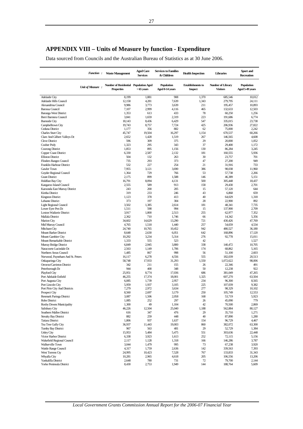<span id="page-29-0"></span>Data sourced from Councils and the Australian Bureau of Statistics as at 30 June 2006.

|                                                   | <b>Function:</b> | <b>Waste Management</b>                                    | <b>Aged Care</b><br><b>Services</b> | <b>Services to Families</b><br>& Children | <b>Health Inspection</b>                   | Libraries                            | Sport and<br><b>Recreation</b> |
|---------------------------------------------------|------------------|------------------------------------------------------------|-------------------------------------|-------------------------------------------|--------------------------------------------|--------------------------------------|--------------------------------|
|                                                   | Unit of Measure: | Number of Residential Population Aged<br><b>Properties</b> | $>65$ years                         | Population<br>Aged 0-14 years             | <b>Establishments</b> to<br><b>Inspect</b> | Number of Library<br><b>Visitors</b> | Population<br>Aged 5-49 years  |
| Adelaide City                                     |                  | 8,199                                                      | 1,881                               | 908                                       | 1,370                                      | 685,546                              | 10,012                         |
| Adelaide Hills Council                            |                  | 12,158                                                     | 4,281                               | 7,639                                     | 1,343                                      | 279,795                              | 24,111                         |
| Alexandrina Council                               |                  | 9,986                                                      | 3,773                               | 3,639                                     | 211                                        | 195,457                              | 10,893                         |
| <b>Barossa Council</b>                            |                  | 7,107                                                      | 2,999                               | 4,116                                     | 465                                        | 132,633                              | 12,503                         |
| <b>Barunga West District</b>                      |                  | 1,353                                                      | 613                                 | 433                                       | 78                                         | 60,250                               | 1,256                          |
| Berri Barmera Council                             |                  | 3,841                                                      | 1,659                               | 2,319                                     | 223<br>547                                 | 191,686                              | 6,774<br>23,738                |
| <b>Burnside City</b><br>Campbelltown City         |                  | 18,143<br>19,743                                           | 8,436<br>8,757                      | 6,429<br>7,724                            | 425                                        | 335,015<br>206,936                   | 27,822                         |
| Ceduna District                                   |                  | 1,177                                                      | 356                                 | 882                                       | 62                                         | 75,000                               | 2,242                          |
| <b>Charles Sturt City</b>                         |                  | 45,747                                                     | 19,504                              | 16,297                                    | 1,154                                      | 670,537                              | 60,266                         |
| Clare And Gilbert Valleys Dc                      |                  | 2,652                                                      | 1,428                               | 1,519                                     | 267                                        | 146,565                              | 4,608                          |
| <b>Cleve District</b>                             |                  | 596                                                        | 309                                 | 375                                       | 29                                         | 20,000                               | 1,052                          |
| Coober Pedy                                       |                  | 1,323                                                      | 295                                 | 343                                       | 37                                         | 29,400                               | 1,172                          |
| Coorong District                                  |                  | 1,853                                                      | 895                                 | 1,156                                     | 130                                        | 86,284                               | 3,245                          |
| Copper Coast District                             |                  | 6,330                                                      | 2,587                               | 2,132                                     | 181                                        | 160,555                              | 5,936                          |
| <b>Elliston District</b>                          |                  | 504                                                        | 132                                 | 263                                       | 30                                         | 23,757                               | 701                            |
| <b>Flinders Ranges Council</b>                    |                  | 735                                                        | 293                                 | 373                                       | 47                                         | 27,200                               | 949                            |
| Franklin Harbour District                         |                  | 532                                                        | 227                                 | 254                                       | 21                                         | 31,916                               | 733                            |
| Gawler Town                                       |                  | 7,955                                                      | 3,121                               | 3,690                                     | 386                                        | 98,038                               | 11,960                         |
| Goyder Regional Council                           |                  | 1,364                                                      | 729<br>899                          | 766                                       | 53<br>146                                  | 57,738                               | 2,266                          |
| <b>Grant District</b><br><b>Holdfast Bay City</b> |                  | 2,175<br>16,791                                            | 8,094                               | 1,588<br>4,131                            | 500                                        | 46,389<br>305,448                    | 5,151<br>18,437                |
| Kangaroo Island Council                           |                  | 2,555                                                      | 589                                 | 913                                       | 158                                        | 29,430                               | 2,701                          |
| Karoonda East Murray District                     |                  | 243                                                        | 200                                 | 205                                       | 15                                         | 57,120                               | 644                            |
| Kimba District                                    |                  | 319                                                        | 233                                 | 246                                       | 43                                         | 6,868                                | 659                            |
| <b>Kingston District</b>                          |                  | 1,123                                                      | 378                                 | 413                                       | 40                                         | 64,029                               | 1,318                          |
| Lehunte District                                  |                  | 373                                                        | 197                                 | 304                                       | 28                                         | 22,900                               | 892                            |
| <b>Light Regional Council</b>                     |                  | 3,502                                                      | 1,385                               | 2,614                                     | 181                                        | 48,341                               | 7,735                          |
| Lower Eyre Pen Dc                                 |                  | 1,511                                                      | 598                                 | 994                                       | 15                                         | 137,900                              | 2,709                          |
| Loxton Waikerie District                          |                  | 3,917                                                      | 1,800                               | 2,513                                     | 255                                        | 62,977                               | 7,352                          |
| Mallala District                                  |                  | 2,362                                                      | 710                                 | 1,746                                     | 66                                         | 14,342                               | 5,356                          |
| <b>Marion City</b>                                |                  | 34,602                                                     | 14,629                              | 13,290                                    | 721                                        | 430,426                              | 47,769                         |
| Mid Murray Council                                |                  | 4,765                                                      | 1,518                               | 1,440                                     | 257                                        | 54,659                               | 4,534                          |
| Mitcham City                                      |                  | 24,740                                                     | 10,765                              | 10,452                                    | 942                                        | 480,527                              | 36,180                         |
| Mount Barker District                             |                  | 8,648                                                      | 2,630                               | 6,051                                     | 642                                        | 168,896                              | 17,120                         |
| Mount Gambier City<br>Mount Remarkable District   |                  | 10,292<br>1,333                                            | 3,234<br>555                        | 5,314<br>523                              | 276<br>42                                  | 92,778                               | 15,011<br>1,527                |
| Murray Bridge District                            |                  | 6,849                                                      | 2,945                               | 3,800                                     | 338                                        | 140,472                              | 10,705                         |
| Naracoorte Lucindale Dc                           |                  | 2,563                                                      | 1,149                               | 1,706                                     | 174                                        | 68,862                               | 5,165                          |
| Northern Areas Council                            |                  | 1,485                                                      | 867                                 | 998                                       | 56                                         | 51,100                               | 2,603                          |
| Norwood, Payneham And St. Peters                  |                  | 16,117                                                     | 6,278                               | 4,556                                     | 555                                        | 182,039                              | 20,513                         |
| Onkaparinga City                                  |                  | 58,748                                                     | 17,933                              | 31,293                                    | 1,550                                      | 1,072,622                            | 98,006                         |
| Orroroo/Carrieton District                        |                  | 342                                                        | 211                                 | 155                                       | 26                                         | 22,346                               | 491                            |
| Peterborough Dc                                   |                  | 944                                                        | 400                                 | 348                                       | 50                                         | 12,238                               | 922                            |
| Playford City                                     |                  | 25,951                                                     | 8,774                               | 17,036                                    | 686                                        | 381,049                              | 47,265                         |
| Port Adelaide Enfield                             |                  | 46,255                                                     | 17,374                              | 18,001                                    | 1,325                                      | 607,270                              | 63,504                         |
| Port Augusta City                                 |                  | 6,085                                                      | 1,739                               | 2,957                                     | 234                                        | 96,300                               | 8,565                          |
| Port Lincoln City                                 |                  | 5,959                                                      | 1,937                               | 3,105                                     | 225                                        | 107,039                              | 9,382                          |
| Port Pirie City And Districts                     |                  | 7,279<br>8,560                                             | 2,972<br>2,697                      | 3,634<br>3,179                            | 277<br>250                                 | 98,329                               | 10,102<br>12,553               |
| Prospect City                                     |                  |                                                            |                                     |                                           |                                            | 105,749                              |                                |
| Renmark Paringa District<br>Robe District         |                  | 3,087<br>1,085                                             | 1,506<br>252                        | 2,058<br>297                              | 168<br>26                                  | 53,719<br>45,090                     | 5,923<br>779                   |
| Roxby Downs Municipality                          |                  | 1,300                                                      | 49                                  | 1,104                                     | 42                                         | 70,500                               | 2,869                          |
| Salisbury City                                    |                  | 46,226                                                     | 12,504                              | 25,040                                    | 1,188                                      | 562,884                              | 80,127                         |
| Southern Mallee District                          |                  | 616                                                        | 347                                 | 476                                       | 29                                         | 35,710                               | 1,271                          |
| <b>Streaky Bay District</b>                       |                  | 882                                                        | 259                                 | 448                                       | 40                                         | 87,890                               | 1,280                          |
| <b>Tatiara District</b>                           |                  | 1,806                                                      | 937                                 | 1,637                                     | 154                                        | 96,729                               | 4,467                          |
| Tea Tree Gully City                               |                  | 36,937                                                     | 11,443                              | 19,003                                    | 860                                        | 382,072                              | 63,300                         |
| Tumby Bay District                                |                  | 967                                                        | 563                                 | 481                                       | 29                                         | 52,729                               | 1,384                          |
| <b>Unley City</b>                                 |                  | 15,953                                                     | 5,484                               | 5,475                                     | 551                                        | 303,636                              | 22,448                         |
| Victor Harbor District                            |                  | 6,338                                                      | 3,923                               | 1,613                                     | 252                                        | 72,115                               | 5,156                          |
| Wakefield Regional Council                        |                  | 2,117                                                      | 1,128                               | 1,318                                     | 166                                        | 146,286                              | 3,787                          |
| Walkerville Town                                  |                  | 3,044                                                      | 1,479                               | 995                                       | 73                                         | 67,238                               | 3,920                          |
| Wattle Range Council                              |                  | 4,317                                                      | 1,759                               | 2,636                                     | 142                                        | 339,563                              | 7,393                          |
| West Torrens Cty<br>Whyalla City                  |                  | 24,995<br>10,281                                           | 10,423<br>2,965                     | 7,528<br>4,618                            | 767<br>205                                 | 133,833<br>106,556                   | 31,343<br>13,206               |
| Yankalilla District                               |                  | 2,648                                                      | 780                                 | 731                                       | 72                                         | 79,700                               | 2,144                          |
| Yorke Peninsula District                          |                  | 8,430                                                      | 2,753                               | 1,949                                     | 144                                        | 188,764                              | 5,609                          |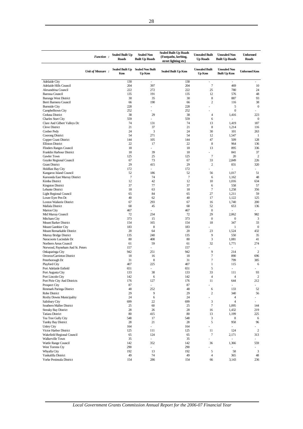|                                                        | <b>Function:</b>  | <b>Sealed Built Up</b>        | <b>Sealed Non</b>                 | <b>Sealed Built-Up Roads</b><br>(Footpaths, kerbing, | <b>Unsealed Built</b>           | <b>Unsealed Non</b>                        | <b>Unformed</b>          |
|--------------------------------------------------------|-------------------|-------------------------------|-----------------------------------|------------------------------------------------------|---------------------------------|--------------------------------------------|--------------------------|
|                                                        |                   | <b>Roads</b>                  | <b>Built Up Roads</b>             | street lighting etc)                                 | <b>Up Roads</b>                 | <b>Built Up Roads</b>                      | <b>Roads</b>             |
|                                                        | Unit of Measure : | <b>Sealed Built Up</b><br>Kms | <b>Sealed Non Built</b><br>Up Kms | <b>Sealed Built Up Kms</b>                           | <b>Unsealed Built</b><br>Up Kms | <b>Unsealed Non</b><br><b>Built Up Kms</b> | <b>Unformed Kms</b>      |
| Adelaide City                                          |                   | 130                           | $\mathcal{L}_{\mathcal{A}}$       | 130                                                  | $\bar{\phantom{a}}$             | $\overline{\phantom{a}}$                   | ä,                       |
| Adelaide Hills Council                                 |                   | 204                           | 397                               | 204                                                  | $\overline{7}$                  | 469                                        | 10                       |
| Alexandrina Council                                    |                   | 222<br>135                    | 272<br>191                        | 222                                                  | 25<br>12                        | 780                                        | 24                       |
| <b>Barossa Council</b><br><b>Barunga West District</b> |                   | 30                            | 35                                | 135<br>30                                            | 8                               | 576<br>887                                 | 48<br>93                 |
| Berri Barmera Council                                  |                   | 66                            | 190                               | 66                                                   | $\overline{c}$                  | 116                                        | 38                       |
| <b>Burnside City</b>                                   |                   | 228                           |                                   | 228                                                  |                                 | 5                                          | $\boldsymbol{0}$         |
| Campbelltown City                                      |                   | 252                           |                                   | 252                                                  |                                 | $\overline{0}$                             |                          |
| Ceduna District                                        |                   | 38                            | 29                                | 38                                                   | 4                               | 1,416                                      | 223                      |
| <b>Charles Sturt City</b>                              |                   | 559                           | ä,                                | 559                                                  | 6                               | $\overline{\phantom{a}}$                   | $\mathbf{0}$             |
| Clare And Gilbert Valleys Dc                           |                   | 74                            | 131                               | 74                                                   | 13                              | 1,419                                      | 187                      |
| <b>Cleve District</b>                                  |                   | 21                            | 37                                | 21                                                   | 8                               | 1,214                                      | 116                      |
| Coober Pedy                                            |                   | 24                            | 3                                 | 24                                                   | 30                              | 101                                        | 263                      |
| Coorong District                                       |                   | 54                            | 271                               | 54                                                   | 12                              | 1,547                                      | $\mathbf{1}$             |
| Copper Coast District<br><b>Elliston District</b>      |                   | 144<br>22                     | 105<br>17                         | 144<br>22                                            | 47<br>8                         | 509<br>964                                 | 128<br>136               |
| <b>Flinders Ranges Council</b>                         |                   | 18                            |                                   | 18                                                   | 13                              | 895                                        | 336                      |
| Franklin Harbour District                              |                   | 18                            | 39                                | 18                                                   | ä,                              | 841                                        | 37                       |
| <b>Gawler Town</b>                                     |                   | 125                           | 25                                | 125                                                  | $\tau$                          | 20                                         | 2                        |
| Goyder Regional Council                                |                   | 67                            | 73                                | 67                                                   | 33                              | 2,849                                      | 226                      |
| <b>Grant District</b>                                  |                   | 29                            | 415                               | 29                                                   | $\overline{c}$                  | 831                                        | 320                      |
| <b>Holdfast Bay City</b>                               |                   | 172                           | ٠                                 | 172                                                  |                                 | ×,                                         | L.                       |
| Kangaroo Island Council                                |                   | 52                            | 186                               | 52                                                   | 56                              | 1,017                                      | 51                       |
| Karoonda East Murray District                          |                   | $\overline{7}$                | 74                                | $\overline{7}$                                       | 6                               | 1,162                                      | 48                       |
| Kimba District                                         |                   | 12                            | 42                                | 12                                                   | 10                              | 1,016                                      | 634                      |
| <b>Kingston District</b>                               |                   | 37                            | 77                                | 37                                                   | 6                               | 558                                        | 57                       |
| Lehunte District                                       |                   | 18                            | 63                                | 18                                                   | $\tau$                          | 1,258                                      | 356                      |
| Light Regional Council                                 |                   | 65                            | 84                                | 65                                                   | 27                              | 1,211                                      | 59                       |
| Lower Eyre Pen Dc                                      |                   | 40<br>67                      | 62<br>293                         | 40<br>67                                             | 17                              | 1,122<br>1,740                             | 125<br>200               |
| Loxton Waikerie District<br>Mallala District           |                   | 68                            | 45                                | 68                                                   | 16<br>52                        | 653                                        | 136                      |
| <b>Marion City</b>                                     |                   | 467                           | ÷.                                | 467                                                  | $\boldsymbol{0}$                | ÷,                                         |                          |
| Mid Murray Council                                     |                   | 72                            | 234                               | 72                                                   | 29                              | 2,062                                      | 982                      |
| Mitcham City                                           |                   | 373                           | 15                                | 373                                                  | $\boldsymbol{0}$                | $\boldsymbol{0}$                           | 3                        |
| Mount Barker District                                  |                   | 154                           | 165                               | 154                                                  | 18                              | 347                                        | 33                       |
| Mount Gambier City                                     |                   | 183                           | 8                                 | 183                                                  |                                 | 1                                          | $\bf{0}$                 |
| Mount Remarkable District                              |                   | 20                            | 64                                | 20                                                   | 23                              | 1,524                                      | 432                      |
| Murray Bridge District                                 |                   | 135                           | 240                               | 135                                                  | 9                               | 550                                        | 35                       |
| Naracoorte Lucindale Dc                                |                   | 80                            | 408                               | 80                                                   | 3                               | 1,081                                      | 41                       |
| Northern Areas Council                                 |                   | 61                            | 59                                | 61                                                   | 32                              | 1,771                                      | 274                      |
| Norwood, Payneham And St. Peters                       |                   | 157                           | ÷                                 | 157                                                  |                                 | ÷,                                         | $\overline{\phantom{a}}$ |
| Onkaparinga City                                       |                   | 942                           | 251                               | 942                                                  | 9                               | 214                                        | $\overline{2}$           |
| Orroroo/Carrieton District                             |                   | 18<br>31                      | 16<br>8                           | 18<br>31                                             | 7<br>7                          | 890<br>799                                 | 696<br>385               |
| Peterborough Dc<br>Playford City                       |                   | 407                           | 225                               | 407                                                  | $\mathbf{1}$                    | 115                                        | 6                        |
| Port Adelaide Enfield                                  |                   | 651                           | ×,                                | 651                                                  | 5                               | ÷,                                         |                          |
| Port Augusta City                                      |                   | 133                           | 38                                | 133                                                  | 33                              | 111                                        | 93                       |
| Port Lincoln City                                      |                   | 142                           | 6                                 | 142                                                  | 4                               | 4                                          | 2                        |
| Port Pirie City And Districts                          |                   | 176                           | 127                               | 176                                                  | 11                              | 644                                        | 212                      |
| Prospect City                                          |                   | 87                            | ÷                                 | 87                                                   | ÷,                              | ä,                                         | $\overline{\phantom{a}}$ |
| Renmark Paringa District                               |                   | 48                            | 252                               | 48                                                   | 6                               | 133                                        | 52                       |
| Robe District                                          |                   | 29                            | 9                                 | 29                                                   | 2                               | 340                                        | 56                       |
| Roxby Downs Municipality                               |                   | 24                            | 6                                 | 24                                                   | L,                              | 4                                          |                          |
| Salisbury City                                         |                   | 699                           | 22                                | 699                                                  | 3                               | $\overline{4}$                             | a.                       |
| Southern Mallee District                               |                   | 25                            | 60                                | 25                                                   | 7                               | 1,095                                      | 144                      |
| <b>Streaky Bay District</b><br><b>Tatiara District</b> |                   | 28<br>80                      | 26<br>415                         | 28<br>80                                             | 16<br>13                        | 1,432<br>1,199                             | 219<br>225               |
| Tea Tree Gully City                                    |                   | 548                           | 17                                | 548                                                  | 3                               | 8                                          | 6                        |
| Tumby Bay District                                     |                   | 28                            | 21                                | 28                                                   | 5                               | 958                                        | 96                       |
| <b>Unley City</b>                                      |                   | 164                           | ÷.                                | 164                                                  | ä,                              | $\overline{\phantom{a}}$                   | ÷.                       |
| Victor Harbor District                                 |                   | 125                           | 111                               | 125                                                  | 11                              | 124                                        | $\sqrt{2}$               |
| Wakefield Regional Council                             |                   | 65                            | 124                               | 65                                                   | 7                               | 2,171                                      | 313                      |
| Walkerville Town                                       |                   | 35                            | ÷.                                | 35                                                   | ä,                              | ä,                                         | ÷.                       |
| Wattle Range Council                                   |                   | 142                           | 352                               | 142                                                  | 36                              | 1,366                                      | 559                      |
| West Torrens Cty                                       |                   | 290                           | $\overline{\phantom{a}}$          | 290                                                  | ×,                              | $\overline{\phantom{m}}$                   |                          |
| Whyalla City                                           |                   | 192                           | 13                                | 192                                                  | 5                               | 58                                         | 3                        |
| Yankalilla District                                    |                   | 49                            | 74                                | 49                                                   | 4                               | 365                                        | 48                       |
| Yorke Peninsula District                               |                   | 154                           | 286                               | 154                                                  | 66                              | 3,143                                      | 236                      |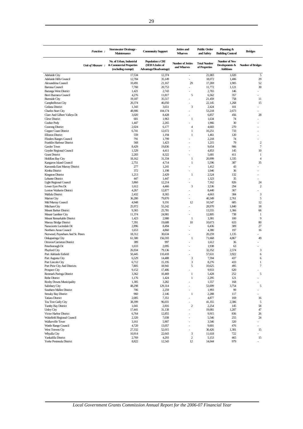|                                                        | <b>Function:</b> | <b>Stormwater Drainage -</b><br>Maintenance                               | <b>Commuity Support</b>                                               | <b>Jetties</b> and<br><b>Wharves</b>       | <b>Public Order</b><br>and Safety    | Planning &<br><b>Building Control</b>               | <b>Bridges</b>                 |
|--------------------------------------------------------|------------------|---------------------------------------------------------------------------|-----------------------------------------------------------------------|--------------------------------------------|--------------------------------------|-----------------------------------------------------|--------------------------------|
|                                                        | Unit of Measure: | No. of Urban, Industrial<br>& Commercial Properties<br>(excluding exempt) | <b>Population x CRI</b><br>(SEIFA Index of<br>Advantage/Disadvantage) | <b>Number of Jetties</b><br>and Wharves    | <b>Total Number</b><br>of Properties | Number of New<br>Developments &<br><b>Additions</b> | <b>Number of Bridges</b>       |
| <b>Adelaide City</b>                                   |                  | 17,534                                                                    | 12,374                                                                | $\overline{\phantom{a}}$                   | 21,083                               | 1,020                                               | 5                              |
| Adelaide Hills Council                                 |                  | 12,784                                                                    | 35,149                                                                | $\overline{\phantom{a}}$                   | 18,072                               | 1,406                                               | 29                             |
| Alexandrina Council                                    |                  | 10,491                                                                    | 21,167                                                                | 29<br>$\overline{a}$                       | 17,269                               | 1,905                                               | 52                             |
| <b>Barossa Council</b><br><b>Barunga West District</b> |                  | 7,760<br>1,421                                                            | 20,753<br>2,743                                                       | $\overline{a}$                             | 11,772<br>2,765                      | 1,121<br>146                                        | 30<br>٠                        |
| Berri Barmera Council                                  |                  | 4,276                                                                     | 11,817                                                                | 5                                          | 6,562                                | 357                                                 |                                |
| <b>Burnside City</b>                                   |                  | 19,187                                                                    | 35,517                                                                | ÷,                                         | 21,459                               | 758                                                 | 11                             |
| Campbelltown City                                      |                  | 20,374                                                                    | 46,050                                                                | $\overline{\phantom{a}}$                   | 22,145                               | 1,268                                               | 15                             |
| Ceduna District                                        |                  | 1,343                                                                     | 3,651                                                                 | 3                                          | 2,424                                | 101                                                 |                                |
| <b>Charles Sturt City</b>                              |                  | 48,906                                                                    | 104,174                                                               | ÷,                                         | 53,218                               | 2,673                                               |                                |
| Clare And Gilbert Valleys Dc<br>Cleve District         |                  | 3,020<br>681                                                              | 8,428<br>1,963                                                        | 1                                          | 6,857<br>1,634                       | 456<br>74                                           | 28<br>÷,                       |
| Coober Pedy                                            |                  | 1,447                                                                     | 2,265                                                                 | $\overline{a}$                             | 1,966                                | 30                                                  | ÷                              |
| Coorong District                                       |                  | 2,024                                                                     | 6,177                                                                 | $\overline{4}$                             | 4,683                                | 270                                                 |                                |
| Copper Coast District                                  |                  | 6,741                                                                     | 12,672                                                                | $\mathbf{1}$                               | 10,251                               | 733                                                 |                                |
| <b>Elliston District</b>                               |                  | 559                                                                       | 1,194                                                                 | $\mathbf{1}$                               | 1,461                                | 120                                                 |                                |
| <b>Flinders Ranges Council</b>                         |                  | 791                                                                       | 1,799                                                                 | ÷,                                         | 2,218                                | 74                                                  |                                |
| Franklin Harbour District                              |                  | 568                                                                       | 1,423                                                                 | $\overline{\phantom{a}}$                   | 1,215                                | 79                                                  | $\overline{\mathbf{c}}$        |
| <b>Gawler Town</b><br>Goyder Regional Council          |                  | 8,429<br>1,529                                                            | 19,836<br>4,411                                                       | $\overline{a}$                             | 9,654<br>4,853                       | 906<br>145                                          | $\tau$<br>10                   |
| <b>Grant District</b>                                  |                  | 2,283                                                                     | 8,322                                                                 |                                            | 5,681                                | 411                                                 | 1                              |
| <b>Holdfast Bay City</b>                               |                  | 18,162                                                                    | 31,334                                                                | 1                                          | 20,999                               | 1,335                                               | $\overline{4}$                 |
| Kangaroo Island Council                                |                  | 2,751                                                                     | 4,714                                                                 | 1                                          | 5,596                                | 387                                                 | 35                             |
| Karoonda East Murray District                          |                  | 277                                                                       | 1,241                                                                 | $\overline{a}$                             | 1,412                                | 43                                                  |                                |
| Kimba District                                         |                  | 372                                                                       | 1,198                                                                 |                                            | 1,046                                | 36                                                  |                                |
| <b>Kingston District</b>                               |                  | 1,213                                                                     | 2,429                                                                 | 1                                          | 2,524                                | 132                                                 |                                |
| Lehunte District                                       |                  | 447                                                                       | 1,447                                                                 | ÷,                                         | 1,323                                | 35<br>826                                           |                                |
| <b>Light Regional Council</b><br>Lower Eyre Pen Dc     |                  | 3,860<br>1,612                                                            | 12,214<br>4,466                                                       | $\overline{\phantom{a}}$<br>3              | 7,162<br>3,536                       | 294                                                 | 24<br>$\overline{2}$           |
| Loxton Waikerie District                               |                  | 4,267                                                                     | 12,877                                                                |                                            | 8,440                                | 367                                                 |                                |
| Mallala District                                       |                  | 2,432                                                                     | 8,365                                                                 | $\overline{\phantom{a}}$                   | 4,663                                | 384                                                 | 3                              |
| <b>Marion City</b>                                     |                  | 36,280                                                                    | 79,870                                                                |                                            | 40,349                               | 2,761                                               | 5                              |
| Mid Murray Council                                     |                  | 4,948                                                                     | 9,191                                                                 | 12                                         | 10,547                               | 685                                                 | 12                             |
| Mitcham City                                           |                  | 25,972                                                                    | 55,242                                                                | $\overline{a}$                             | 28,970                               | 1,840                                               | 18                             |
| Mount Barker District                                  |                  | 9,365                                                                     | 25,781                                                                | ÷,                                         | 13,555                               | 1,366                                               | 66                             |
| Mount Gambier City<br>Mount Remarkable District        |                  | 11,374<br>1,423                                                           | 24,981<br>2,980                                                       | $\mathbf{1}$                               | 12,805<br>3,381                      | 738<br>100                                          | 1<br>9                         |
| Murray Bridge District                                 |                  | 7,391                                                                     | 19,688                                                                | 10                                         | 10,673                               | 633                                                 | 80                             |
| Naracoorte Lucindale Dc                                |                  | 2,896                                                                     | 8,494                                                                 |                                            | 6,436                                | 309                                                 | 27                             |
| Northern Areas Council                                 |                  | 1,653                                                                     | 4,860                                                                 |                                            | 4,380                                | 197                                                 | 16                             |
| Norwood, Payneham And St. Peters                       |                  | 18,312                                                                    | 30,634                                                                | L,                                         | 20,259                               | 1,135                                               |                                |
| Onkaparinga City                                       |                  | 61,580                                                                    | 156,593                                                               | $\mathbf{1}$                               | 71,668                               | 4,867                                               | 49                             |
| Orroroo/Carrieton District                             |                  | 389                                                                       | 997                                                                   | $\overline{\phantom{a}}$<br>$\overline{a}$ | 1,612                                | 36<br>63                                            |                                |
| Peterborough Dc<br>Playford City                       |                  | 1,033<br>26,934                                                           | 2,095<br>79,136                                                       |                                            | 1,938<br>32,352                      | 2,574                                               | 3                              |
| Port Adelaide Enfield                                  |                  | 50,445                                                                    | 110,418                                                               |                                            | 57,631                               | 3,922                                               | 6                              |
| Port Augusta City                                      |                  | 6,529                                                                     | 14,488                                                                | 3                                          | 7,594                                | 437                                                 | 6                              |
| Port Lincoln City                                      |                  | 6,712                                                                     | 15,195                                                                | 3                                          | 8,276                                | 433                                                 | 1                              |
| Port Pirie City And Districts                          |                  | 7,805                                                                     | 18,941                                                                | 5                                          | 10,625                               | 495                                                 | 7                              |
| Prospect City                                          |                  | 9,152                                                                     | 17,406                                                                |                                            | 9,933                                | 620                                                 |                                |
| Renmark Paringa District<br>Robe District              |                  | 3,362<br>1,176                                                            | 10,469<br>1,424                                                       | $\mathbf{1}$<br>$\mathbf{1}$               | 5,428<br>2,295                       | 252<br>121                                          | 5<br>ä,                        |
| Roxby Downs Municipality                               |                  | 1,385                                                                     | 3,282                                                                 | ÷,                                         | 1,557                                | 168                                                 | L.                             |
| Salisbury City                                         |                  | 48,298                                                                    | 129,314                                                               | ÷,                                         | 53,699                               | 3,754                                               | 5                              |
| Southern Mallee District                               |                  | 706                                                                       | 2,259                                                                 | $\frac{1}{2}$                              | 1,993                                | 99                                                  | ٠                              |
| <b>Streaky Bay District</b>                            |                  | 960                                                                       | 2,146                                                                 | 1                                          | 2,288                                | 117                                                 | ÷,                             |
| <b>Tatiara District</b>                                |                  | 2,085                                                                     | 7,351                                                                 | ٠                                          | 4,877                                | 169                                                 | 16                             |
| Tea Tree Gully City                                    |                  | 38,399                                                                    | 96,031                                                                | ÷,                                         | 41,355                               | 2,386                                               | 5                              |
| <b>Tumby Bay District</b><br><b>Unley City</b>         |                  | 1,041<br>17,441                                                           | 2,816<br>31,138                                                       | $\mathbf{2}$                               | 2,254<br>19,081                      | 145<br>1,287                                        | 58<br>47                       |
| Victor Harbor District                                 |                  | 6,764                                                                     | 12,855                                                                | $\frac{1}{2}$                              | 9,915                                | 836                                                 | 26                             |
| Wakefield Regional Council                             |                  | 2,320                                                                     | 7,038                                                                 | $\overline{a}$                             | 5,546                                | 255                                                 | 24                             |
| Walkerville Town                                       |                  | 3,161                                                                     | 5,907                                                                 | $\overline{a}$                             | 3,546                                | 320                                                 | ٠                              |
| Wattle Range Council                                   |                  | 4,720                                                                     | 13,057                                                                |                                            | 9,601                                | 476                                                 | $\overline{a}$                 |
| West Torrens Cty                                       |                  | 27,332                                                                    | 52,015                                                                |                                            | 30,426                               | 1,381                                               | 15                             |
| Whyalla City                                           |                  | 10,914                                                                    | 22,643                                                                | 3                                          | 11,618                               | 722                                                 | $\overline{\phantom{0}}$       |
| Yankalilla District<br>Yorke Peninsula District        |                  | 2,769<br>8,822                                                            | 4,293<br>12,543                                                       | 2<br>12                                    | 5,153<br>14,044                      | 465<br>979                                          | 15<br>$\overline{\phantom{0}}$ |
|                                                        |                  |                                                                           |                                                                       |                                            |                                      |                                                     |                                |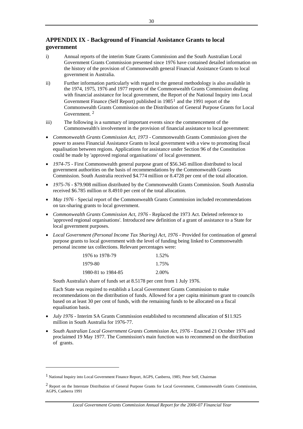# <span id="page-32-0"></span>**APPENDIX IX - Background of Financial Assistance Grants to local government**

- i) Annual reports of the interim State Grants Commission and the South Australian Local Government Grants Commission presented since 1976 have contained detailed information on the history of the provision of Commonwealth general Financial Assistance Grants to local government in Australia.
- ii) Further information particularly with regard to the general methodology is also available in the 1974, 1975, 1976 and 1977 reports of the Commonwealth Grants Commission dealing with financial assistance for local government, the Report of the National Inquiry into Local Government Finance (Self Report) published in  $1985<sup>1</sup>$  $1985<sup>1</sup>$  and the 1991 report of the Commonwealth Grants Commission on the Distribution of General Purpose Grants for Local Government. [2](#page-32-0)
- iii) The following is a summary of important events since the commencement of the Commonwealth's involvement in the provision of financial assistance to local government:
- *Commonwealth Grants Commission Act, 1973* Commonwealth Grants Commission given the power to assess Financial Assistance Grants to local government with a view to promoting fiscal equalisation between regions. Applications for assistance under Section 96 of the Constitution could be made by 'approved regional organisations' of local government.
- *1974-75* First Commonwealth general purpose grant of \$56.345 million distributed to local government authorities on the basis of recommendations by the Commonwealth Grants Commission. South Australia received \$4.774 million or 8.4728 per cent of the total allocation.
- *1975-76*  \$79.908 million distributed by the Commonwealth Grants Commission. South Australia received \$6.785 million or 8.4910 per cent of the total allocation.
- *May 1976* Special report of the Commonwealth Grants Commission included recommendations on tax-sharing grants to local government.
- *Commonwealth Grants Commission Act, 1976* Replaced the 1973 Act. Deleted reference to 'approved regional organisations'. Introduced new definition of a grant of assistance to a State for local government purposes.
- *Local Government (Personal Income Tax Sharing) Act, 1976 Provided for continuation of general* purpose grants to local government with the level of funding being linked to Commonwealth personal income tax collections. Relevant percentages were:

| 1976 to 1978-79    | 1.52% |
|--------------------|-------|
| 1979-80            | 1.75% |
| 1980-81 to 1984-85 | 2.00% |

South Australia's share of funds set at 8.5178 per cent from 1 July 1976.

Each State was required to establish a Local Government Grants Commission to make recommendations on the distribution of funds. Allowed for a per capita minimum grant to councils based on at least 30 per cent of funds, with the remaining funds to be allocated on a fiscal equalisation basis.

- *July 1976* Interim SA Grants Commission established to recommend allocation of \$11.925 million in South Australia for 1976-77.
- *South Australian Local Government Grants Commission Act, 1976* Enacted 21 October 1976 and proclaimed 19 May 1977. The Commission's main function was to recommend on the distribution of grants.

-

<sup>1</sup> National Inquiry into Local Government Finance Report, AGPS, Canberra, 1985; Peter Self, Chairman

<sup>&</sup>lt;sup>2</sup> Report on the Interstate Distribution of General Purpose Grants for Local Government, Commonwealth Grants Commission, AGPS, Canberra 1991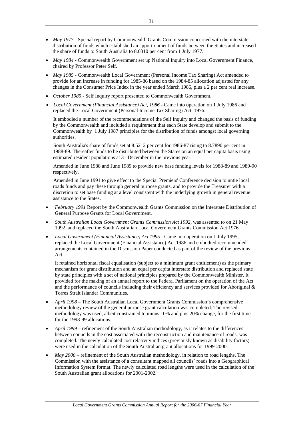- *May 1977* Special report by Commonwealth Grants Commission concerned with the interstate distribution of funds which established an apportionment of funds between the States and increased the share of funds to South Australia to 8.6010 per cent from 1 July 1977.
- *May 1984* Commonwealth Government set up National Inquiry into Local Government Finance, chaired by Professor Peter Self.
- *May 1985* Commonwealth Local Government (Personal Income Tax Sharing) Act amended to provide for an increase in funding for 1985-86 based on the 1984-85 allocation adjusted for any changes in the Consumer Price Index in the year ended March 1986, plus a 2 per cent real increase.
- *October 1985* Self Inquiry report presented to Commonwealth Government.
- *Local Government (Financial Assistance) Act, 1986* Came into operation on 1 July 1986 and replaced the Local Government (Personal Income Tax Sharing) Act, 1976.

It embodied a number of the recommendations of the Self Inquiry and changed the basis of funding by the Commonwealth and included a requirement that each State develop and submit to the Commonwealth by 1 July 1987 principles for the distribution of funds amongst local governing authorities.

South Australia's share of funds set at 8.5212 per cent for 1986-87 rising to 8.7890 per cent in 1988-89. Thereafter funds to be distributed between the States on an equal per capita basis using estimated resident populations at 31 December in the previous year.

Amended in June 1988 and June 1989 to provide new base funding levels for 1988-89 and 1989-90 respectively.

Amended in June 1991 to give effect to the Special Premiers' Conference decision to untie local roads funds and pay these through general purpose grants, and to provide the Treasurer with a discretion to set base funding at a level consistent with the underlying growth in general revenue assistance to the States.

- *February 1991* Report by the Commonwealth Grants Commission on the Interstate Distribution of General Purpose Grants for Local Government.
- *South Australian Local Government Grants Commission Act 1992,* was assented to on 21 May 1992, and replaced the South Australian Local Government Grants Commission Act 1976.
- *Local Government (Financial Assistance) Act 1995* Came into operation on 1 July 1995, replaced the Local Government (Financial Assistance) Act 1986 and embodied recommended arrangements contained in the Discussion Paper conducted as part of the review of the previous Act.

It retained horizontal fiscal equalisation (subject to a minimum grant entitlement) as the primary mechanism for grant distribution and an equal per capita interstate distribution and replaced state by state principles with a set of national principles prepared by the Commonwealth Minister. It provided for the making of an annual report to the Federal Parliament on the operation of the Act and the performance of councils including their efficiency and services provided for Aboriginal & Torres Strait Islander Communities.

- *April 1998* The South Australian Local Government Grants Commission's comprehensive methodology review of the general purpose grant calculation was completed. The revised methodology was used, albeit constrained to minus 10% and plus 20% change, for the first time for the 1998-99 allocations.
- *April 1999*  refinement of the South Australian methodology, as it relates to the differences between councils in the cost associated with the reconstruction and maintenance of roads, was completed. The newly calculated cost relativity indices (previously known as disability factors) were used in the calculation of the South Australian grant allocations for 1999-2000.
- *May 2000*  refinement of the South Australian methodology, in relation to road lengths. The Commission with the assistance of a consultant mapped all councils' roads into a Geographical Information System format. The newly calculated road lengths were used in the calculation of the South Australian grant allocations for 2001-2002.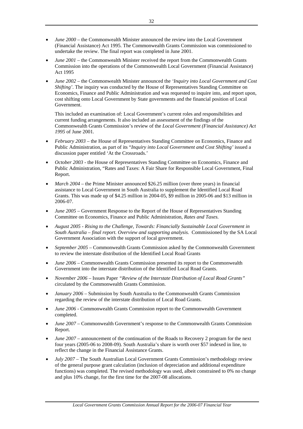- *June 2000*  the Commonwealth Minister announced the review into the Local Government (Financial Assistance) Act 1995. The Commonwealth Grants Commission was commissioned to undertake the review. The final report was completed in June 2001.
- *June 2001* the Commonwealth Minister received the report from the Commonwealth Grants Commission into the operations of the Commonwealth Local Government (Financial Assistance) Act 1995
- *June 2002*  the Commonwealth Minister announced the *'Inquiry into Local Government and Cost Shifting'*. The inquiry was conducted by the House of Representatives Standing Committee on Economics, Finance and Public Administration and was requested to inquire into, and report upon, cost shifting onto Local Government by State governments and the financial position of Local Government.

This included an examination of: Local Government's current roles and responsibilities and current funding arrangements. It also included an assessment of the findings of the Commonwealth Grants Commission's review of the *Local Government (Financial Assistance) Act 1995* of June 2001.

- *February 2003*  the House of Representatives Standing Committee on Economics, Finance and Public Administration, as part of its "*Inquiry into Local Government and Cost Shifting'* issued a discussion paper entitled 'At the Crossroads.'
- *October 2003* the House of Representatives Standing Committee on Economics, Finance and Public Administration, "Rates and Taxes: A Fair Share for Responsible Local Government, Final Report.
- *March 2004*  the Prime Minister announced \$26.25 million (over three years) in financial assistance to Local Government in South Australia to supplement the Identified Local Road Grants. This was made up of \$4.25 million in 2004-05, \$9 million in 2005-06 and \$13 million in 2006-07.
- *June 2005*  Government Response to the Report of the House of Representatives Standing Committee on Economics, Finance and Public Administration, *Rates and Taxes.*
- *August 2005 Rising to the Challenge, Towards: Financially Sustainable Local Government in South Australia – final report. Overview and supporting analysis.* Commissioned by the SA Local Government Association with the support of local government.
- *September 2005* Commonwealth Grants Commission asked by the Commonwealth Government to review the interstate distribution of the Identified Local Road Grants
- *June 2006* Commonwealth Grants Commission presented its report to the Commonwealth Government into the interstate distribution of the Identified Local Road Grants.
- *November 2006* Issues Paper *"Review of the Interstate Distribution of Local Road Grants"*  circulated by the Commonwealth Grants Commission.
- *January 2006* Submission by South Australia to the Commonwealth Grants Commission regarding the review of the interstate distribution of Local Road Grants.
- *June 2006* Commonwealth Grants Commission report to the Commonwealth Government completed.
- *June 2007* Commonwealth Government's response to the Commonwealth Grants Commission Report.
- *June 2007 –* announcement of the continuation of the Roads to Recovery 2 program for the next four years (2005-06 to 2008-09). South Australia's share is worth over \$57 indexed in line, to reflect the change in the Financial Assistance Grants.
- *July 2007* The South Australian Local Government Grants Commission's methodology review of the general purpose grant calculation (inclusion of depreciation and additional expenditure functions) was completed. The revised methodology was used, albeit constrained to 0% no change and plus 10% change, for the first time for the 2007-08 allocations.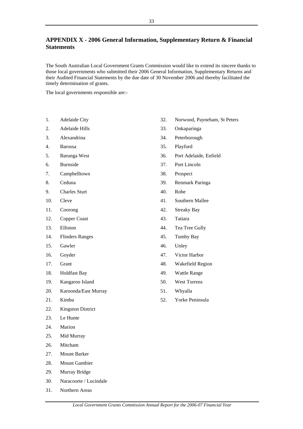# <span id="page-35-0"></span>**APPENDIX X - 2006 General Information, Supplementary Return & Financial Statements**

The South Australian Local Government Grants Commission would like to extend its sincere thanks to those local governments who submitted their 2006 General Information, Supplementary Returns and their Audited Financial Statements by the due date of 30 November 2006 and thereby facilitated the timely determination of grants.

The local governments responsible are:-

- 1. Adelaide City
- 2. Adelaide Hills
- 3. Alexandrina
- 4. Barossa
- 5. Barunga West
- 6. Burnside
- 7. Campbelltown
- 8. Ceduna
- 9. Charles Sturt
- 10. Cleve
- 11. Coorong
- 12. Copper Coast
- 13. Elliston
- 14. Flinders Ranges
- 15. Gawler
- 16. Goyder
- 17. Grant
- 18. Holdfast Bay
- 19. Kangaroo Island
- 20. Karoonda/East Murray
- 21. Kimba
- 22. Kingston District
- 23. Le Hunte
- 24. Marion
- 25. Mid Murray
- 26. Mitcham
- 27. Mount Barker
- 28. Mount Gambier
- 29. Murray Bridge
- 30. Naracoorte / Lucindale
- 31. Northern Areas
- 32. Norwood, Payneham, St Peters
- 33. Onkaparinga
- 34. Peterborough
- 35. Playford
- 36. Port Adelaide, Enfield
- 37. Port Lincoln
- 38. Prospect
- 39. Renmark Paringa
- 40. Robe
- 41. Southern Mallee
- 42. Streaky Bay
- 43. Tatiara
- 44. Tea Tree Gully
- 45. Tumby Bay
- 46. Unley
- 47. Victor Harbor
- 48. Wakefield Region
- 49. Wattle Range
- 50. West Torrens
- 51. Whyalla
- 52. Yorke Peninsula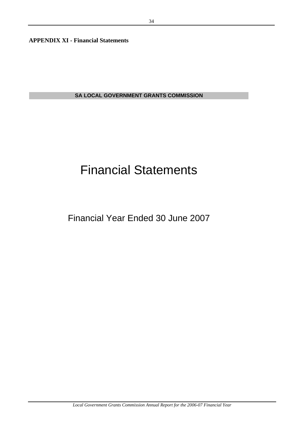<span id="page-36-0"></span>**APPENDIX XI - Financial Statements** 

**SA LOCAL GOVERNMENT GRANTS COMMISSION**

# Financial Statements

Financial Year Ended 30 June 2007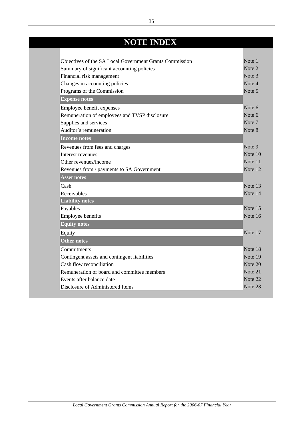# **NOTE INDEX**

| Objectives of the SA Local Government Grants Commission | Note 1. |
|---------------------------------------------------------|---------|
| Summary of significant accounting policies              | Note 2. |
| Financial risk management                               | Note 3. |
| Changes in accounting policies                          | Note 4. |
| Programs of the Commission                              | Note 5. |
| <b>Expense notes</b>                                    |         |
| Employee benefit expenses                               | Note 6. |
| Remuneration of employees and TVSP disclosure           | Note 6. |
| Supplies and services                                   | Note 7. |
| Auditor's remuneration                                  | Note 8  |
| Income notes                                            |         |
| Revenues from fees and charges                          | Note 9  |
| Interest revenues                                       | Note 10 |
| Other revenues/income                                   | Note 11 |
| Revenues from / payments to SA Government               | Note 12 |
| <b>Asset notes</b>                                      |         |
| Cash                                                    | Note 13 |
| Receivables                                             | Note 14 |
| <b>Liability notes</b>                                  |         |
| Payables                                                | Note 15 |
| Employee benefits                                       | Note 16 |
| <b>Equity notes</b>                                     |         |
| Equity                                                  | Note 17 |
| <b>Other notes</b>                                      |         |
| Commitments                                             | Note 18 |
| Contingent assets and contingent liabilities            | Note 19 |
| Cash flow reconciliation                                | Note 20 |
| Remuneration of board and committee members             | Note 21 |
| Events after balance date                               | Note 22 |
| Disclosure of Administered Items                        | Note 23 |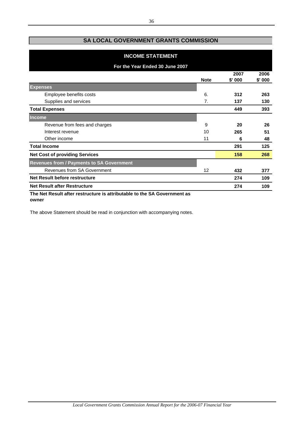# **SA LOCAL GOVERNMENT GRANTS COMMISSION**

| <b>INCOME STATEMENT</b>                                                  |             |                |                |  |  |  |
|--------------------------------------------------------------------------|-------------|----------------|----------------|--|--|--|
| For the Year Ended 30 June 2007                                          |             |                |                |  |  |  |
|                                                                          | <b>Note</b> | 2007<br>\$'000 | 2006<br>\$'000 |  |  |  |
| <b>Expenses</b>                                                          |             |                |                |  |  |  |
| Employee benefits costs                                                  | 6.          | 312            | 263            |  |  |  |
| Supplies and services                                                    | 7.          | 137            | 130            |  |  |  |
| <b>Total Expenses</b>                                                    |             | 449            | 393            |  |  |  |
| <b>Income</b>                                                            |             |                |                |  |  |  |
| Revenue from fees and charges                                            | 9           | 20             | 26             |  |  |  |
| Interest revenue                                                         | 10          | 265            | 51             |  |  |  |
| Other income                                                             | 11          | 6              | 48             |  |  |  |
| <b>Total Income</b>                                                      |             | 291            | 125            |  |  |  |
| <b>Net Cost of providing Services</b>                                    |             | 158            | 268            |  |  |  |
| <b>Revenues from / Payments to SA Government</b>                         |             |                |                |  |  |  |
| <b>Revenues from SA Government</b>                                       | 12          | 432            | 377            |  |  |  |
| <b>Net Result before restructure</b>                                     |             | 274            | 109            |  |  |  |
| <b>Net Result after Restructure</b>                                      |             | 274            | 109            |  |  |  |
| The Net Result after restructure is attributable to the SA Government as |             |                |                |  |  |  |

**owner**

The above Statement should be read in conjunction with accompanying notes.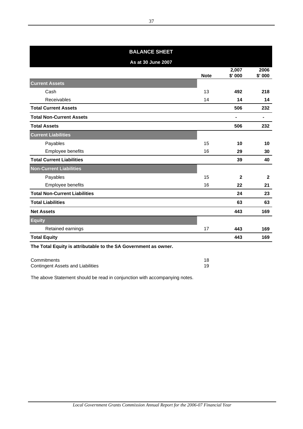| <b>BALANCE SHEET</b>                                            |             |                 |                |  |  |  |  |
|-----------------------------------------------------------------|-------------|-----------------|----------------|--|--|--|--|
| As at 30 June 2007                                              |             |                 |                |  |  |  |  |
|                                                                 | <b>Note</b> | 2,007<br>\$'000 | 2006<br>\$'000 |  |  |  |  |
| <b>Current Assets</b>                                           |             |                 |                |  |  |  |  |
| Cash                                                            | 13          | 492             | 218            |  |  |  |  |
| Receivables                                                     | 14          | 14              | 14             |  |  |  |  |
| <b>Total Current Assets</b>                                     |             | 506             | 232            |  |  |  |  |
| <b>Total Non-Current Assets</b>                                 |             | ۰               | $\blacksquare$ |  |  |  |  |
| <b>Total Assets</b>                                             |             | 506             | 232            |  |  |  |  |
| <b>Current Liabilities</b>                                      |             |                 |                |  |  |  |  |
| Payables                                                        | 15          | 10              | 10             |  |  |  |  |
| Employee benefits                                               | 16          | 29              | 30             |  |  |  |  |
| <b>Total Current Liabilities</b>                                |             | 39              | 40             |  |  |  |  |
| <b>Non-Current Liabilities</b>                                  |             |                 |                |  |  |  |  |
| Payables                                                        | 15          | 2               | $\mathbf{2}$   |  |  |  |  |
| Employee benefits                                               | 16          | 22              | 21             |  |  |  |  |
| <b>Total Non-Current Liabilities</b>                            |             | 24              | 23             |  |  |  |  |
| <b>Total Liabilities</b>                                        |             | 63              | 63             |  |  |  |  |
| <b>Net Assets</b>                                               |             | 443             | 169            |  |  |  |  |
| <b>Equity</b>                                                   |             |                 |                |  |  |  |  |
| Retained earnings                                               | 17          | 443             | 169            |  |  |  |  |
| <b>Total Equity</b>                                             |             | 443             | 169            |  |  |  |  |
| The Total Equity is attributable to the SA Government as owner. |             |                 |                |  |  |  |  |

Commitments 18 Contingent Assets and Liabilities 19

The above Statement should be read in conjunction with accompanying notes.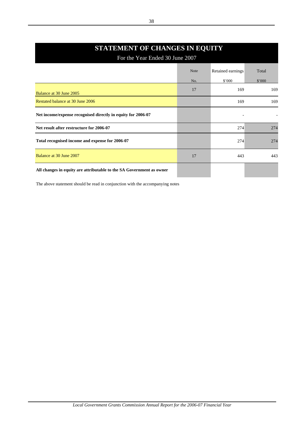# **STATEMENT OF CHANGES IN EQUITY**

For the Year Ended 30 June 2007

|                                                                      | <b>Note</b> | Retained earnings | Total  |
|----------------------------------------------------------------------|-------------|-------------------|--------|
|                                                                      | No.         | \$'000            | \$'000 |
| Balance at 30 June 2005                                              | 17          | 169               | 169    |
| Restated balance at 30 June 2006                                     |             | 169               | 169    |
| Net income/expense recognised directly in equity for 2006-07         |             |                   |        |
| Net result after restructure for 2006-07                             |             | 274               | 274    |
| Total recognised income and expense for 2006-07                      |             | 274               | 274    |
| Balance at 30 June 2007                                              | 17          | 443               | 443    |
| All changes in equity are attributable to the SA Government as owner |             |                   |        |

The above statement should be read in conjunction with the accompanying notes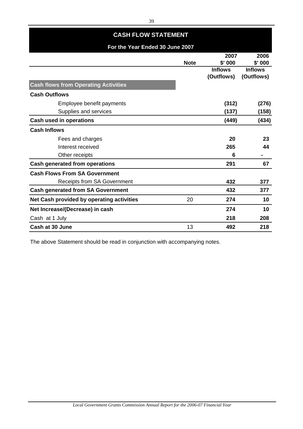| <b>CASH FLOW STATEMENT</b>                  |             |                              |                              |  |
|---------------------------------------------|-------------|------------------------------|------------------------------|--|
| For the Year Ended 30 June 2007             |             |                              |                              |  |
|                                             | <b>Note</b> | 2007<br>\$'000               | 2006<br>$$'$ 000             |  |
|                                             |             | <b>Inflows</b><br>(Outflows) | <b>Inflows</b><br>(Outflows) |  |
| <b>Cash flows from Operating Activities</b> |             |                              |                              |  |
| <b>Cash Outflows</b>                        |             |                              |                              |  |
| Employee benefit payments                   |             | (312)                        | (276)                        |  |
| Supplies and services                       |             | (137)                        | (158)                        |  |
| <b>Cash used in operations</b>              |             | (449)                        | (434)                        |  |
| <b>Cash Inflows</b>                         |             |                              |                              |  |
| Fees and charges                            |             | 20                           | 23                           |  |
| Interest received                           |             | 265                          | 44                           |  |
| Other receipts                              |             | 6                            |                              |  |
| <b>Cash generated from operations</b>       |             | 291                          | 67                           |  |
| <b>Cash Flows From SA Government</b>        |             |                              |                              |  |
| <b>Receipts from SA Government</b>          |             | 432                          | 377                          |  |
| <b>Cash generated from SA Government</b>    |             | 432                          | 377                          |  |
| Net Cash provided by operating activities   | 20          | 274                          | 10                           |  |
| Net Increase/(Decrease) in cash             |             | 274                          | 10                           |  |
| Cash at 1 July                              |             | 218                          | 208                          |  |
| Cash at 30 June                             | 13          | 492                          | 218                          |  |

The above Statement should be read in conjunction with accompanying notes.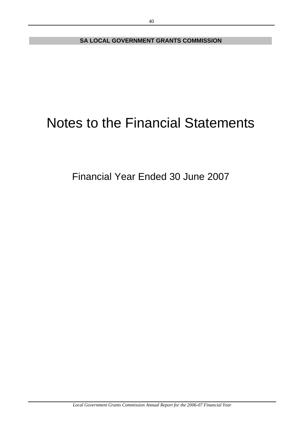**SA LOCAL GOVERNMENT GRANTS COMMISSION**

# Notes to the Financial Statements

Financial Year Ended 30 June 2007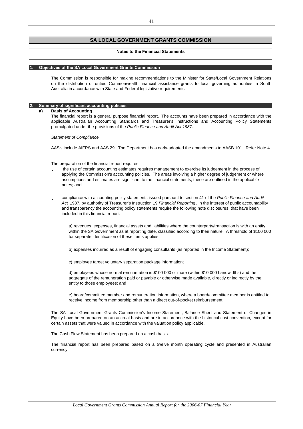### **SA LOCAL GOVERNMENT GRANTS COMMISSION**

#### **Notes to the Financial Statements**

#### **1. Objectives of the SA Local Government Grants Commission**

The Commission is responsible for making recommendations to the Minister for State/Local Government Relations on the distribution of untied Commonwealth financial assistance grants to local governing authorities in South Australia in accordance with State and Federal legislative requirements.

#### **2. Summary of significant accounting policies**

#### **a) Basis of Accounting**

The financial report is a general purpose financial report. The accounts have been prepared in accordance with the applicable Australian Accounting Standards and Treasurer's Instructions and Accounting Policy Statements promulgated under the provisions of the *Public Finance and Audit Act 1987.*

*Statement of Compliance*

AAS's include AIFRS and AAS 29. The Department has early-adopted the amendments to AASB 101. Refer Note 4.

The preparation of the financial report requires:

- **·** the use of certain accounting estimates requires management to exercise its judgement in the process of applying the Commission's accounting policies. The areas involving a higher degree of judgement or where assumptions and estimates are significant to the financial statements, these are outlined in the applicable notes; and
- **·** compliance with accounting policy statements issued pursuant to section 41 of the *Public Finance and Audit Act* 1987, by authority of Treasurer's Instruction 19 *Financial Reporting* . In the interest of public accountability and transparency the accounting policy statements require the following note disclosures, that have been included in this financial report:

a) revenues, expenses, financial assets and liabilities where the counterparty/transaction is with an entity within the SA Government as at reporting date, classified according to their nature. A threshold of \$100 000 for separate identification of these items applies;

b) expenses incurred as a result of engaging consultants (as reported in the Income Statement);

c) employee target voluntary separation package information;

d) employees whose normal remuneration is \$100 000 or more (within \$10 000 bandwidths) and the aggregate of the remuneration paid or payable or otherwise made available, directly or indirectly by the entity to those employees; and

e) board/committee member and remuneration information, where a board/committee member is entitled to receive income from membership other than a direct out-of-pocket reimbursement.

The SA Local Government Grants Commission's Income Statement, Balance Sheet and Statement of Changes in Equity have been prepared on an accrual basis and are in accordance with the historical cost convention, except for certain assets that were valued in accordance with the valuation policy applicable.

The Cash Flow Statement has been prepared on a cash basis.

The financial report has been prepared based on a twelve month operating cycle and presented in Australian currency.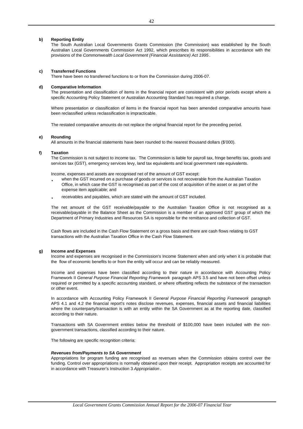### **b) Reporting Entity**

The South Australian Local Governments Grants Commission (the Commission) was established by the South Australian Local Governments Commission Act 1992, which prescribes its responsibilities in accordance with the provisions of the *Commonwealth Local Government (Financial Assistance) Act 1995* .

### **c) Transferred Functions**

There have been no transferred functions to or from the Commission during 2006-07.

### **d) Comparative Information**

The presentation and classification of items in the financial report are consistent with prior periods except where a specific Accounting Policy Statement or Australian Accounting Standard has required a change.

Where presentation or classification of items in the financial report has been amended comparative amounts have been reclassified unless reclassification is impracticable.

The restated comparative amounts do not replace the original financial report for the preceding period.

### **e) Rounding**

All amounts in the financial statements have been rounded to the nearest thousand dollars (\$'000).

### **f) Taxation**

The Commission is not subject to income tax. The Commission is liable for payroll tax, fringe benefits tax, goods and services tax (GST), emergency services levy, land tax equivalents and local government rate equivalents.

Income, expenses and assets are recognised net of the amount of GST except:

- **·** when the GST incurred on a purchase of goods or services is not recoverable from the Australian Taxation Office, in which case the GST is recognised as part of the cost of acquisition of the asset or as part of the expense item applicable; and
- **·** receivables and payables, which are stated with the amount of GST included.

The net amount of the GST receivable/payable to the Australian Taxation Office is not recognised as a receivable/payable in the Balance Sheet as the Commission is a member of an approved GST group of which the Department of Primary Industries and Resources SA is reponsible for the remittance and collection of GST.

Cash flows are included in the Cash Flow Statement on a gross basis and there are cash flows relating to GST transactions with the Australian Taxation Office in the Cash Flow Statement.

### **g) Income and Expenses**

Income and expenses are recognised in the Commission's Income Statement when and only when it is probable that the flow of economic benefits to or from the entity will occur and can be reliably measured.

Income and expenses have been classified according to their nature in accordance with Accounting Policy Framework II *General Purpose Financial Reporting Framework* paragraph APS 3.5 and have not been offset unless required or permitted by a specific accounting standard, or where offsetting reflects the substance of the transaction or other event.

In accordance with Accounting Policy Framework II *General Purpose Financial Reporting Framework* paragraph APS 4.1 and 4.2 the financial report's notes disclose revenues, expenses, financial assets and financial liabilities where the counterparty/transaction is with an entity within the SA Government as at the reporting date, classified according to their nature.

Transactions with SA Government entities below the threshold of \$100,000 have been included with the nongovernment transactions, classified according to their nature.

The following are specific recognition criteria:

### *Revenues from/Payments to SA Government*

Appropriations for program funding are recognised as revenues when the Commission obtains control over the funding. Control over appropriations is normally obtained upon their receipt. Appropriation receipts are accounted for in accordance with Treasurer's Instruction 3 *Appropriation* .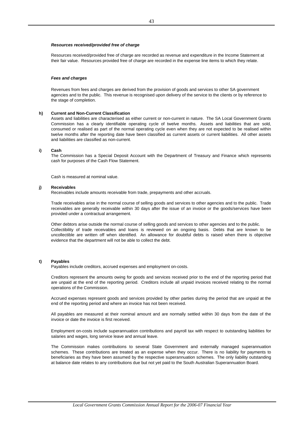### *Resources received/provided free of charge*

Resources received/provided free of charge are recorded as revenue and expenditure in the Income Statement at their fair value. Resources provided free of charge are recorded in the expense line items to which they relate.

#### *Fees and charges*

Revenues from fees and charges are derived from the provision of goods and services to other SA government agencies and to the public. This revenue is recognised upon delivery of the service to the clients or by reference to the stage of completion.

#### **h) Current and Non-Current Classification**

Assets and liabilities are characterised as either current or non-current in nature. The SA Local Government Grants Commission has a clearly identifiable operating cycle of twelve months. Assets and liabilities that are sold, consumed or realised as part of the normal operating cycle even when they are not expected to be realised within twelve months after the reporting date have been classified as current assets or current liabilities. All other assets and liabilities are classified as non-current.

### **i) Cash**

The Commission has a Special Deposit Account with the Department of Treasury and Finance which represents cash for purposes of the Cash Flow Statement.

Cash is measured at nominal value.

#### **j) Receivables**

Receivables include amounts receivable from trade, prepayments and other accruals.

Trade receivables arise in the normal course of selling goods and services to other agencies and to the public. Trade receivables are generally receivable within 30 days after the issue of an invoice or the goods/services have been provided under a contractual arrangement.

Other debtors arise outside the normal course of selling goods and services to other agencies and to the public. Collectibility of trade receivables and loans is reviewed on an ongoing basis. Debts that are known to be uncollectible are written off when identified. An allowance for doubtful debts is raised when there is objective evidence that the department will not be able to collect the debt.

### **t) Payables**

Payables include creditors, accrued expenses and employment on-costs.

Creditors represent the amounts owing for goods and services received prior to the end of the reporting period that are unpaid at the end of the reporting period. Creditors include all unpaid invoices received relating to the normal operations of the Commission.

Accrued expenses represent goods and services provided by other parties during the period that are unpaid at the end of the reporting period and where an invoice has not been received.

All payables are measured at their nominal amount and are normally settled within 30 days from the date of the invoice or date the invoice is first received.

Employment on-costs include superannuation contributions and payroll tax with respect to outstanding liabilities for salaries and wages, long service leave and annual leave.

The Commission makes contributions to several State Government and externally managed superannuation schemes. These contributions are treated as an expense when they occur. There is no liability for payments to beneficiaries as they have been assumed by the respective superannuation schemes. The only liability outstanding at balance date relates to any contributions due but not yet paid to the South Australian Superannuation Board.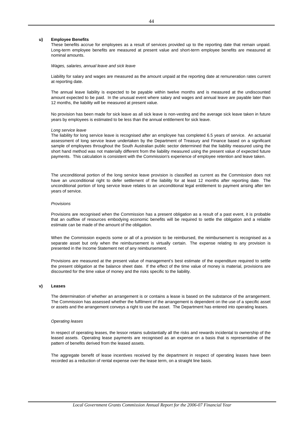#### **u) Employee Benefits**

These benefits accrue for employees as a result of services provided up to the reporting date that remain unpaid. Long-term employee benefits are measured at present value and short-term employee benefits are measured at nominal amounts.

*Wages, salaries, annual leave and sick leave*

Liability for salary and wages are measured as the amount unpaid at the reporting date at remuneration rates current at reporting date.

The annual leave liability is expected to be payable within twelve months and is measured at the undiscounted amount expected to be paid. In the unusual event where salary and wages and annual leave are payable later than 12 months, the liability will be measured at present value.

No provision has been made for sick leave as all sick leave is non-vesting and the average sick leave taken in future years by employees is estimated to be less than the annual entitlement for sick leave.

#### *Long service leave*

The liability for long service leave is recognised after an employee has completed 6.5 years of service. An actuarial assessment of long service leave undertaken by the Department of Treasury and Finance based on a significant sample of employees throughout the South Australian public sector determined that the liability measured using the short hand method was not materially different from the liability measured using the present value of expected future payments. This calculation is consistent with the Commission's experience of employee retention and leave taken.

The unconditional portion of the long service leave provision is classified as current as the Commission does not have an unconditional right to defer settlement of the liability for at least 12 months after reporting date. The unconditional portion of long service leave relates to an unconditional legal entitlement to payment arising after ten years of service.

#### *Provisions*

Provisions are recognised when the Commission has a present obligation as a result of a past event, it is probable that an outflow of resources embodying economic benefits will be required to settle the obligation and a reliable estimate can be made of the amount of the obligation.

When the Commission expects some or all of a provision to be reimbursed, the reimbursement is recognised as a separate asset but only when the reimbursement is virtually certain. The expense relating to any provision is presented in the Income Statement net of any reimbursement.

Provisions are measured at the present value of management's best estimate of the expenditure required to settle the present obligation at the balance sheet date. If the effect of the time value of money is material, provisions are discounted for the time value of money and the risks specific to the liability.

### **v) Leases**

The determination of whether an arrangement is or contains a lease is based on the substance of the arrangement. The Commission has assessed whether the fulfilment of the arrangement is dependent on the use of a specific asset or assets and the arrangement conveys a right to use the asset. The Department has entered into operating leases.

#### *Operating leases*

In respect of operating leases, the lessor retains substantially all the risks and rewards incidental to ownership of the leased assets. Operating lease payments are recognised as an expense on a basis that is representative of the pattern of benefits derived from the leased assets.

The aggregate benefit of lease incentives received by the department in respect of operating leases have been recorded as a reduction of rental expense over the lease term, on a straight line basis.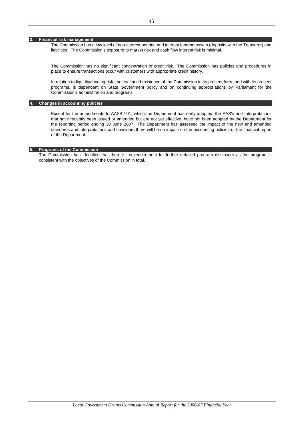### **3. Financial risk management**

The Commission has a low level of non-interest bearing and interest bearing assets (deposits with the Treasurer) and liabilities. The Commission's exposure to market risk and cash flow interest risk is minimal.

The Commission has no significant concentration of credit risk. The Commission has policies and procedures in place to ensure transactions occur with customers with appropriate credit history.

In relation to liquidity/funding risk, the continued existence of the Commission in its present form, and with its present programs, is dependent on State Government policy and on continuing appropriations by Parliament for the Commission's administration and programs.

### **4. Changes in accounting policies**

Except for the amendments to AASB 101, which the Department has early adopted, the AAS's and Interpretations that have recently been issued or amended but are not yet effective, have not been adopted by the Department for the reporting period ending 30 June 2007. The Department has assessed the impact of the new and amended standards and interpretations and considers there will be no impact on the accounting policies or the financial report of the Department.

### **5. Programs of the Commission**

The Commission has identified that there is no requirement for further detailed program disclosure as the program is consistent with the objectives of the Commission in total.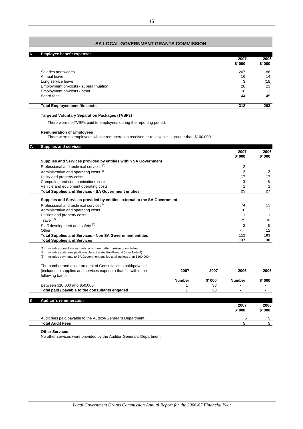# **SA LOCAL GOVERNMENT GRANTS COMMISSION**

| 6. | <b>Employee benefit expenses</b>     |                |                |
|----|--------------------------------------|----------------|----------------|
|    |                                      | 2007<br>\$'000 | 2006<br>\$'000 |
|    | Salaries and wages                   | 207            | 186            |
|    | Annual leave                         | 16             | 14             |
|    | Long service leave                   | 3              | (18)           |
|    | Employment on-costs - superannuation | 26             | 23             |
|    | Employment on-costs - other          | 16             | 13             |
|    | Board fees                           | 44             | 45             |
|    | <b>Total Employee benefits costs</b> | 312            | 263            |

### **Targeted Voluntary Separation Packages (TVSPs)**

There were no TVSPs paid to employees during the reporting period.

### **Remuneration of Employees**

There were no employees whose remuneration received or receivable is greater than \$100,000.

| <b>Supplies and services</b>                                                         |               |        | 2007           | 2006           |
|--------------------------------------------------------------------------------------|---------------|--------|----------------|----------------|
| Supplies and Services provided by entities within SA Government                      |               |        | $$'$ 000       | \$' 000        |
| Professional and technical services <sup>(1)</sup>                                   |               |        | $\overline{2}$ |                |
| Administrative and operating costs <sup>(2)</sup>                                    |               |        | $\overline{2}$ | 3              |
| Utility and property costs                                                           |               |        | 17             | 17             |
| Computing and communications costs                                                   |               |        | 3              | 6              |
| Vehicle and equipment operating costs                                                |               |        | 1              | $\mathbf{1}$   |
| <b>Total Supplies and Services - SA Government entities</b>                          |               |        | 25             | 27             |
| Supplies and Services provided by entities external to the SA Government             |               |        |                |                |
| Professional and technical services <sup>(1)</sup>                                   |               |        | 74             | 53             |
| Administrative and operating costs                                                   |               |        | 10             | $\overline{2}$ |
| Utilities and property costs                                                         |               |        | 1              | $\mathbf 1$    |
| Travel $(3)$                                                                         |               |        | 25             | 30             |
| Staff development and safety <sup>(3)</sup>                                          |               |        | $\overline{2}$ | 5              |
| Other                                                                                |               |        |                | 12             |
| <b>Total Supplies and Services - Non SA Government entities</b>                      |               |        | 112            | 103            |
| <b>Total Supplies and Services</b>                                                   |               |        | 137            | 130            |
| Includes consultancies costs which are further broken down below.<br>(1)             |               |        |                |                |
| Includes audit fees paid/payable to the Auditor-General (refer Note 8).<br>(2)       |               |        |                |                |
| Includes payments to SA Government entities totalling less than \$100,000.<br>(3)    |               |        |                |                |
| The number and dollar amount of Consultancies paid/payable                           |               |        |                |                |
| (included in supplies and services expense) that fell within the<br>following bands: | 2007          | 2007   | 2006           | 2006           |
|                                                                                      | <b>Number</b> | \$'000 | <b>Number</b>  | \$' 000        |
| Between \$10,000 and \$50,000                                                        | 1             | 33     |                |                |
| Total paid / payable to the consultants engaged                                      | 1             | 33     |                |                |
|                                                                                      |               |        |                |                |
| <b>Auditor's remuneration</b>                                                        |               |        | 2007           | 2006           |
|                                                                                      |               |        | \$'000         | \$' 000        |
| Audit fees paid/payable to the Auditor-General's Department.                         |               |        | 5              | 5              |
| <b>Total Audit Fees</b>                                                              |               |        | 5              | 5              |

### **Other Services**

No other services were provided by the Auditor-General's Department.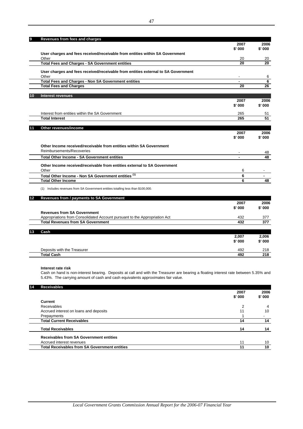| \$'000<br>\$'000<br>User charges and fees received/receivable from entities within SA Government<br>Other<br>20<br>20<br><b>Total Fees and Charges - SA Government entities</b><br>User charges and fees received/receivable from entities external to SA Government<br>Other<br><b>Total Fees and Charges - Non SA Government entities</b><br><b>Total Fees and Charges</b><br>20<br><b>Interest revenues</b><br>10<br>2007<br>$$'$ 000<br>Interest from entities within the SA Government<br>265<br>51<br><b>Total Interest</b><br>265<br>Other revenues/income<br>11<br>2007<br>$$'$ 000<br>Other Income received/receivable from entities within SA Government<br>Reimbursements/Recoveries<br><b>Total Other Income - SA Government entities</b><br>Other Income received/receivable from entities external to SA Government<br>6<br>Other<br>Total Other Income - Non SA Government entities (1)<br>6<br><b>Total Other Income</b><br>6<br>(1) Includes revenues from SA Government entities totalling less than \$100,000.<br>12<br>Revenues from / payments to SA Government<br>2007<br>\$'000<br><b>Revenues from SA Government</b><br>Appropriations from Consolidated Account pursuant to the Appropriation Act<br>432<br><b>Total Revenues from SA Government</b><br>432<br>377<br>Cash<br>2,007 | 9 | Revenues from fees and charges | 2007   | 2006            |
|--------------------------------------------------------------------------------------------------------------------------------------------------------------------------------------------------------------------------------------------------------------------------------------------------------------------------------------------------------------------------------------------------------------------------------------------------------------------------------------------------------------------------------------------------------------------------------------------------------------------------------------------------------------------------------------------------------------------------------------------------------------------------------------------------------------------------------------------------------------------------------------------------------------------------------------------------------------------------------------------------------------------------------------------------------------------------------------------------------------------------------------------------------------------------------------------------------------------------------------------------------------------------------------------------------------|---|--------------------------------|--------|-----------------|
|                                                                                                                                                                                                                                                                                                                                                                                                                                                                                                                                                                                                                                                                                                                                                                                                                                                                                                                                                                                                                                                                                                                                                                                                                                                                                                              |   |                                |        |                 |
|                                                                                                                                                                                                                                                                                                                                                                                                                                                                                                                                                                                                                                                                                                                                                                                                                                                                                                                                                                                                                                                                                                                                                                                                                                                                                                              |   |                                |        |                 |
|                                                                                                                                                                                                                                                                                                                                                                                                                                                                                                                                                                                                                                                                                                                                                                                                                                                                                                                                                                                                                                                                                                                                                                                                                                                                                                              |   |                                |        | 20              |
|                                                                                                                                                                                                                                                                                                                                                                                                                                                                                                                                                                                                                                                                                                                                                                                                                                                                                                                                                                                                                                                                                                                                                                                                                                                                                                              |   |                                |        | 20              |
|                                                                                                                                                                                                                                                                                                                                                                                                                                                                                                                                                                                                                                                                                                                                                                                                                                                                                                                                                                                                                                                                                                                                                                                                                                                                                                              |   |                                |        |                 |
|                                                                                                                                                                                                                                                                                                                                                                                                                                                                                                                                                                                                                                                                                                                                                                                                                                                                                                                                                                                                                                                                                                                                                                                                                                                                                                              |   |                                |        |                 |
|                                                                                                                                                                                                                                                                                                                                                                                                                                                                                                                                                                                                                                                                                                                                                                                                                                                                                                                                                                                                                                                                                                                                                                                                                                                                                                              |   |                                |        | 6<br>6          |
|                                                                                                                                                                                                                                                                                                                                                                                                                                                                                                                                                                                                                                                                                                                                                                                                                                                                                                                                                                                                                                                                                                                                                                                                                                                                                                              |   |                                |        | 26              |
|                                                                                                                                                                                                                                                                                                                                                                                                                                                                                                                                                                                                                                                                                                                                                                                                                                                                                                                                                                                                                                                                                                                                                                                                                                                                                                              |   |                                |        |                 |
|                                                                                                                                                                                                                                                                                                                                                                                                                                                                                                                                                                                                                                                                                                                                                                                                                                                                                                                                                                                                                                                                                                                                                                                                                                                                                                              |   |                                |        |                 |
|                                                                                                                                                                                                                                                                                                                                                                                                                                                                                                                                                                                                                                                                                                                                                                                                                                                                                                                                                                                                                                                                                                                                                                                                                                                                                                              |   |                                |        | 2006            |
|                                                                                                                                                                                                                                                                                                                                                                                                                                                                                                                                                                                                                                                                                                                                                                                                                                                                                                                                                                                                                                                                                                                                                                                                                                                                                                              |   |                                |        | \$' 000         |
|                                                                                                                                                                                                                                                                                                                                                                                                                                                                                                                                                                                                                                                                                                                                                                                                                                                                                                                                                                                                                                                                                                                                                                                                                                                                                                              |   |                                |        |                 |
|                                                                                                                                                                                                                                                                                                                                                                                                                                                                                                                                                                                                                                                                                                                                                                                                                                                                                                                                                                                                                                                                                                                                                                                                                                                                                                              |   |                                |        | $\overline{51}$ |
|                                                                                                                                                                                                                                                                                                                                                                                                                                                                                                                                                                                                                                                                                                                                                                                                                                                                                                                                                                                                                                                                                                                                                                                                                                                                                                              |   |                                |        |                 |
|                                                                                                                                                                                                                                                                                                                                                                                                                                                                                                                                                                                                                                                                                                                                                                                                                                                                                                                                                                                                                                                                                                                                                                                                                                                                                                              |   |                                |        |                 |
|                                                                                                                                                                                                                                                                                                                                                                                                                                                                                                                                                                                                                                                                                                                                                                                                                                                                                                                                                                                                                                                                                                                                                                                                                                                                                                              |   |                                |        | 2006            |
|                                                                                                                                                                                                                                                                                                                                                                                                                                                                                                                                                                                                                                                                                                                                                                                                                                                                                                                                                                                                                                                                                                                                                                                                                                                                                                              |   |                                |        | \$'000          |
|                                                                                                                                                                                                                                                                                                                                                                                                                                                                                                                                                                                                                                                                                                                                                                                                                                                                                                                                                                                                                                                                                                                                                                                                                                                                                                              |   |                                |        |                 |
|                                                                                                                                                                                                                                                                                                                                                                                                                                                                                                                                                                                                                                                                                                                                                                                                                                                                                                                                                                                                                                                                                                                                                                                                                                                                                                              |   |                                |        |                 |
|                                                                                                                                                                                                                                                                                                                                                                                                                                                                                                                                                                                                                                                                                                                                                                                                                                                                                                                                                                                                                                                                                                                                                                                                                                                                                                              |   |                                |        | 48<br>48        |
|                                                                                                                                                                                                                                                                                                                                                                                                                                                                                                                                                                                                                                                                                                                                                                                                                                                                                                                                                                                                                                                                                                                                                                                                                                                                                                              |   |                                |        |                 |
|                                                                                                                                                                                                                                                                                                                                                                                                                                                                                                                                                                                                                                                                                                                                                                                                                                                                                                                                                                                                                                                                                                                                                                                                                                                                                                              |   |                                |        |                 |
|                                                                                                                                                                                                                                                                                                                                                                                                                                                                                                                                                                                                                                                                                                                                                                                                                                                                                                                                                                                                                                                                                                                                                                                                                                                                                                              |   |                                |        |                 |
|                                                                                                                                                                                                                                                                                                                                                                                                                                                                                                                                                                                                                                                                                                                                                                                                                                                                                                                                                                                                                                                                                                                                                                                                                                                                                                              |   |                                |        |                 |
|                                                                                                                                                                                                                                                                                                                                                                                                                                                                                                                                                                                                                                                                                                                                                                                                                                                                                                                                                                                                                                                                                                                                                                                                                                                                                                              |   |                                |        | 48              |
|                                                                                                                                                                                                                                                                                                                                                                                                                                                                                                                                                                                                                                                                                                                                                                                                                                                                                                                                                                                                                                                                                                                                                                                                                                                                                                              |   |                                |        |                 |
|                                                                                                                                                                                                                                                                                                                                                                                                                                                                                                                                                                                                                                                                                                                                                                                                                                                                                                                                                                                                                                                                                                                                                                                                                                                                                                              |   |                                |        |                 |
|                                                                                                                                                                                                                                                                                                                                                                                                                                                                                                                                                                                                                                                                                                                                                                                                                                                                                                                                                                                                                                                                                                                                                                                                                                                                                                              |   |                                |        |                 |
|                                                                                                                                                                                                                                                                                                                                                                                                                                                                                                                                                                                                                                                                                                                                                                                                                                                                                                                                                                                                                                                                                                                                                                                                                                                                                                              |   |                                |        | 2006            |
|                                                                                                                                                                                                                                                                                                                                                                                                                                                                                                                                                                                                                                                                                                                                                                                                                                                                                                                                                                                                                                                                                                                                                                                                                                                                                                              |   |                                |        | \$'000          |
|                                                                                                                                                                                                                                                                                                                                                                                                                                                                                                                                                                                                                                                                                                                                                                                                                                                                                                                                                                                                                                                                                                                                                                                                                                                                                                              |   |                                |        |                 |
|                                                                                                                                                                                                                                                                                                                                                                                                                                                                                                                                                                                                                                                                                                                                                                                                                                                                                                                                                                                                                                                                                                                                                                                                                                                                                                              |   |                                |        | 377             |
|                                                                                                                                                                                                                                                                                                                                                                                                                                                                                                                                                                                                                                                                                                                                                                                                                                                                                                                                                                                                                                                                                                                                                                                                                                                                                                              |   |                                |        |                 |
|                                                                                                                                                                                                                                                                                                                                                                                                                                                                                                                                                                                                                                                                                                                                                                                                                                                                                                                                                                                                                                                                                                                                                                                                                                                                                                              |   |                                |        |                 |
|                                                                                                                                                                                                                                                                                                                                                                                                                                                                                                                                                                                                                                                                                                                                                                                                                                                                                                                                                                                                                                                                                                                                                                                                                                                                                                              |   |                                |        | 2.006           |
|                                                                                                                                                                                                                                                                                                                                                                                                                                                                                                                                                                                                                                                                                                                                                                                                                                                                                                                                                                                                                                                                                                                                                                                                                                                                                                              |   |                                | \$'000 | \$'000          |

# **Interest rate risk**

Cash on hand is non-interest bearing. Deposits at call and with the Treasurer are bearing a floating interest rate between 5.35% and 5.43%. The carrying amount of cash and cash equivalents approximates fair value.

Deposits with the Treasurer 492 218 **Total Cash 492 218**

| 14 | <b>Receivables</b>                                   |        |        |
|----|------------------------------------------------------|--------|--------|
|    |                                                      | 2007   | 2006   |
|    |                                                      | \$'000 | \$'000 |
|    | <b>Current</b>                                       |        |        |
|    | Receivables                                          | 2      | 4      |
|    | Accrued interest on loans and deposits               | 11     | 10     |
|    | Prepayments                                          |        |        |
|    | <b>Total Current Receivables</b>                     | 14     | 14     |
|    | <b>Total Receivables</b>                             | 14     | 14     |
|    | <b>Receivables from SA Government entities</b>       |        |        |
|    | Accrued interest revenues                            | 11     | 10     |
|    | <b>Total Receivables from SA Government entities</b> | 11     | 10     |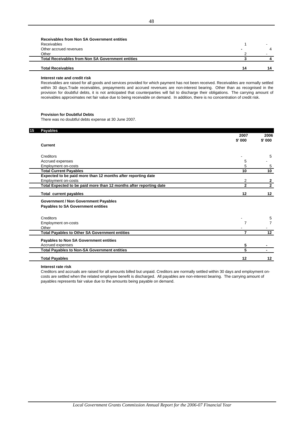| Receivables from Non SA Government entities              |    |  |
|----------------------------------------------------------|----|--|
| Receivables                                              |    |  |
| Other accrued revenues                                   | -  |  |
| Other                                                    |    |  |
| <b>Total Receivables from Non SA Government entities</b> |    |  |
| <b>Total Receivables</b>                                 | 14 |  |
|                                                          |    |  |

#### **Interest rate and credit risk**

L

Receivables are raised for all goods and services provided for which payment has not been received. Receivables are normally settled within 30 days.Trade receivables, prepayments and accrued revenues are non-interest bearing. Other than as recognised in the provision for doubtful debts, it is not anticipated that counterparties will fail to discharge their obligations. The carrying amount of receivables approximates net fair value due to being receivable on demand. In addition, there is no concentration of credit risk.

### **Provision for Doubtful Debts**

There was no doubtful debts expense at 30 June 2007.

| 15 | <b>Payables</b>                                                    |                  |                 |
|----|--------------------------------------------------------------------|------------------|-----------------|
|    |                                                                    | 2007<br>$$'$ 000 | 2006<br>\$' 000 |
|    | <b>Current</b>                                                     |                  |                 |
|    | Creditors                                                          |                  | 5               |
|    | Accrued expenses                                                   | 5                |                 |
|    | Employment on-costs                                                | 5                | 5               |
|    | <b>Total Current Payables</b>                                      | 10               | 10              |
|    | Expected to be paid more than 12 months after reporting date       |                  |                 |
|    | Employment on-costs                                                | 2                | $\mathbf{2}$    |
|    | Total Expected to be paid more than 12 months after reporting date | $\mathbf{2}$     | $\overline{2}$  |
|    | <b>Total current payables</b>                                      | 12               | 12              |
|    | <b>Government / Non Government Payables</b>                        |                  |                 |
|    | Payables to SA Government entities                                 |                  |                 |
|    | Creditors                                                          |                  | 5               |
|    | Employment on-costs                                                | 7                | $\overline{7}$  |
|    | Other                                                              |                  |                 |
|    | <b>Total Payables to Other SA Government entities</b>              | $\overline{7}$   | 12              |
|    | Payables to Non SA Government entities                             |                  |                 |
|    | Accrued expenses                                                   | 5                |                 |
|    | <b>Total Payables to Non-SA Government entities</b>                | 5                |                 |
|    | <b>Total Payables</b>                                              | 12               | 12              |

### **Interest rate risk**

Creditors and accruals are raised for all amounts billed but unpaid. Creditors are normally settled within 30 days and employment oncosts are settled when the related employee benefit is discharged. All payables are non-interest bearing. The carrying amount of payables represents fair value due to the amounts being payable on demand.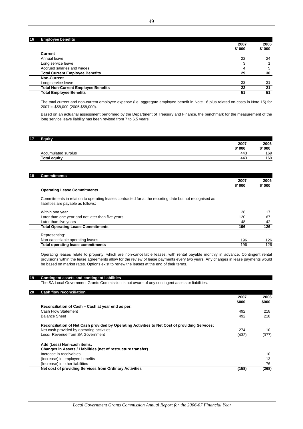### **16 Employee benefits**

|                                            | 2007     | 2006   |
|--------------------------------------------|----------|--------|
|                                            | $$'$ 000 | \$'000 |
| Current                                    |          |        |
| Annual leave                               | 22       | 24     |
| Long service leave                         | 3        |        |
| Accrued salaries and wages                 | 4        | 5      |
| <b>Total Current Employee Benefits</b>     | 29       | 30     |
| <b>Non-Current</b>                         |          |        |
| Long service leave                         | 22       | 21     |
| <b>Total Non-Current Employee Benefits</b> | 22       | 21     |
| <b>Total Employee Benefits</b>             | 51       | 51     |

The total current and non-current employee expense (i.e. aggregate employee benefit in Note 16 plus related on-costs in Note 15) for 2007 is \$58,000 (2005 \$58,000).

Based on an actuarial assessment performed by the Department of Treasury and Finance, the benchmark for the measurement of the long service leave liability has been revised from 7 to 6.5 years.

| 17 | Equity              |          |        |
|----|---------------------|----------|--------|
|    |                     | 2007     | 2006   |
|    |                     | $$'$ 000 | \$'000 |
|    | Accumulated surplus | 443      | 169    |
|    | <b>Total equity</b> | 443      | 169    |
|    |                     |          |        |

| 18 | <b>Commitments</b>                                                                                                                            |        |        |
|----|-----------------------------------------------------------------------------------------------------------------------------------------------|--------|--------|
|    |                                                                                                                                               | 2007   | 2006   |
|    |                                                                                                                                               | \$'000 | \$'000 |
|    | <b>Operating Lease Commitments</b>                                                                                                            |        |        |
|    | Commitments in relation to operating leases contracted for at the reporting date but not recognised as<br>liabilities are payable as follows: |        |        |
|    | Within one year                                                                                                                               | 28     | 17     |
|    | Later than one year and not later than five years                                                                                             | 120    | 67     |
|    | Later than five years                                                                                                                         | 48     | 42     |
|    | <b>Total Operating Lease Commitments</b>                                                                                                      | 196    | 126    |
|    | Representing:                                                                                                                                 |        |        |
|    | Non-cancellable operating leases                                                                                                              | 196    | 126    |
|    | <b>Total operating lease commitments</b>                                                                                                      | 196    | 126    |

Operating leases relate to property, which are non-cancellable leases, with rental payable monthly in advance. Contingent rental provisions within the lease agreements allow for the review of lease payments every two years. Any changes in lease payments would be based on market rates. Options exist to renew the leases at the end of their terms.

### **19 Contingent assets and contingent liabilities**

The SA Local Government Grants Commission is not aware of any contingent assets or liabilities.

#### **20 Cash flow reconciliation**

 $\overline{a}$ 

|                                                                                                | 2007  | 2006  |
|------------------------------------------------------------------------------------------------|-------|-------|
|                                                                                                | \$000 | \$000 |
| Reconciliation of Cash – Cash at year end as per:                                              |       |       |
| Cash Flow Statement                                                                            | 492   | 218   |
| <b>Balance Sheet</b>                                                                           | 492   | 218   |
| Reconciliation of Net Cash provided by Operating Activities to Net Cost of providing Services: |       |       |
| Net cash provided by operating activities                                                      | 274   | 10    |
| Less: Revenue from SA Government                                                               | (432) | (377) |
| Add (Less) Non-cash items:                                                                     |       |       |
| Changes in Assets / Liabilities (net of restructure transfer)                                  |       |       |
| Increase in receivables                                                                        | -     | 10    |
| (Increase) in employee benefits                                                                | -     | 13    |
| (Increase) in other liabilities                                                                |       | 76    |
| Net cost of providing Services from Ordinary Activities                                        | (158) | (268) |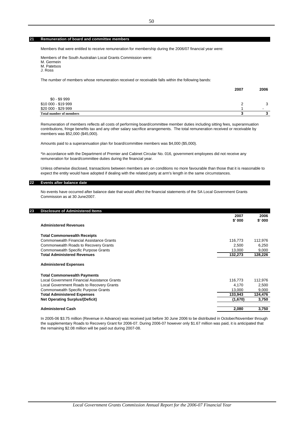**21 Remuneration of board and committee members**

Members that were entitled to receive remuneration for membership during the 2006/07 financial year were:

Members of the South Australian Local Grants Commission were: M. Germein M. Patetsos J. Ross

The number of members whose remuneration received or receivable falls within the following bands:

|                                | 2007 | 2006                     |
|--------------------------------|------|--------------------------|
| $$0 - $9999$                   |      |                          |
| \$10 000 - \$19 999            |      | 2                        |
| \$20 000 - \$29 999            |      | $\overline{\phantom{0}}$ |
| <b>Total number of members</b> |      | ≏                        |

Remuneration of members reflects all costs of performing board/committee member duties including sitting fees, superannuation contributions, fringe benefits tax and any other salary sacrifice arrangements. The total remuneration received or receivable by members was \$52,000 (\$45,000).

Amounts paid to a superannuation plan for board/committee members was \$4,000 (\$5,000).

\*In accordance with the Department of Premier and Cabinet Circular No. 016, government employees did not receive any remuneration for board/committee duties during the financial year.

Unless otherwise disclosed, transactions between members are on conditions no more favourable than those that it is reasonable to expect the entity would have adopted if dealing with the related party at arm's length in the same circumstances.

#### **22 Events after balance date**

No events have occurred after balance date that would affect the financial statements of the SA Local Government Grants Commission as at 30 June2007.

| 23 | <b>Disclosure of Administered Items</b>         | 2007    | 2006    |
|----|-------------------------------------------------|---------|---------|
|    |                                                 | \$' 000 | \$' 000 |
|    | <b>Administered Revenues</b>                    |         |         |
|    | <b>Total Commonwealth Receipts</b>              |         |         |
|    | <b>Commonwealth Financial Assistance Grants</b> | 116,773 | 112,976 |
|    | Commonwealth Roads to Recovery Grants           | 2,500   | 6,250   |
|    | <b>Commonwealth Specific Purpose Grants</b>     | 13,000  | 9,000   |
|    | <b>Total Administered Revenues</b>              | 132,273 | 128,226 |
|    | <b>Administered Expenses</b>                    |         |         |
|    | <b>Total Commonwealth Payments</b>              |         |         |
|    | Local Government Financial Assistance Grants    | 116,773 | 112,976 |
|    | Local Government Roads to Recovery Grants       | 4,170   | 2,500   |
|    | Commonwealth Specific Purpose Grants            | 13,000  | 9,000   |
|    | <b>Total Administered Expenses</b>              | 133,943 | 124,476 |
|    | <b>Net Operating Surplus/(Deficit)</b>          | (1,670) | 3,750   |
|    | <b>Administered Cash</b>                        | 2,080   | 3,750   |

In 2005-06 \$3.75 million (Revenue in Advance) was received just before 30 June 2006 to be distributed in October/November through the supplementary Roads to Recovery Grant for 2006-07. During 2006-07 however only \$1.67 million was paid, it is anticipated that the remaining \$2.08 million will be paid out during 2007-08.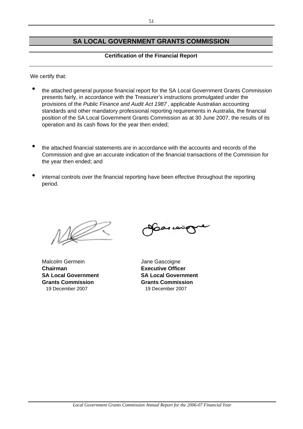# **SA LOCAL GOVERNMENT GRANTS COMMISSION**

# **Certification of the Financial Report**

We certify that:

- $\bullet$ the attached general purpose financial report for the SA Local Government Grants Commission presents fairly, in accordance with the Treasurer's instructions promulgated under the provisions of the *Public Finance and Audit Act 1987* , applicable Australian accounting standards and other mandatory professional reporting requirements in Australia, the financial position of the SA Local Government Grants Commission as at 30 June 2007, the results of its operation and its cash flows for the year then ended;
- $\bullet$ the attached financial statements are in accordance with the accounts and records of the Commission and give an accurate indication of the financial transactions of the Commision for the year then ended; and
- $\bullet$ internal controls over the financial reporting have been effective throughout the reporting period.

Malcolm Germein **Malcolm Germein** Jane Gascoigne **Chairman Executive Officer SA Local Government SA Local Government Grants Commission Grants Commission** 19 December 2007 19 December 2007

 $\boldsymbol{\phi}$ oras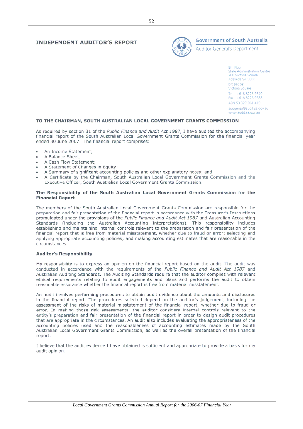# **INDEPENDENT AUDITOR'S REPORT**



# **Government of South Australia**

**Auditor-General's Department** 

9th Floor State Administration Centre 200 Victoria Square Adelaide SA 5000 DX 56208 Victoria Square Tel +618 8226 9640 Fax +618 8226 9688 ABN 53 327 061 410 audgensa@audit.sa.gov.au www.audit.sa.gov.au

### TO THE CHAIRMAN, SOUTH AUSTRALIAN LOCAL GOVERNMENT GRANTS COMMISSION

As required by section 31 of the Public Finance and Audit Act 1987, I have audited the accompanying financial report of the South Australian Local Government Grants Commission for the financial year ended 30 June 2007. The financial report comprises:

- An Income Statement;
- A Balance Sheet;
- A Cash Flow Statement:
- A Statement of Changes in Equity;
- A Summary of significant accounting policies and other explanatory notes; and
- A Certificate by the Chairman, South Australian Local Government Grants Commission and the Executive Officer, South Australian Local Government Grants Commission.

### The Responsibility of the South Australian Local Government Grants Commission for the **Financial Report**

The members of the South Australian Local Government Grants Commission are responsible for the preparation and fair presentation of the financial report in accordance with the Treasurer's Instructions promulgated under the provisions of the Public Finance and Audit Act 1987 and Australian Accounting Standards (including the Australian Accounting Interpretations). This responsibility includes establishing and maintaining internal controls relevant to the preparation and fair presentation of the financial report that is free from material misstatement, whether due to fraud or error; selecting and applying appropriate accounting policies; and making accounting estimates that are reasonable in the circumstances.

### **Auditor's Responsibility**

My responsibility is to express an opinion on the financial report based on the audit. The audit was conducted in accordance with the requirements of the Public Finance and Audit Act 1987 and Australian Auditing Standards. The Auditing Standards require that the auditor complies with relevant ethical requirements relating to audit engagements and plans and performs the audit to obtain reasonable assurance whether the financial report is free from material misstatement.

An audit involves performing procedures to obtain audit evidence about the amounts and disclosures in the financial report. The procedures selected depend on the auditor's judgement, including the assessment of the risks of material misstatement of the financial report, whether due to fraud or error. In making those risk assessments, the auditor considers internal controls relevant to the entity's preparation and fair presentation of the financial report in order to design audit procedures that are appropriate in the circumstances. An audit also includes evaluating the appropriateness of the accounting policies used and the reasonableness of accounting estimates made by the South Australian Local Government Grants Commission, as well as the overall presentation of the financial report.

I believe that the audit evidence I have obtained is sufficient and appropriate to provide a basis for my audit opinion.